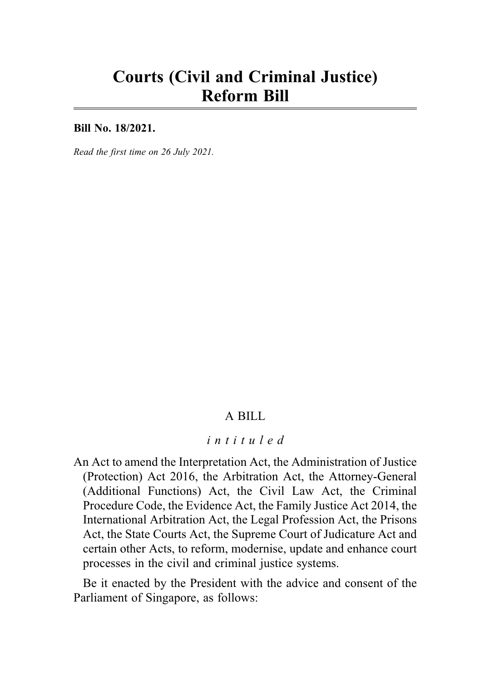# Courts (Civil and Criminal Justice) Reform Bill

Bill No. 18/2021.

Read the first time on 26 July 2021.

### A BILL

#### intituled

An Act to amend the Interpretation Act, the Administration of Justice (Protection) Act 2016, the Arbitration Act, the Attorney-General (Additional Functions) Act, the Civil Law Act, the Criminal Procedure Code, the Evidence Act, the Family Justice Act 2014, the International Arbitration Act, the Legal Profession Act, the Prisons Act, the State Courts Act, the Supreme Court of Judicature Act and certain other Acts, to reform, modernise, update and enhance court processes in the civil and criminal justice systems.

Be it enacted by the President with the advice and consent of the Parliament of Singapore, as follows: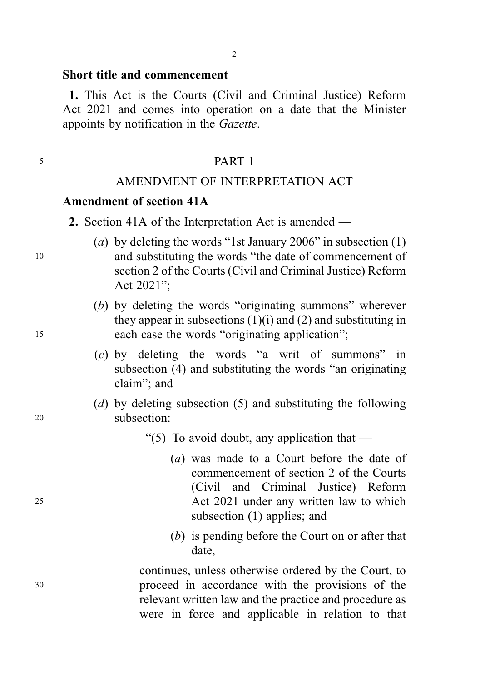#### Short title and commencement

1. This Act is the Courts (Civil and Criminal Justice) Reform Act 2021 and comes into operation on a date that the Minister appoints by notification in the Gazette.

#### <sup>5</sup> PART 1

#### AMENDMENT OF INTERPRETATION ACT

#### Amendment of section 41A

- (a) by deleting the words "1st January 2006" in subsection  $(1)$ <sup>10</sup> and substituting the words "the date of commencement of section 2 of the Courts (Civil and Criminal Justice) Reform Act 2021";
- (b) by deleting the words "originating summons" wherever they appear in subsections  $(1)(i)$  and  $(2)$  and substituting in <sup>15</sup> each case the words "originating application";
	- (c) by deleting the words "a writ of summons" in subsection (4) and substituting the words "an originating claim"; and
- (d) by deleting subsection (5) and substituting the following <sup>20</sup> subsection:
	- "(5) To avoid doubt, any application that  $-$
- (a) was made to a Court before the date of commencement of section 2 of the Courts (Civil and Criminal Justice) Reform <sup>25</sup> Act 2021 under any written law to which subsection (1) applies; and
	- (b) is pending before the Court on or after that date,

continues, unless otherwise ordered by the Court, to <sup>30</sup> proceed in accordance with the provisions of the relevant written law and the practice and procedure as were in force and applicable in relation to that

<sup>2.</sup> Section 41A of the Interpretation Act is amended —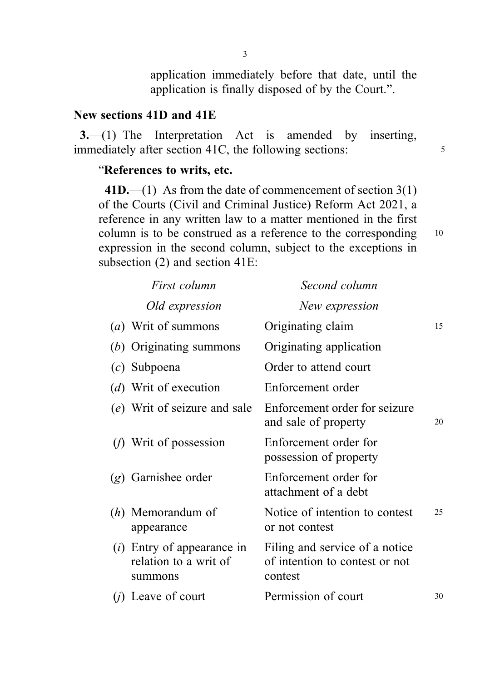### New sections 41D and 41E

3.—(1) The Interpretation Act is amended by inserting, immediately after section 41C, the following sections: 5

### "References to writs, etc.

 $41D$ .—(1) As from the date of commencement of section 3(1) of the Courts (Civil and Criminal Justice) Reform Act 2021, a reference in any written law to a matter mentioned in the first column is to be construed as a reference to the corresponding 10 expression in the second column, subject to the exceptions in subsection (2) and section 41E:

|     | First column                                                     | Second column                                                               |    |
|-----|------------------------------------------------------------------|-----------------------------------------------------------------------------|----|
|     | Old expression                                                   | New expression                                                              |    |
|     | ( <i>a</i> ) Writ of summons                                     | Originating claim                                                           | 15 |
|     | $(b)$ Originating summons                                        | Originating application                                                     |    |
|     | $(c)$ Subpoena                                                   | Order to attend court                                                       |    |
|     | (d) Writ of execution                                            | Enforcement order                                                           |    |
|     | (e) Writ of seizure and sale                                     | Enforcement order for seizure<br>and sale of property                       | 20 |
|     | $(f)$ Writ of possession                                         | Enforcement order for<br>possession of property                             |    |
|     | $(g)$ Garnishee order                                            | Enforcement order for<br>attachment of a debt                               |    |
|     | $(h)$ Memorandum of<br>appearance                                | Notice of intention to contest<br>or not contest                            | 25 |
|     | $(i)$ Entry of appearance in<br>relation to a writ of<br>summons | Filing and service of a notice<br>of intention to contest or not<br>contest |    |
| (j) | Leave of court                                                   | Permission of court                                                         | 30 |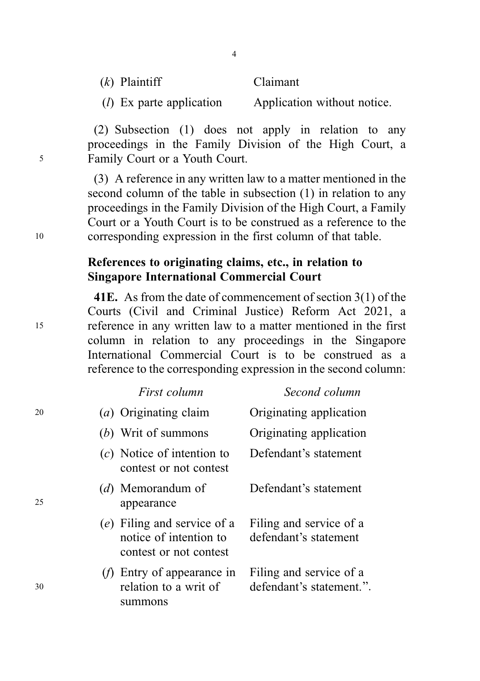Claimant

(l) Ex parte application Application without notice.

4

(2) Subsection (1) does not apply in relation to any proceedings in the Family Division of the High Court, a <sup>5</sup> Family Court or a Youth Court.

(3) A reference in any written law to a matter mentioned in the second column of the table in subsection (1) in relation to any proceedings in the Family Division of the High Court, a Family Court or a Youth Court is to be construed as a reference to the <sup>10</sup> corresponding expression in the first column of that table.

### References to originating claims, etc., in relation to Singapore International Commercial Court

41E. As from the date of commencement of section 3(1) of the Courts (Civil and Criminal Justice) Reform Act 2021, a <sup>15</sup> reference in any written law to a matter mentioned in the first column in relation to any proceedings in the Singapore International Commercial Court is to be construed as a reference to the corresponding expression in the second column:

|    | First column                                                                    | Second column                                       |
|----|---------------------------------------------------------------------------------|-----------------------------------------------------|
| 20 | (a) Originating claim                                                           | Originating application                             |
|    | (b) Writ of summons                                                             | Originating application                             |
|    | $(c)$ Notice of intention to<br>contest or not contest                          | Defendant's statement                               |
| 25 | (d) Memorandum of<br>appearance                                                 | Defendant's statement                               |
|    | (e) Filing and service of a<br>notice of intention to<br>contest or not contest | Filing and service of a<br>defendant's statement    |
| 30 | Entry of appearance in<br>relation to a writ of<br>summons                      | Filing and service of a<br>defendant's statement.". |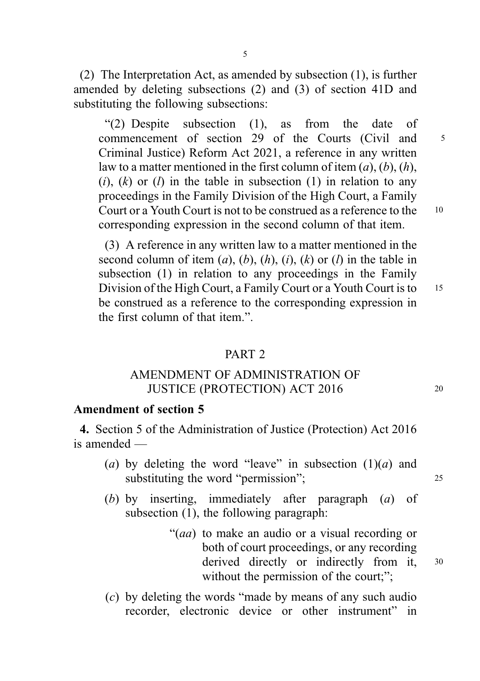(2) The Interpretation Act, as amended by subsection (1), is further amended by deleting subsections (2) and (3) of section 41D and substituting the following subsections:

5

"(2) Despite subsection (1), as from the date of commencement of section 29 of the Courts (Civil and <sup>5</sup> Criminal Justice) Reform Act 2021, a reference in any written law to a matter mentioned in the first column of item  $(a)$ ,  $(b)$ ,  $(h)$ ,  $(i)$ ,  $(k)$  or  $(l)$  in the table in subsection  $(l)$  in relation to any proceedings in the Family Division of the High Court, a Family Court or a Youth Court is not to be construed as a reference to the 10 corresponding expression in the second column of that item.

(3) A reference in any written law to a matter mentioned in the second column of item  $(a)$ ,  $(b)$ ,  $(h)$ ,  $(i)$ ,  $(k)$  or  $(l)$  in the table in subsection (1) in relation to any proceedings in the Family Division of the High Court, a Family Court or a Youth Court is to 15 be construed as a reference to the corresponding expression in the first column of that item."

#### PART 2

### AMENDMENT OF ADMINISTRATION OF JUSTICE (PROTECTION) ACT 2016 20

### Amendment of section 5

4. Section 5 of the Administration of Justice (Protection) Act 2016 is amended —

- (a) by deleting the word "leave" in subsection  $(1)(a)$  and substituting the word "permission"; 25
- (b) by inserting, immediately after paragraph (a) of subsection (1), the following paragraph:
	- "(aa) to make an audio or a visual recording or both of court proceedings, or any recording derived directly or indirectly from it,  $30$ without the permission of the court;";
- (c) by deleting the words "made by means of any such audio recorder, electronic device or other instrument" in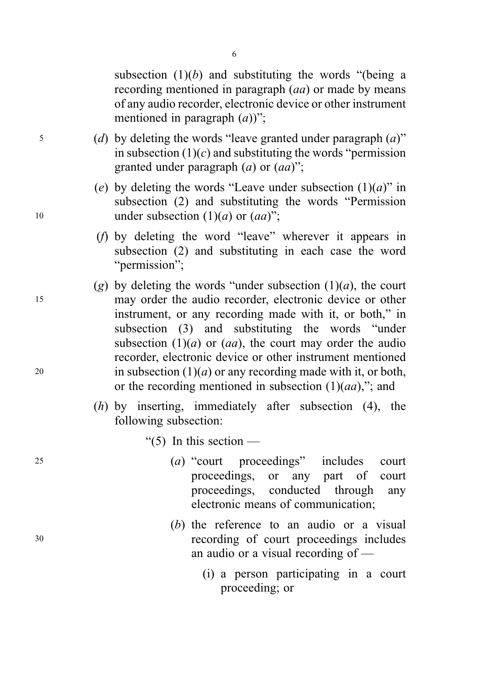subsection  $(1)(b)$  and substituting the words "(being a recording mentioned in paragraph (*aa*) or made by means of any audio recorder, electronic device or other instrument mentioned in paragraph  $(a)$ ";

- $\mathfrak{g}$  (d) by deleting the words "leave granted under paragraph  $(a)$ " in subsection  $(1)(c)$  and substituting the words "permission" granted under paragraph  $(a)$  or  $(aa)$ ";
- (e) by deleting the words "Leave under subsection  $(1)(a)$ " in subsection (2) and substituting the words "Permission 10 under subsection  $(1)(a)$  or  $(aa)$ ";
	- (f) by deleting the word "leave" wherever it appears in subsection (2) and substituting in each case the word "permission":
- (g) by deleting the words "under subsection  $(1)(a)$ , the court <sup>15</sup> may order the audio recorder, electronic device or other instrument, or any recording made with it, or both," in subsection (3) and substituting the words "under subsection  $(1)(a)$  or  $(aa)$ , the court may order the audio recorder, electronic device or other instrument mentioned 20 in subsection  $(1)(a)$  or any recording made with it, or both, or the recording mentioned in subsection  $(1)(aa)$ ,"; and
	- $(h)$  by inserting, immediately after subsection  $(4)$ , the following subsection:

"(5) In this section  $-$ 

- <sup>25</sup> (a) "court proceedings" includes court proceedings, or any part of court proceedings, conducted through any electronic means of communication;
- (b) the reference to an audio or a visual <sup>30</sup> recording of court proceedings includes an audio or a visual recording of —
	- (i) a person participating in a court proceeding; or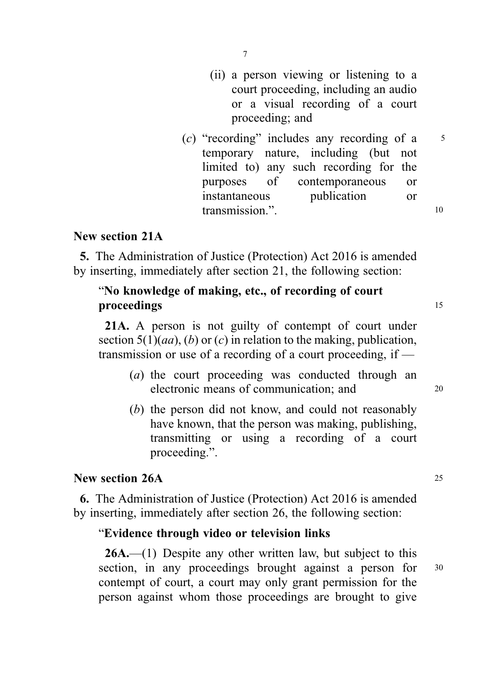- (ii) a person viewing or listening to a court proceeding, including an audio or a visual recording of a court proceeding; and
- (c) "recording" includes any recording of a  $5$ temporary nature, including (but not limited to) any such recording for the purposes of contemporaneous or instantaneous publication or transmission." 10

### New section 21A

5. The Administration of Justice (Protection) Act 2016 is amended by inserting, immediately after section 21, the following section:

### "No knowledge of making, etc., of recording of court proceedings 15

21A. A person is not guilty of contempt of court under section  $5(1)(aa)$ , (b) or (c) in relation to the making, publication, transmission or use of a recording of a court proceeding, if —

- (a) the court proceeding was conducted through an electronic means of communication; and 20
- (b) the person did not know, and could not reasonably have known, that the person was making, publishing, transmitting or using a recording of a court proceeding.".

### New section 26A 25

6. The Administration of Justice (Protection) Act 2016 is amended by inserting, immediately after section 26, the following section:

### "Evidence through video or television links

 $26A$ .—(1) Despite any other written law, but subject to this section, in any proceedings brought against a person for  $30$ contempt of court, a court may only grant permission for the person against whom those proceedings are brought to give

7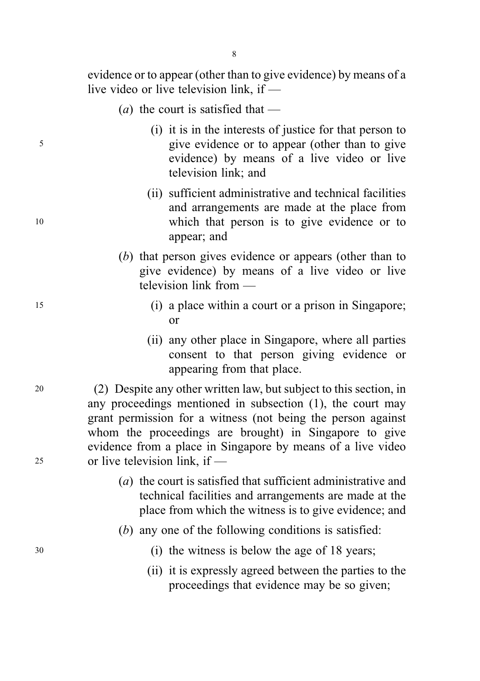evidence or to appear (other than to give evidence) by means of a live video or live television link, if —

- (*a*) the court is satisfied that —
- (i) it is in the interests of justice for that person to <sup>5</sup> give evidence or to appear (other than to give evidence) by means of a live video or live television link; and
- (ii) sufficient administrative and technical facilities and arrangements are made at the place from <sup>10</sup> which that person is to give evidence or to appear; and
	- (b) that person gives evidence or appears (other than to give evidence) by means of a live video or live television link from —
- <sup>15</sup> (i) a place within a court or a prison in Singapore; or
	- (ii) any other place in Singapore, where all parties consent to that person giving evidence or appearing from that place.

<sup>20</sup> (2) Despite any other written law, but subject to this section, in any proceedings mentioned in subsection (1), the court may grant permission for a witness (not being the person against whom the proceedings are brought) in Singapore to give evidence from a place in Singapore by means of a live video <sup>25</sup> or live television link, if —

- (a) the court is satisfied that sufficient administrative and technical facilities and arrangements are made at the place from which the witness is to give evidence; and
- (b) any one of the following conditions is satisfied:
- <sup>30</sup> (i) the witness is below the age of 18 years;
	- (ii) it is expressly agreed between the parties to the proceedings that evidence may be so given;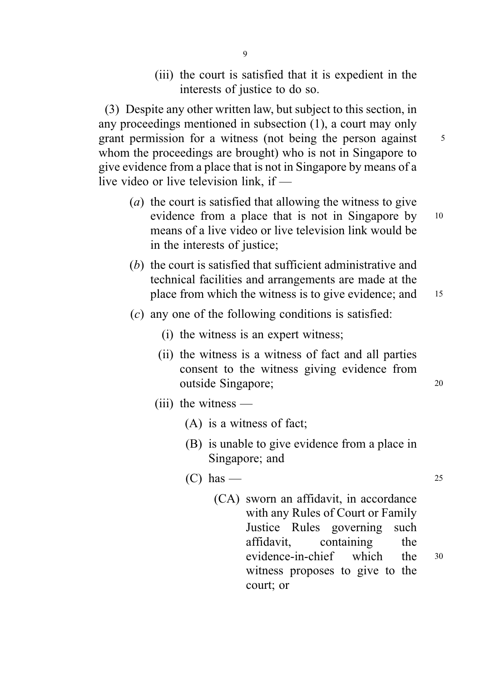(iii) the court is satisfied that it is expedient in the interests of justice to do so.

(3) Despite any other written law, but subject to this section, in any proceedings mentioned in subsection (1), a court may only grant permission for a witness (not being the person against 5 whom the proceedings are brought) who is not in Singapore to give evidence from a place that is not in Singapore by means of a live video or live television link, if —

- (a) the court is satisfied that allowing the witness to give evidence from a place that is not in Singapore by 10 means of a live video or live television link would be in the interests of justice;
- (b) the court is satisfied that sufficient administrative and technical facilities and arrangements are made at the place from which the witness is to give evidence; and 15
	-
- $(c)$  any one of the following conditions is satisfied:
	- (i) the witness is an expert witness;
	- (ii) the witness is a witness of fact and all parties consent to the witness giving evidence from outside Singapore; <sup>20</sup>
	- (iii) the witness
		- (A) is a witness of fact;
		- (B) is unable to give evidence from a place in Singapore; and
		- $(C)$  has  $-$  25
			- (CA) sworn an affidavit, in accordance with any Rules of Court or Family Justice Rules governing such affidavit, containing the evidence-in-chief which the <sup>30</sup> witness proposes to give to the court; or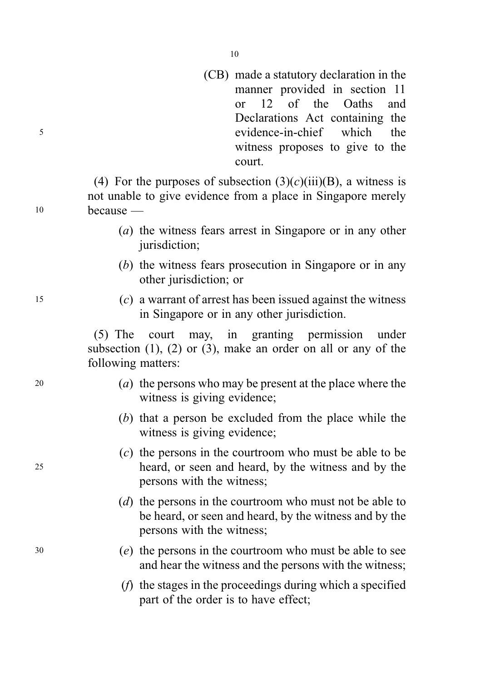(CB) made a statutory declaration in the manner provided in section 11 or 12 of the Oaths and Declarations Act containing the <sup>5</sup> evidence-in-chief which the witness proposes to give to the court.

(4) For the purposes of subsection  $(3)(c)(iii)(B)$ , a witness is not unable to give evidence from a place in Singapore merely <sup>10</sup> because —

- (a) the witness fears arrest in Singapore or in any other jurisdiction;
- (b) the witness fears prosecution in Singapore or in any other jurisdiction; or
- <sup>15</sup> (c) a warrant of arrest has been issued against the witness in Singapore or in any other jurisdiction.

(5) The court may, in granting permission under subsection  $(1)$ ,  $(2)$  or  $(3)$ , make an order on all or any of the following matters:

- <sup>20</sup> (a) the persons who may be present at the place where the witness is giving evidence;
	- (b) that a person be excluded from the place while the witness is giving evidence;
- (c) the persons in the courtroom who must be able to be <sup>25</sup> heard, or seen and heard, by the witness and by the persons with the witness;
	- (d) the persons in the courtroom who must not be able to be heard, or seen and heard, by the witness and by the persons with the witness;
- <sup>30</sup> (e) the persons in the courtroom who must be able to see and hear the witness and the persons with the witness;
	- (f) the stages in the proceedings during which a specified part of the order is to have effect;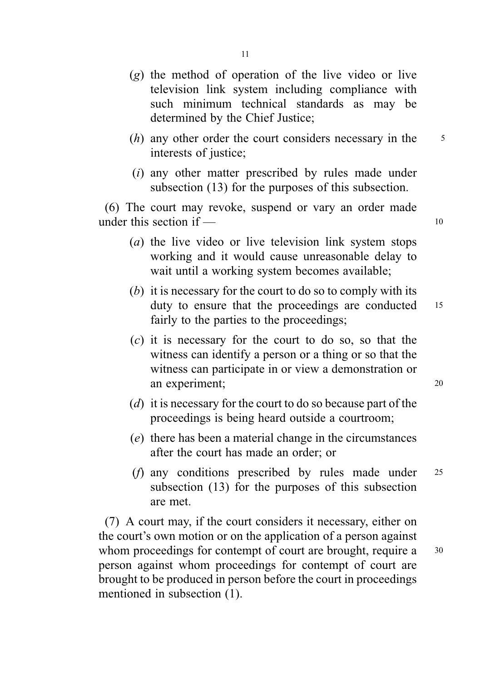- (g) the method of operation of the live video or live television link system including compliance with such minimum technical standards as may be determined by the Chief Justice;
- $(h)$  any other order the court considers necessary in the  $5$ interests of justice;
- (i) any other matter prescribed by rules made under subsection (13) for the purposes of this subsection.

(6) The court may revoke, suspend or vary an order made under this section if  $\frac{10}{10}$ 

- (a) the live video or live television link system stops working and it would cause unreasonable delay to wait until a working system becomes available;
- (b) it is necessary for the court to do so to comply with its duty to ensure that the proceedings are conducted 15 fairly to the parties to the proceedings;
- $(c)$  it is necessary for the court to do so, so that the witness can identify a person or a thing or so that the witness can participate in or view a demonstration or an experiment; 20
- (d) it is necessary for the court to do so because part of the proceedings is being heard outside a courtroom;
- (e) there has been a material change in the circumstances after the court has made an order; or
- (f) any conditions prescribed by rules made under <sup>25</sup> subsection (13) for the purposes of this subsection are met.

(7) A court may, if the court considers it necessary, either on the court's own motion or on the application of a person against whom proceedings for contempt of court are brought, require a 30 person against whom proceedings for contempt of court are brought to be produced in person before the court in proceedings mentioned in subsection (1).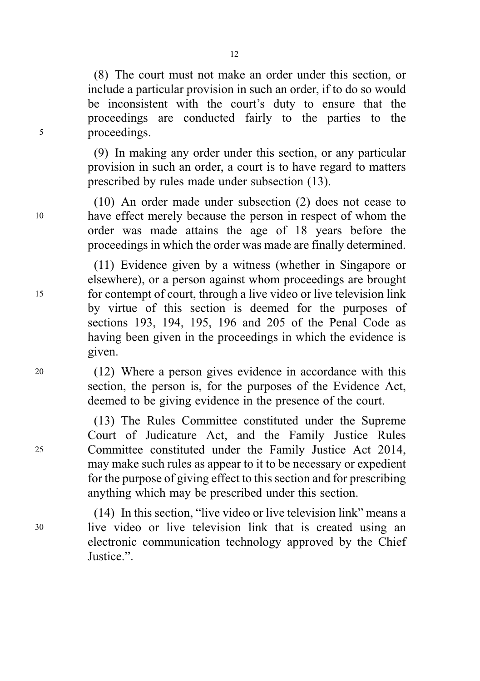(8) The court must not make an order under this section, or include a particular provision in such an order, if to do so would be inconsistent with the court's duty to ensure that the proceedings are conducted fairly to the parties to the <sup>5</sup> proceedings.

> (9) In making any order under this section, or any particular provision in such an order, a court is to have regard to matters prescribed by rules made under subsection (13).

(10) An order made under subsection (2) does not cease to <sup>10</sup> have effect merely because the person in respect of whom the order was made attains the age of 18 years before the proceedings in which the order was made are finally determined.

(11) Evidence given by a witness (whether in Singapore or elsewhere), or a person against whom proceedings are brought <sup>15</sup> for contempt of court, through a live video or live television link by virtue of this section is deemed for the purposes of sections 193, 194, 195, 196 and 205 of the Penal Code as having been given in the proceedings in which the evidence is given.

<sup>20</sup> (12) Where a person gives evidence in accordance with this section, the person is, for the purposes of the Evidence Act, deemed to be giving evidence in the presence of the court.

(13) The Rules Committee constituted under the Supreme Court of Judicature Act, and the Family Justice Rules <sup>25</sup> Committee constituted under the Family Justice Act 2014, may make such rules as appear to it to be necessary or expedient for the purpose of giving effect to this section and for prescribing anything which may be prescribed under this section.

(14) In this section, "live video or live television link" means a <sup>30</sup> live video or live television link that is created using an electronic communication technology approved by the Chief Justice.".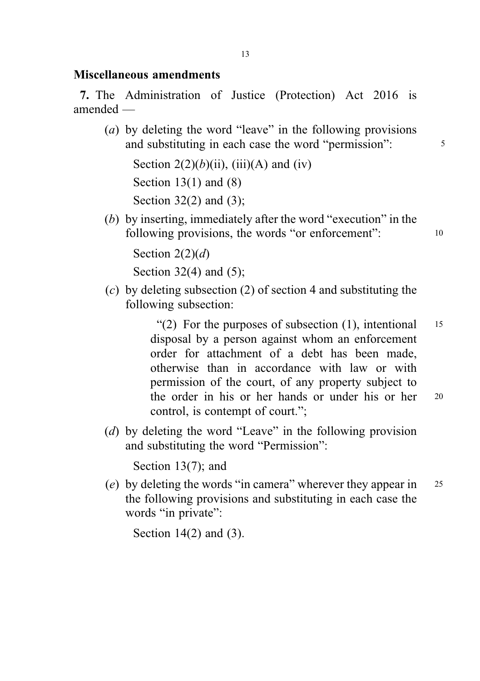### Miscellaneous amendments

7. The Administration of Justice (Protection) Act 2016 is amended —

(a) by deleting the word "leave" in the following provisions and substituting in each case the word "permission":  $\frac{5}{5}$ 

Section  $2(2)(b)(ii)$ , (iii)(A) and (iv) Section  $13(1)$  and  $(8)$ Section 32(2) and (3);

(b) by inserting, immediately after the word "execution" in the following provisions, the words "or enforcement": 10

Section  $2(2)(d)$ 

Section  $32(4)$  and  $(5)$ ;

(c) by deleting subsection (2) of section 4 and substituting the following subsection:

> "(2) For the purposes of subsection  $(1)$ , intentional 15 disposal by a person against whom an enforcement order for attachment of a debt has been made, otherwise than in accordance with law or with permission of the court, of any property subject to the order in his or her hands or under his or her <sup>20</sup> control, is contempt of court.";

(d) by deleting the word "Leave" in the following provision and substituting the word "Permission":

Section 13(7); and

(e) by deleting the words "in camera" wherever they appear in  $25$ the following provisions and substituting in each case the words "in private":

Section 14(2) and (3).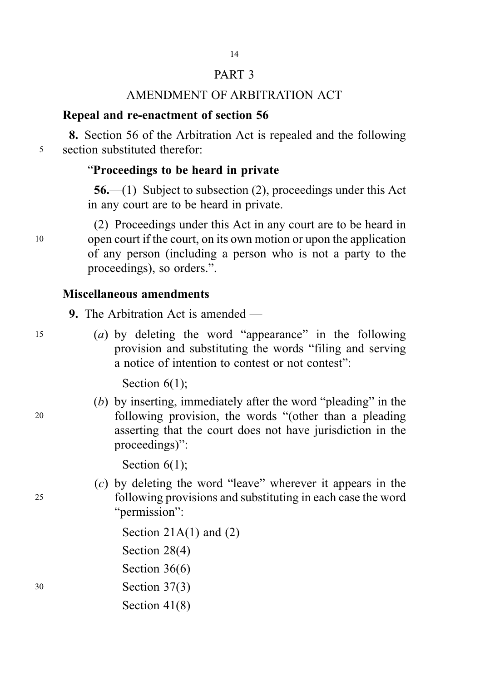# PART 3 14

# AMENDMENT OF ARBITRATION ACT

# Repeal and re-enactment of section 56

8. Section 56 of the Arbitration Act is repealed and the following <sup>5</sup> section substituted therefor:

# "Proceedings to be heard in private

56.—(1) Subject to subsection (2), proceedings under this Act in any court are to be heard in private.

(2) Proceedings under this Act in any court are to be heard in <sup>10</sup> open court if the court, on its own motion or upon the application of any person (including a person who is not a party to the proceedings), so orders.".

## Miscellaneous amendments

9. The Arbitration Act is amended —

- 
- <sup>15</sup> (a) by deleting the word "appearance" in the following provision and substituting the words "filing and serving a notice of intention to contest or not contest":

Section  $6(1)$ ;

(b) by inserting, immediately after the word "pleading" in the <sup>20</sup> following provision, the words "(other than a pleading asserting that the court does not have jurisdiction in the proceedings)":

Section  $6(1)$ ;

(c) by deleting the word "leave" wherever it appears in the <sup>25</sup> following provisions and substituting in each case the word "permission":

Section  $21A(1)$  and  $(2)$ Section 28(4) Section 36(6) <sup>30</sup> Section 37(3) Section 41(8)

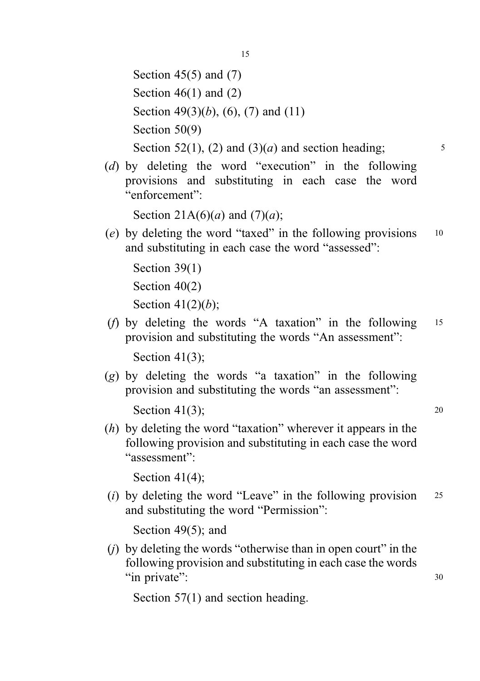Section  $45(5)$  and  $(7)$ Section  $46(1)$  and  $(2)$ Section 49(3)(*b*), (6), (7) and (11) Section 50(9) Section 52(1), (2) and (3)(*a*) and section heading;  $\frac{5}{2}$ 

(d) by deleting the word "execution" in the following provisions and substituting in each case the word "enforcement":

Section 21A(6)(*a*) and (7)(*a*);

(e) by deleting the word "taxed" in the following provisions <sup>10</sup> and substituting in each case the word "assessed":

```
Section 39(1)
Section 40(2)
Section 41(2)(b);
```
(f) by deleting the words "A taxation" in the following <sup>15</sup> provision and substituting the words "An assessment":

Section 41(3);

(g) by deleting the words "a taxation" in the following provision and substituting the words "an assessment":

Section  $41(3)$ ; 20

(h) by deleting the word "taxation" wherever it appears in the following provision and substituting in each case the word "assessment":

Section 41(4);

(i) by deleting the word "Leave" in the following provision  $25$ and substituting the word "Permission":

Section 49(5); and

(j) by deleting the words "otherwise than in open court" in the following provision and substituting in each case the words "in private": 30

Section 57(1) and section heading.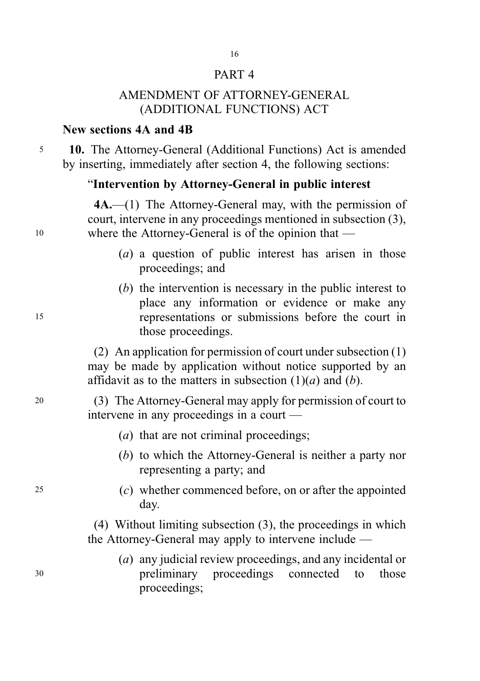### PART 4

16

# AMENDMENT OF ATTORNEY-GENERAL (ADDITIONAL FUNCTIONS) ACT

### New sections 4A and 4B

<sup>5</sup> 10. The Attorney-General (Additional Functions) Act is amended by inserting, immediately after section 4, the following sections:

### "Intervention by Attorney-General in public interest

4A.—(1) The Attorney-General may, with the permission of court, intervene in any proceedings mentioned in subsection (3), <sup>10</sup> where the Attorney-General is of the opinion that —

- (a) a question of public interest has arisen in those proceedings; and
- (b) the intervention is necessary in the public interest to place any information or evidence or make any <sup>15</sup> representations or submissions before the court in those proceedings.

(2) An application for permission of court under subsection (1) may be made by application without notice supported by an affidavit as to the matters in subsection  $(1)(a)$  and  $(b)$ .

<sup>20</sup> (3) The Attorney-General may apply for permission of court to intervene in any proceedings in a court —

- (*a*) that are not criminal proceedings;
- (b) to which the Attorney-General is neither a party nor representing a party; and
- <sup>25</sup> (c) whether commenced before, on or after the appointed day.

(4) Without limiting subsection (3), the proceedings in which the Attorney-General may apply to intervene include —

(a) any judicial review proceedings, and any incidental or <sup>30</sup> preliminary proceedings connected to those proceedings;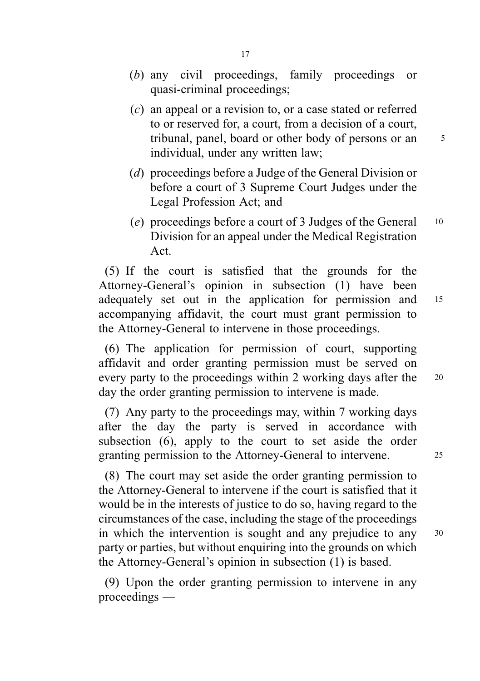- (b) any civil proceedings, family proceedings or quasi-criminal proceedings;
- (c) an appeal or a revision to, or a case stated or referred to or reserved for, a court, from a decision of a court, tribunal, panel, board or other body of persons or an  $\frac{5}{5}$ individual, under any written law;
- (d) proceedings before a Judge of the General Division or before a court of 3 Supreme Court Judges under the Legal Profession Act; and
- (e) proceedings before a court of 3 Judges of the General  $10$ Division for an appeal under the Medical Registration Act.

(5) If the court is satisfied that the grounds for the Attorney-General's opinion in subsection (1) have been adequately set out in the application for permission and <sup>15</sup> accompanying affidavit, the court must grant permission to the Attorney-General to intervene in those proceedings.

(6) The application for permission of court, supporting affidavit and order granting permission must be served on every party to the proceedings within 2 working days after the 20 day the order granting permission to intervene is made.

(7) Any party to the proceedings may, within 7 working days after the day the party is served in accordance with subsection (6), apply to the court to set aside the order granting permission to the Attorney-General to intervene. <sup>25</sup>

(8) The court may set aside the order granting permission to the Attorney-General to intervene if the court is satisfied that it would be in the interests of justice to do so, having regard to the circumstances of the case, including the stage of the proceedings in which the intervention is sought and any prejudice to any <sup>30</sup> party or parties, but without enquiring into the grounds on which the Attorney-General's opinion in subsection (1) is based.

(9) Upon the order granting permission to intervene in any proceedings —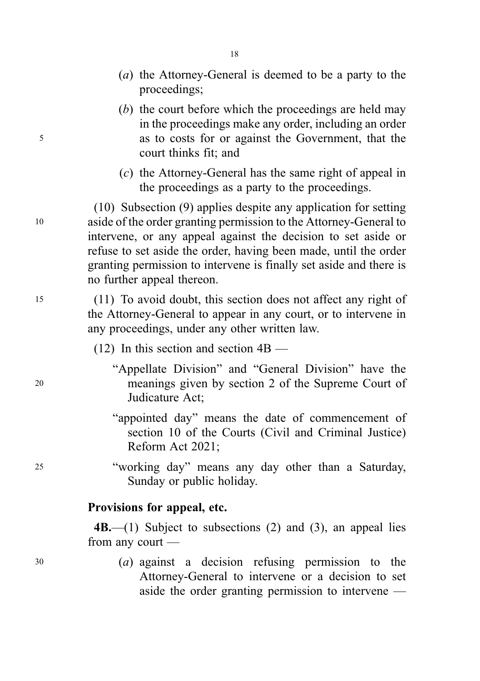- (a) the Attorney-General is deemed to be a party to the proceedings;
- (b) the court before which the proceedings are held may in the proceedings make any order, including an order <sup>5</sup> as to costs for or against the Government, that the court thinks fit; and
	- (c) the Attorney-General has the same right of appeal in the proceedings as a party to the proceedings.

(10) Subsection (9) applies despite any application for setting <sup>10</sup> aside of the order granting permission to the Attorney-General to intervene, or any appeal against the decision to set aside or refuse to set aside the order, having been made, until the order granting permission to intervene is finally set aside and there is no further appeal thereon.

<sup>15</sup> (11) To avoid doubt, this section does not affect any right of the Attorney-General to appear in any court, or to intervene in any proceedings, under any other written law.

- (12) In this section and section 4B —
- "Appellate Division" and "General Division" have the <sup>20</sup> meanings given by section 2 of the Supreme Court of Judicature Act;
	- "appointed day" means the date of commencement of section 10 of the Courts (Civil and Criminal Justice) Reform Act 2021;
- <sup>25</sup> "working day" means any day other than a Saturday, Sunday or public holiday.

### Provisions for appeal, etc.

 $4B$ —(1) Subject to subsections (2) and (3), an appeal lies from any court —

- - <sup>30</sup> (a) against a decision refusing permission to the Attorney-General to intervene or a decision to set aside the order granting permission to intervene —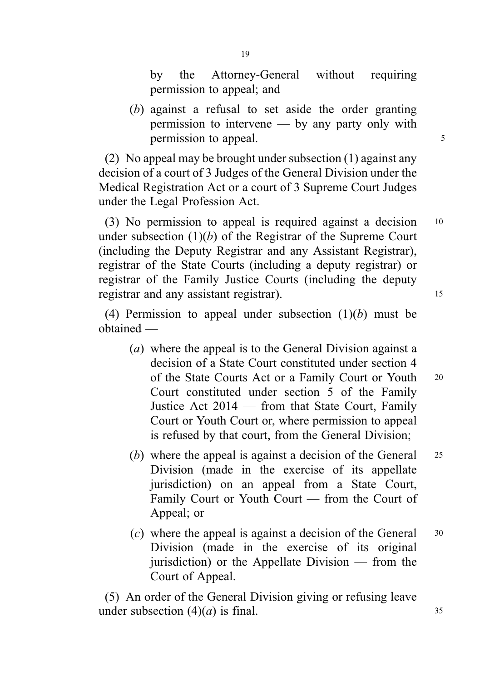by the Attorney-General without requiring permission to appeal; and

(b) against a refusal to set aside the order granting permission to intervene — by any party only with permission to appeal.

(2) No appeal may be brought under subsection (1) against any decision of a court of 3 Judges of the General Division under the Medical Registration Act or a court of 3 Supreme Court Judges under the Legal Profession Act.

(3) No permission to appeal is required against a decision <sup>10</sup> under subsection  $(1)(b)$  of the Registrar of the Supreme Court (including the Deputy Registrar and any Assistant Registrar), registrar of the State Courts (including a deputy registrar) or registrar of the Family Justice Courts (including the deputy registrar and any assistant registrar).

(4) Permission to appeal under subsection  $(1)(b)$  must be obtained —

- (a) where the appeal is to the General Division against a decision of a State Court constituted under section 4 of the State Courts Act or a Family Court or Youth <sup>20</sup> Court constituted under section 5 of the Family Justice Act 2014 — from that State Court, Family Court or Youth Court or, where permission to appeal is refused by that court, from the General Division;
- (b) where the appeal is against a decision of the General 25 Division (made in the exercise of its appellate jurisdiction) on an appeal from a State Court, Family Court or Youth Court — from the Court of Appeal; or
- (c) where the appeal is against a decision of the General  $30$ Division (made in the exercise of its original jurisdiction) or the Appellate Division — from the Court of Appeal.

(5) An order of the General Division giving or refusing leave under subsection  $(4)(a)$  is final. 35

19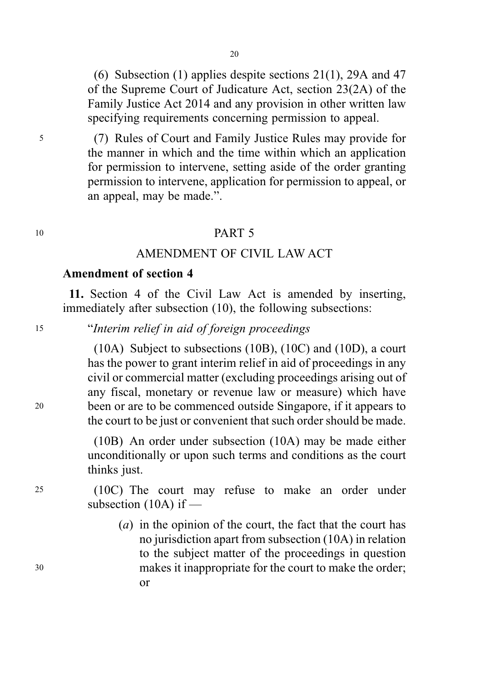(6) Subsection (1) applies despite sections 21(1), 29A and 47 of the Supreme Court of Judicature Act, section 23(2A) of the Family Justice Act 2014 and any provision in other written law specifying requirements concerning permission to appeal.

<sup>5</sup> (7) Rules of Court and Family Justice Rules may provide for the manner in which and the time within which an application for permission to intervene, setting aside of the order granting permission to intervene, application for permission to appeal, or an appeal, may be made.".

### <sup>10</sup> PART 5

### AMENDMENT OF CIVIL LAW ACT

#### Amendment of section 4

11. Section 4 of the Civil Law Act is amended by inserting, immediately after subsection (10), the following subsections:

<sup>15</sup> "Interim relief in aid of foreign proceedings

(10A) Subject to subsections (10B), (10C) and (10D), a court has the power to grant interim relief in aid of proceedings in any civil or commercial matter (excluding proceedings arising out of any fiscal, monetary or revenue law or measure) which have <sup>20</sup> been or are to be commenced outside Singapore, if it appears to the court to be just or convenient that such order should be made.

> (10B) An order under subsection (10A) may be made either unconditionally or upon such terms and conditions as the court thinks just.

<sup>25</sup> (10C) The court may refuse to make an order under subsection (10A) if —

(a) in the opinion of the court, the fact that the court has no jurisdiction apart from subsection (10A) in relation to the subject matter of the proceedings in question <sup>30</sup> makes it inappropriate for the court to make the order; or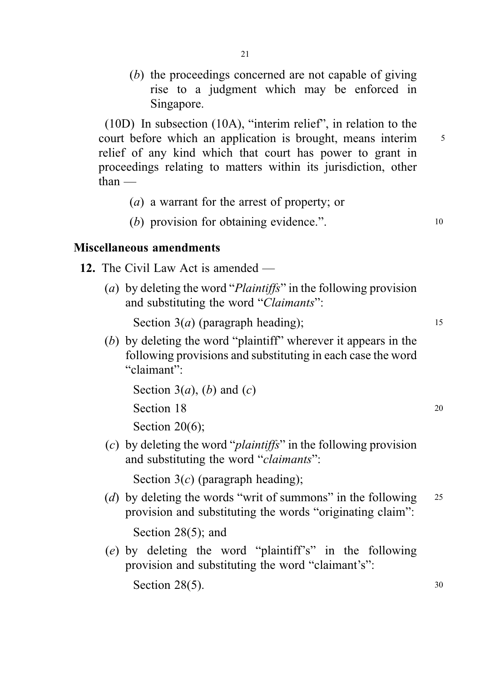(b) the proceedings concerned are not capable of giving rise to a judgment which may be enforced in Singapore.

(10D) In subsection (10A), "interim relief", in relation to the court before which an application is brought, means interim  $\frac{5}{5}$ relief of any kind which that court has power to grant in proceedings relating to matters within its jurisdiction, other than —

- (a) a warrant for the arrest of property; or
- (b) provision for obtaining evidence.". 10

### Miscellaneous amendments

- 12. The Civil Law Act is amended
	- (a) by deleting the word "Plaintiffs" in the following provision and substituting the word "Claimants":

Section  $3(a)$  (paragraph heading); 15

(b) by deleting the word "plaintiff" wherever it appears in the following provisions and substituting in each case the word "claimant":

Section 3(*a*), (*b*) and (*c*) Section 18 20

Section 20(6):

(c) by deleting the word "plaintiffs" in the following provision and substituting the word "claimants":

Section  $3(c)$  (paragraph heading);

(d) by deleting the words "writ of summons" in the following  $25$ provision and substituting the words "originating claim":

Section 28(5); and

(e) by deleting the word "plaintiff's" in the following provision and substituting the word "claimant's":

Section  $28(5)$ . 30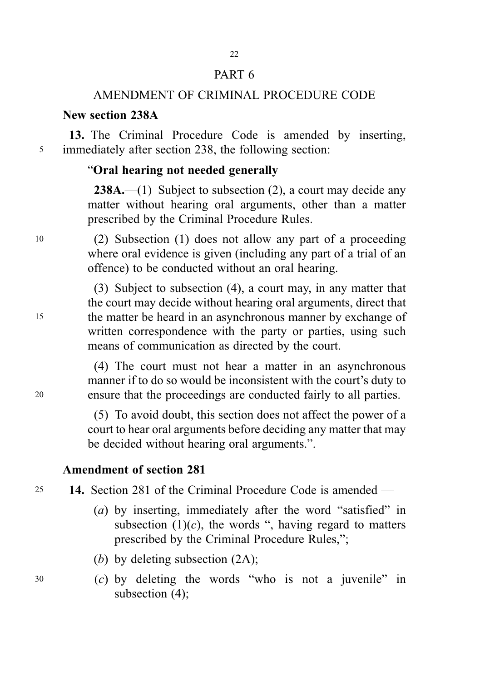### PART 6

### AMENDMENT OF CRIMINAL PROCEDURE CODE

### New section 238A

13. The Criminal Procedure Code is amended by inserting, <sup>5</sup> immediately after section 238, the following section:

### "Oral hearing not needed generally

238A.—(1) Subject to subsection (2), a court may decide any matter without hearing oral arguments, other than a matter prescribed by the Criminal Procedure Rules.

<sup>10</sup> (2) Subsection (1) does not allow any part of a proceeding where oral evidence is given (including any part of a trial of an offence) to be conducted without an oral hearing.

(3) Subject to subsection (4), a court may, in any matter that the court may decide without hearing oral arguments, direct that <sup>15</sup> the matter be heard in an asynchronous manner by exchange of written correspondence with the party or parties, using such means of communication as directed by the court.

(4) The court must not hear a matter in an asynchronous manner if to do so would be inconsistent with the court's duty to <sup>20</sup> ensure that the proceedings are conducted fairly to all parties.

> (5) To avoid doubt, this section does not affect the power of a court to hear oral arguments before deciding any matter that may be decided without hearing oral arguments.".

### Amendment of section 281

<sup>25</sup> 14. Section 281 of the Criminal Procedure Code is amended —

(a) by inserting, immediately after the word "satisfied" in subsection  $(1)(c)$ , the words ", having regard to matters prescribed by the Criminal Procedure Rules,";

(b) by deleting subsection (2A);

<sup>30</sup> (c) by deleting the words "who is not a juvenile" in subsection (4);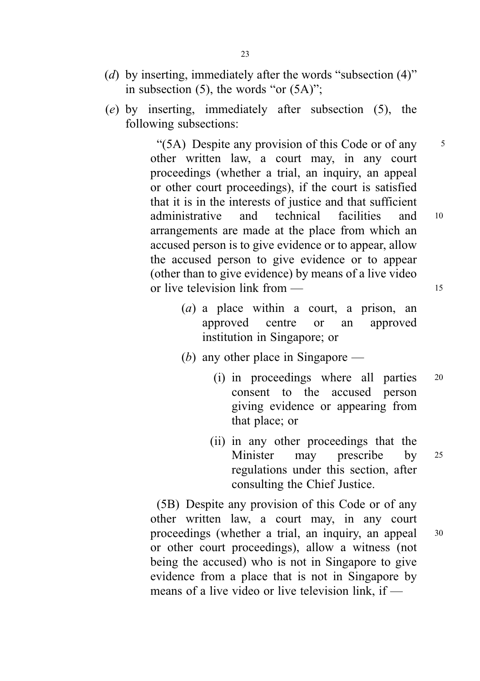- (d) by inserting, immediately after the words "subsection (4)" in subsection (5), the words "or (5A)";
- (e) by inserting, immediately after subsection (5), the following subsections:

"(5A) Despite any provision of this Code or of any  $\frac{5}{5}$ other written law, a court may, in any court proceedings (whether a trial, an inquiry, an appeal or other court proceedings), if the court is satisfied that it is in the interests of justice and that sufficient administrative and technical facilities and <sup>10</sup> arrangements are made at the place from which an accused person is to give evidence or to appear, allow the accused person to give evidence or to appear (other than to give evidence) by means of a live video or live television link from — 15

- (a) a place within a court, a prison, an approved centre or an approved institution in Singapore; or
- (b) any other place in Singapore
	- (i) in proceedings where all parties <sup>20</sup> consent to the accused person giving evidence or appearing from that place; or
	- (ii) in any other proceedings that the Minister may prescribe by <sup>25</sup> regulations under this section, after consulting the Chief Justice.

(5B) Despite any provision of this Code or of any other written law, a court may, in any court proceedings (whether a trial, an inquiry, an appeal <sup>30</sup> or other court proceedings), allow a witness (not being the accused) who is not in Singapore to give evidence from a place that is not in Singapore by means of a live video or live television link, if —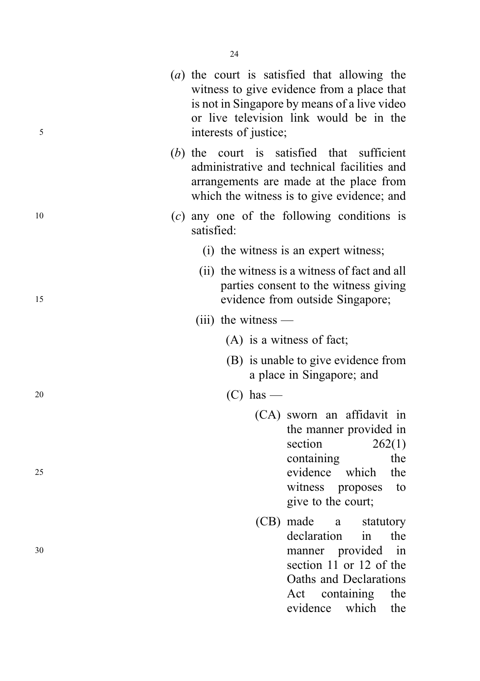| 5  | interests of justice; | (a) the court is satisfied that allowing the<br>witness to give evidence from a place that<br>is not in Singapore by means of a live video<br>or live television link would be in the |
|----|-----------------------|---------------------------------------------------------------------------------------------------------------------------------------------------------------------------------------|
|    |                       | (b) the court is satisfied that sufficient<br>administrative and technical facilities and<br>arrangements are made at the place from<br>which the witness is to give evidence; and    |
| 10 | satisfied:            | $(c)$ any one of the following conditions is                                                                                                                                          |
|    |                       | (i) the witness is an expert witness;                                                                                                                                                 |
| 15 |                       | (ii) the witness is a witness of fact and all<br>parties consent to the witness giving<br>evidence from outside Singapore;                                                            |
|    | $(iii)$ the witness — |                                                                                                                                                                                       |
|    |                       | $(A)$ is a witness of fact;                                                                                                                                                           |
|    |                       | (B) is unable to give evidence from<br>a place in Singapore; and                                                                                                                      |
| 20 | $(C)$ has —           |                                                                                                                                                                                       |
|    |                       | (CA) sworn an affidavit in<br>the manner provided in<br>section<br>262(1)<br>the                                                                                                      |
| 25 |                       | containing<br>evidence which<br>the<br>witness proposes<br>to<br>give to the court;                                                                                                   |
| 30 |                       | (CB) made<br>a<br>statutory<br>declaration<br>the<br>in<br>manner provided in<br>section 11 or 12 of the<br>Oaths and Declarations                                                    |
|    |                       | Act<br>containing<br>the                                                                                                                                                              |

evidence which the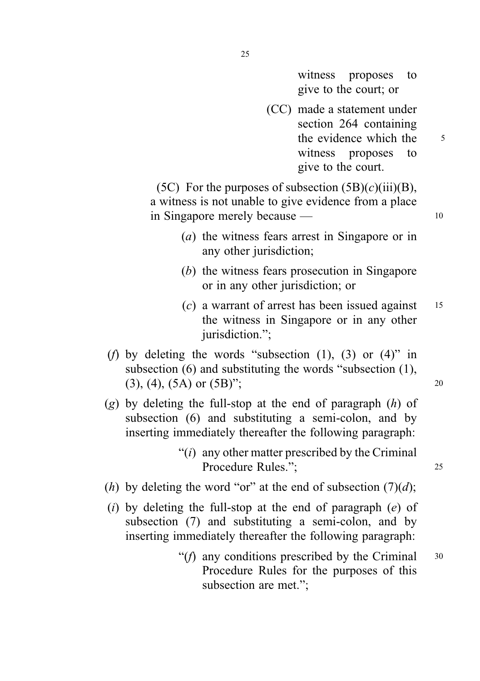witness proposes to give to the court; or

(CC) made a statement under section 264 containing the evidence which the 5 witness proposes to give to the court.

(5C) For the purposes of subsection  $(5B)(c)(iii)(B)$ , a witness is not unable to give evidence from a place in Singapore merely because — 10

- (a) the witness fears arrest in Singapore or in any other jurisdiction;
- (b) the witness fears prosecution in Singapore or in any other jurisdiction; or
- $(c)$  a warrant of arrest has been issued against 15 the witness in Singapore or in any other jurisdiction.":
- (f) by deleting the words "subsection  $(1)$ ,  $(3)$  or  $(4)$ " in subsection (6) and substituting the words "subsection (1),  $(3)$ ,  $(4)$ ,  $(5A)$  or  $(5B)$ "; 20
- (g) by deleting the full-stop at the end of paragraph  $(h)$  of subsection (6) and substituting a semi-colon, and by inserting immediately thereafter the following paragraph:
	- " $(i)$  any other matter prescribed by the Criminal Procedure Rules.": 25
- (h) by deleting the word "or" at the end of subsection  $(7)(d)$ ;
- (i) by deleting the full-stop at the end of paragraph  $(e)$  of subsection (7) and substituting a semi-colon, and by inserting immediately thereafter the following paragraph:
	- "( $f$ ) any conditions prescribed by the Criminal  $30$ Procedure Rules for the purposes of this subsection are met.";

25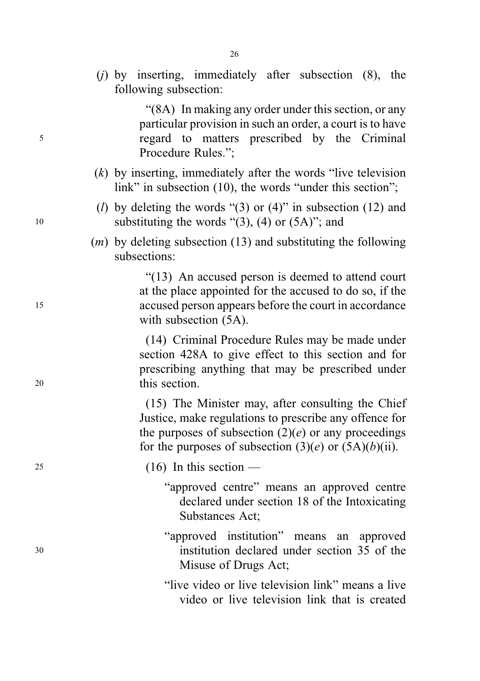(j) by inserting, immediately after subsection (8), the following subsection:

"(8A) In making any order under this section, or any particular provision in such an order, a court is to have <sup>5</sup> regard to matters prescribed by the Criminal Procedure Rules.";

- $(k)$  by inserting, immediately after the words "live television" link" in subsection (10), the words "under this section";
- (*l*) by deleting the words "(3) or (4)" in subsection (12) and 10 substituting the words " $(3)$ ,  $(4)$  or  $(5A)$ "; and
	- $(m)$  by deleting subsection (13) and substituting the following subsections:

"(13) An accused person is deemed to attend court at the place appointed for the accused to do so, if the <sup>15</sup> accused person appears before the court in accordance with subsection (5A).

(14) Criminal Procedure Rules may be made under section 428A to give effect to this section and for prescribing anything that may be prescribed under <sup>20</sup> this section.

> (15) The Minister may, after consulting the Chief Justice, make regulations to prescribe any offence for the purposes of subsection  $(2)(e)$  or any proceedings for the purposes of subsection  $(3)(e)$  or  $(5A)(b)(ii)$ .

 $25$  (16) In this section —

- "approved centre" means an approved centre declared under section 18 of the Intoxicating Substances Act;
- "approved institution" means an approved <sup>30</sup> institution declared under section 35 of the Misuse of Drugs Act;

"live video or live television link" means a live video or live television link that is created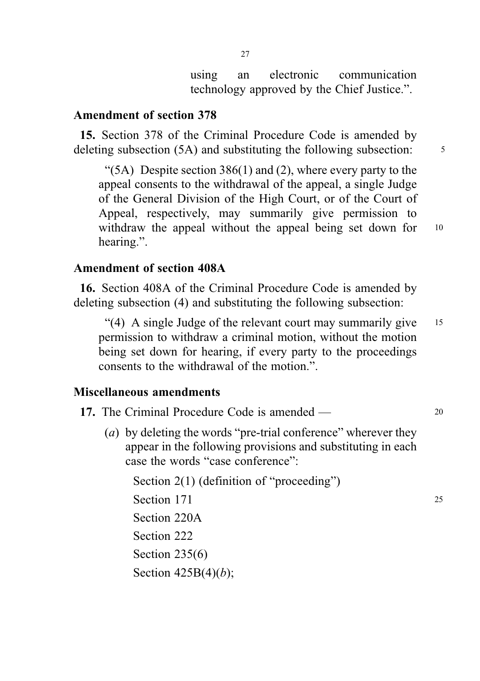using an electronic communication technology approved by the Chief Justice.".

### Amendment of section 378

15. Section 378 of the Criminal Procedure Code is amended by deleting subsection (5A) and substituting the following subsection: 5

" $(5A)$  Despite section 386(1) and (2), where every party to the appeal consents to the withdrawal of the appeal, a single Judge of the General Division of the High Court, or of the Court of Appeal, respectively, may summarily give permission to withdraw the appeal without the appeal being set down for 10 hearing.".

### Amendment of section 408A

16. Section 408A of the Criminal Procedure Code is amended by deleting subsection (4) and substituting the following subsection:

"(4) A single Judge of the relevant court may summarily give <sup>15</sup> permission to withdraw a criminal motion, without the motion being set down for hearing, if every party to the proceedings consents to the withdrawal of the motion.".

#### Miscellaneous amendments

- 17. The Criminal Procedure Code is amended 20
	- (*a*) by deleting the words "pre-trial conference" wherever they appear in the following provisions and substituting in each case the words "case conference":

Section 2(1) (definition of "proceeding") Section 171 25 Section 220A Section 222 Section 235(6) Section  $425B(4)(b)$ ;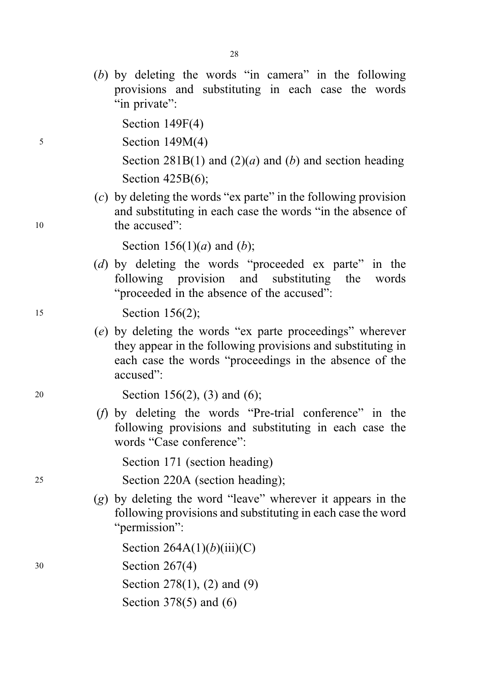(b) by deleting the words "in camera" in the following provisions and substituting in each case the words "in private":

Section 149F(4)

<sup>5</sup> Section 149M(4)

Section 281B(1) and (2)(*a*) and (*b*) and section heading Section 425B(6);

(c) by deleting the words "ex parte" in the following provision and substituting in each case the words "in the absence of 10 the accused":

Section 156(1)(*a*) and (*b*);

(d) by deleting the words "proceeded ex parte" in the following provision and substituting the words "proceeded in the absence of the accused":

15 **Section 156(2);** 

(e) by deleting the words "ex parte proceedings" wherever they appear in the following provisions and substituting in each case the words "proceedings in the absence of the accused":

<sup>20</sup> Section 156(2), (3) and (6);

(f) by deleting the words "Pre-trial conference" in the following provisions and substituting in each case the words "Case conference":

Section 171 (section heading)

<sup>25</sup> Section 220A (section heading);

(g) by deleting the word "leave" wherever it appears in the following provisions and substituting in each case the word "permission":

Section  $264A(1)(b)(iii)(C)$ 

<sup>30</sup> Section 267(4)

Section 278(1), (2) and (9)

Section 378(5) and (6)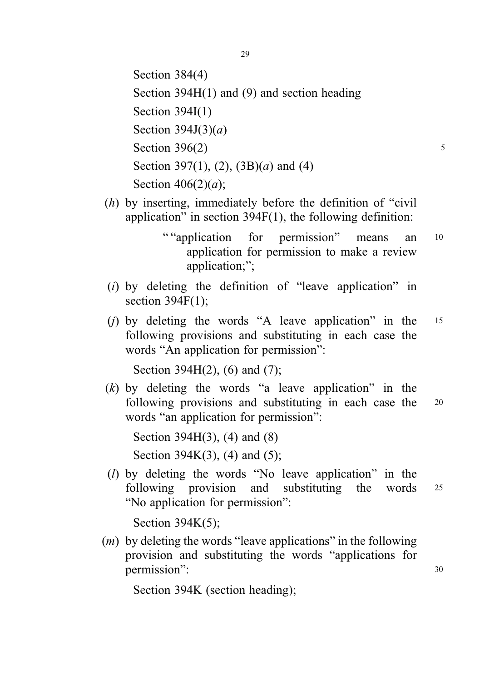Section 384(4) Section 394H(1) and (9) and section heading Section 394I(1) Section  $394J(3)(a)$ Section  $396(2)$  5 Section 397(1), (2), (3B)(*a*) and (4) Section  $406(2)(a)$ ;

- (h) by inserting, immediately before the definition of "civil application" in section 394F(1), the following definition:
	- " "application for permission" means an  $10$ application for permission to make a review application;";
- $(i)$  by deleting the definition of "leave application" in section  $394F(1)$ :
- (*j*) by deleting the words "A leave application" in the  $15$ following provisions and substituting in each case the words "An application for permission":

Section 394H(2), (6) and (7);

 $(k)$  by deleting the words "a leave application" in the following provisions and substituting in each case the 20 words "an application for permission":

Section 394H(3), (4) and (8) Section 394K(3), (4) and (5);

(l) by deleting the words "No leave application" in the following provision and substituting the words <sup>25</sup> "No application for permission":

Section 394K(5);

 $(m)$  by deleting the words "leave applications" in the following provision and substituting the words "applications for permission": 30

Section 394K (section heading);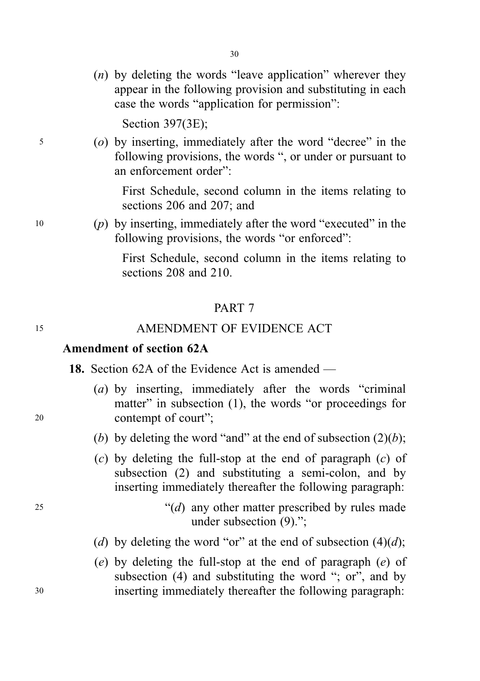$(n)$  by deleting the words "leave application" wherever they appear in the following provision and substituting in each case the words "application for permission":

Section 397(3E);

<sup>5</sup> (o) by inserting, immediately after the word "decree" in the following provisions, the words ", or under or pursuant to an enforcement order":

> First Schedule, second column in the items relating to sections 206 and 207; and

<sup>10</sup> (p) by inserting, immediately after the word "executed" in the following provisions, the words "or enforced":

> First Schedule, second column in the items relating to sections 208 and 210.

#### PART 7

### 15 AMENDMENT OF EVIDENCE ACT

#### Amendment of section 62A

18. Section 62A of the Evidence Act is amended —

- (a) by inserting, immediately after the words "criminal matter" in subsection (1), the words "or proceedings for <sup>20</sup> contempt of court";
	- (b) by deleting the word "and" at the end of subsection  $(2)(b)$ ;
	- $(c)$  by deleting the full-stop at the end of paragraph  $(c)$  of subsection (2) and substituting a semi-colon, and by inserting immediately thereafter the following paragraph:
- $^{(25)}$   $^{(d)}$  any other matter prescribed by rules made under subsection (9).";
	- (d) by deleting the word "or" at the end of subsection  $(4)(d)$ ;
- (e) by deleting the full-stop at the end of paragraph (e) of subsection (4) and substituting the word "; or", and by <sup>30</sup> inserting immediately thereafter the following paragraph: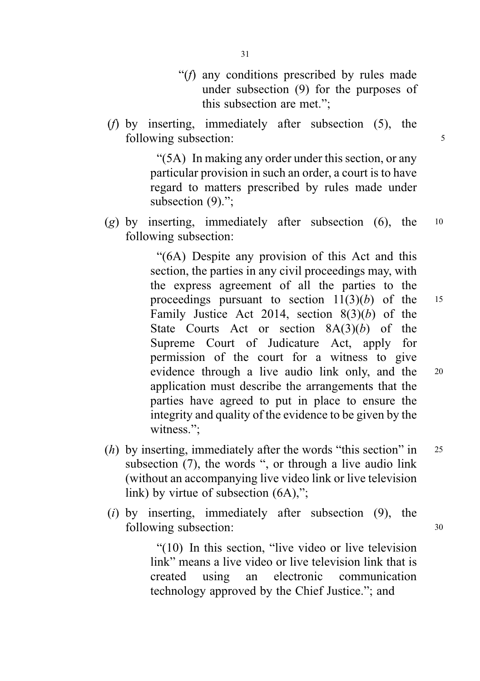- "(f) any conditions prescribed by rules made under subsection (9) for the purposes of this subsection are met.";
- (f) by inserting, immediately after subsection (5), the following subsection:  $\frac{5}{5}$

"(5A) In making any order under this section, or any particular provision in such an order, a court is to have regard to matters prescribed by rules made under subsection (9).":

(g) by inserting, immediately after subsection (6), the  $10$ following subsection:

> "(6A) Despite any provision of this Act and this section, the parties in any civil proceedings may, with the express agreement of all the parties to the proceedings pursuant to section  $11(3)(b)$  of the 15 Family Justice Act 2014, section  $8(3)(b)$  of the State Courts Act or section  $8A(3)(b)$  of the Supreme Court of Judicature Act, apply for permission of the court for a witness to give evidence through a live audio link only, and the <sup>20</sup> application must describe the arrangements that the parties have agreed to put in place to ensure the integrity and quality of the evidence to be given by the witness.";

- (*h*) by inserting, immediately after the words "this section" in  $25$ subsection (7), the words ", or through a live audio link (without an accompanying live video link or live television link) by virtue of subsection (6A),";
- (i) by inserting, immediately after subsection (9), the following subsection:  $30$

"(10) In this section, "live video or live television link" means a live video or live television link that is created using an electronic communication technology approved by the Chief Justice."; and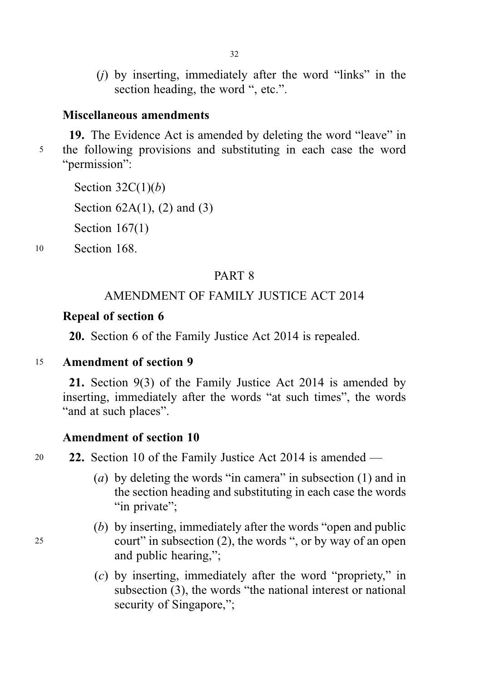(j) by inserting, immediately after the word "links" in the section heading, the word ", etc.".

#### Miscellaneous amendments

19. The Evidence Act is amended by deleting the word "leave" in <sup>5</sup> the following provisions and substituting in each case the word "permission":

Section  $32C(1)(b)$ Section  $62A(1)$ ,  $(2)$  and  $(3)$ Section 167(1)

<sup>10</sup> Section 168.

### PART 8

### AMENDMENT OF FAMILY JUSTICE ACT 2014

### Repeal of section 6

20. Section 6 of the Family Justice Act 2014 is repealed.

#### <sup>15</sup> Amendment of section 9

21. Section 9(3) of the Family Justice Act 2014 is amended by inserting, immediately after the words "at such times", the words "and at such places".

#### Amendment of section 10

<sup>20</sup> 22. Section 10 of the Family Justice Act 2014 is amended —

- (a) by deleting the words "in camera" in subsection (1) and in the section heading and substituting in each case the words "in private":
- (b) by inserting, immediately after the words "open and public <sup>25</sup> court" in subsection (2), the words ", or by way of an open and public hearing,";
	- (c) by inserting, immediately after the word "propriety," in subsection (3), the words "the national interest or national security of Singapore,":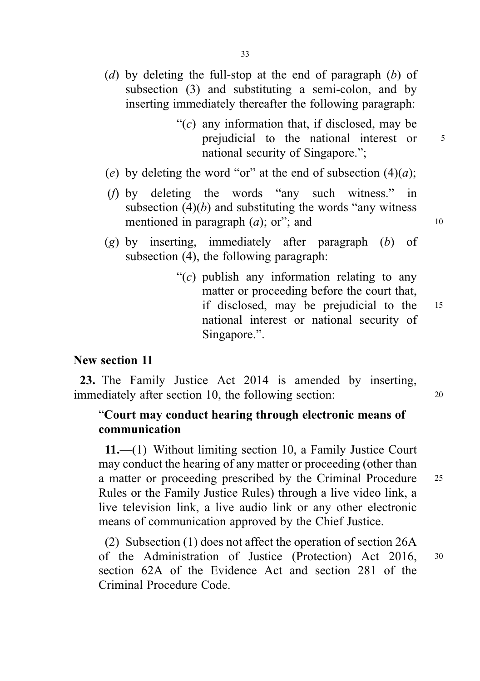- " $(c)$  any information that, if disclosed, may be prejudicial to the national interest or  $5$ national security of Singapore.";
- (e) by deleting the word "or" at the end of subsection  $(4)(a)$ ;
- (f) by deleting the words "any such witness." in subsection  $(4)(b)$  and substituting the words "any witness" mentioned in paragraph  $(a)$ ; or"; and  $10$
- $(g)$  by inserting, immediately after paragraph  $(b)$  of subsection (4), the following paragraph:
	- " $(c)$  publish any information relating to any matter or proceeding before the court that, if disclosed, may be prejudicial to the <sup>15</sup> national interest or national security of Singapore.".

#### New section 11

23. The Family Justice Act 2014 is amended by inserting, immediately after section 10, the following section: <sup>20</sup>

### "Court may conduct hearing through electronic means of communication

11.—(1) Without limiting section 10, a Family Justice Court may conduct the hearing of any matter or proceeding (other than a matter or proceeding prescribed by the Criminal Procedure <sup>25</sup> Rules or the Family Justice Rules) through a live video link, a live television link, a live audio link or any other electronic means of communication approved by the Chief Justice.

(2) Subsection (1) does not affect the operation of section 26A of the Administration of Justice (Protection) Act 2016, <sup>30</sup> section 62A of the Evidence Act and section 281 of the Criminal Procedure Code.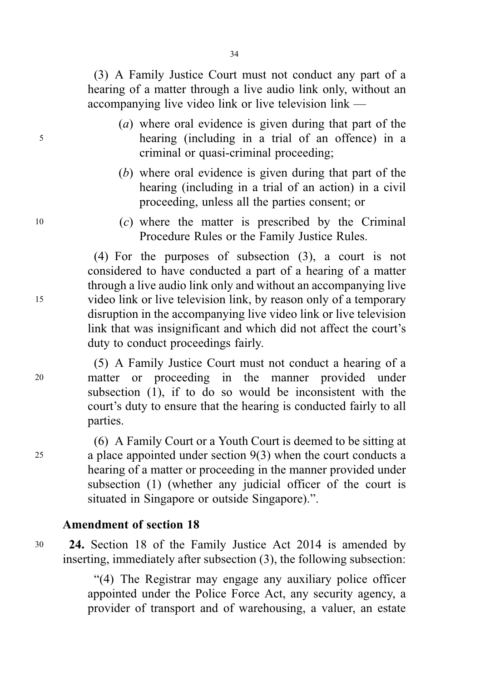(3) A Family Justice Court must not conduct any part of a hearing of a matter through a live audio link only, without an accompanying live video link or live television link —

- (a) where oral evidence is given during that part of the <sup>5</sup> hearing (including in a trial of an offence) in a criminal or quasi-criminal proceeding;
	- (b) where oral evidence is given during that part of the hearing (including in a trial of an action) in a civil proceeding, unless all the parties consent; or
- <sup>10</sup> (c) where the matter is prescribed by the Criminal Procedure Rules or the Family Justice Rules.

(4) For the purposes of subsection (3), a court is not considered to have conducted a part of a hearing of a matter through a live audio link only and without an accompanying live <sup>15</sup> video link or live television link, by reason only of a temporary disruption in the accompanying live video link or live television link that was insignificant and which did not affect the court's duty to conduct proceedings fairly.

(5) A Family Justice Court must not conduct a hearing of a <sup>20</sup> matter or proceeding in the manner provided under subsection (1), if to do so would be inconsistent with the court's duty to ensure that the hearing is conducted fairly to all parties.

(6) A Family Court or a Youth Court is deemed to be sitting at <sup>25</sup> a place appointed under section 9(3) when the court conducts a hearing of a matter or proceeding in the manner provided under subsection (1) (whether any judicial officer of the court is situated in Singapore or outside Singapore).".

### Amendment of section 18

<sup>30</sup> 24. Section 18 of the Family Justice Act 2014 is amended by inserting, immediately after subsection (3), the following subsection:

> "(4) The Registrar may engage any auxiliary police officer appointed under the Police Force Act, any security agency, a provider of transport and of warehousing, a valuer, an estate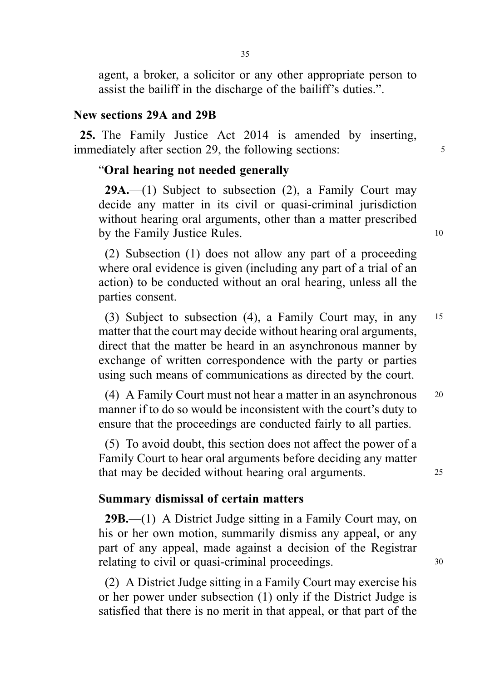agent, a broker, a solicitor or any other appropriate person to assist the bailiff in the discharge of the bailiff's duties.".

### New sections 29A and 29B

25. The Family Justice Act 2014 is amended by inserting, immediately after section 29, the following sections: <sup>5</sup>

### "Oral hearing not needed generally

**29A.**—(1) Subject to subsection  $(2)$ , a Family Court may decide any matter in its civil or quasi-criminal jurisdiction without hearing oral arguments, other than a matter prescribed by the Family Justice Rules. 10

(2) Subsection (1) does not allow any part of a proceeding where oral evidence is given (including any part of a trial of an action) to be conducted without an oral hearing, unless all the parties consent.

(3) Subject to subsection (4), a Family Court may, in any <sup>15</sup> matter that the court may decide without hearing oral arguments, direct that the matter be heard in an asynchronous manner by exchange of written correspondence with the party or parties using such means of communications as directed by the court.

(4) A Family Court must not hear a matter in an asynchronous <sup>20</sup> manner if to do so would be inconsistent with the court's duty to ensure that the proceedings are conducted fairly to all parties.

(5) To avoid doubt, this section does not affect the power of a Family Court to hear oral arguments before deciding any matter that may be decided without hearing oral arguments. <sup>25</sup>

#### Summary dismissal of certain matters

29B.—(1) A District Judge sitting in a Family Court may, on his or her own motion, summarily dismiss any appeal, or any part of any appeal, made against a decision of the Registrar relating to civil or quasi-criminal proceedings.  $30$ 

(2) A District Judge sitting in a Family Court may exercise his or her power under subsection (1) only if the District Judge is satisfied that there is no merit in that appeal, or that part of the

35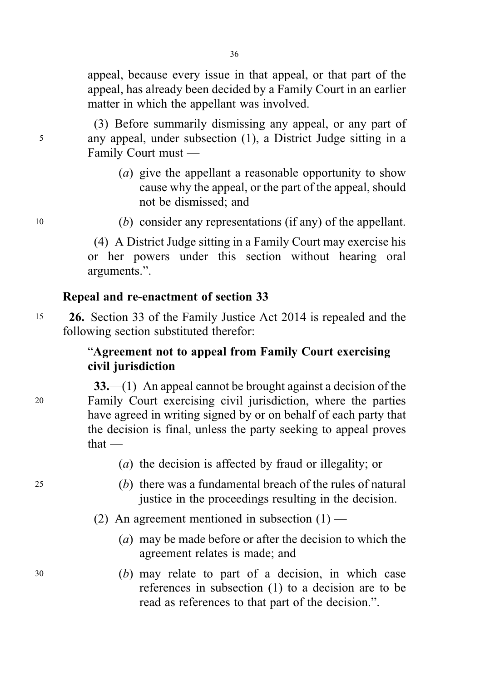appeal, because every issue in that appeal, or that part of the appeal, has already been decided by a Family Court in an earlier matter in which the appellant was involved.

(3) Before summarily dismissing any appeal, or any part of <sup>5</sup> any appeal, under subsection (1), a District Judge sitting in a Family Court must —

- (a) give the appellant a reasonable opportunity to show cause why the appeal, or the part of the appeal, should not be dismissed; and
- <sup>10</sup> (b) consider any representations (if any) of the appellant.

(4) A District Judge sitting in a Family Court may exercise his or her powers under this section without hearing oral arguments.".

### Repeal and re-enactment of section 33

<sup>15</sup> 26. Section 33 of the Family Justice Act 2014 is repealed and the following section substituted therefor:

### "Agreement not to appeal from Family Court exercising civil jurisdiction

- 33.—(1) An appeal cannot be brought against a decision of the <sup>20</sup> Family Court exercising civil jurisdiction, where the parties have agreed in writing signed by or on behalf of each party that the decision is final, unless the party seeking to appeal proves that —
	- (a) the decision is affected by fraud or illegality; or
- <sup>25</sup> (b) there was a fundamental breach of the rules of natural justice in the proceedings resulting in the decision.
	- (2) An agreement mentioned in subsection  $(1)$ 
		- (a) may be made before or after the decision to which the agreement relates is made; and
- <sup>30</sup> (b) may relate to part of a decision, in which case references in subsection (1) to a decision are to be read as references to that part of the decision.".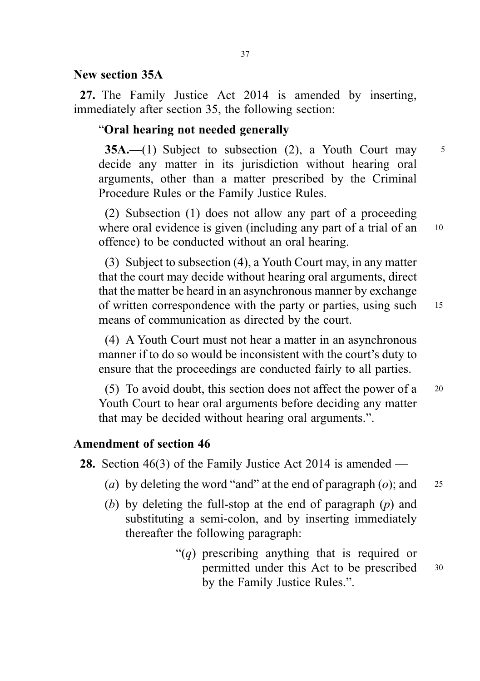## New section 35A

27. The Family Justice Act 2014 is amended by inserting, immediately after section 35, the following section:

# "Oral hearing not needed generally

**35A.**—(1) Subject to subsection (2), a Youth Court may  $\frac{5}{5}$ decide any matter in its jurisdiction without hearing oral arguments, other than a matter prescribed by the Criminal Procedure Rules or the Family Justice Rules.

(2) Subsection (1) does not allow any part of a proceeding where oral evidence is given (including any part of a trial of an <sup>10</sup> offence) to be conducted without an oral hearing.

(3) Subject to subsection (4), a Youth Court may, in any matter that the court may decide without hearing oral arguments, direct that the matter be heard in an asynchronous manner by exchange of written correspondence with the party or parties, using such 15 means of communication as directed by the court.

(4) A Youth Court must not hear a matter in an asynchronous manner if to do so would be inconsistent with the court's duty to ensure that the proceedings are conducted fairly to all parties.

(5) To avoid doubt, this section does not affect the power of a <sup>20</sup> Youth Court to hear oral arguments before deciding any matter that may be decided without hearing oral arguments.".

# Amendment of section 46

28. Section 46(3) of the Family Justice Act 2014 is amended —

- (a) by deleting the word "and" at the end of paragraph (o); and  $25$
- (b) by deleting the full-stop at the end of paragraph  $(p)$  and substituting a semi-colon, and by inserting immediately thereafter the following paragraph:
	- "(*a*) prescribing anything that is required or permitted under this Act to be prescribed <sup>30</sup> by the Family Justice Rules.".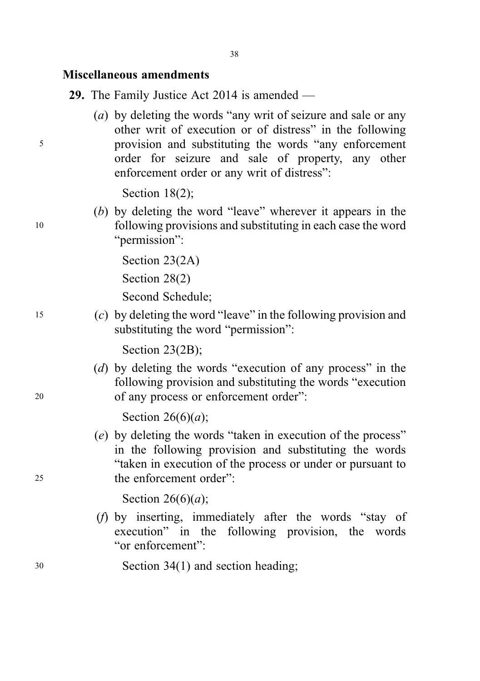# Miscellaneous amendments

29. The Family Justice Act 2014 is amended —

(a) by deleting the words "any writ of seizure and sale or any other writ of execution or of distress" in the following <sup>5</sup> provision and substituting the words "any enforcement order for seizure and sale of property, any other enforcement order or any writ of distress":

Section 18(2);

(b) by deleting the word "leave" wherever it appears in the <sup>10</sup> following provisions and substituting in each case the word "permission":

> Section 23(2A) Section 28(2)

Second Schedule;

<sup>15</sup> (c) by deleting the word "leave" in the following provision and substituting the word "permission":

Section 23(2B);

(d) by deleting the words "execution of any process" in the following provision and substituting the words "execution <sup>20</sup> of any process or enforcement order":

Section  $26(6)(a)$ ;

(e) by deleting the words "taken in execution of the process" in the following provision and substituting the words "taken in execution of the process or under or pursuant to <sup>25</sup> the enforcement order":

Section  $26(6)(a)$ ;

- (f) by inserting, immediately after the words "stay of execution" in the following provision, the words "or enforcement":
- <sup>30</sup> Section 34(1) and section heading;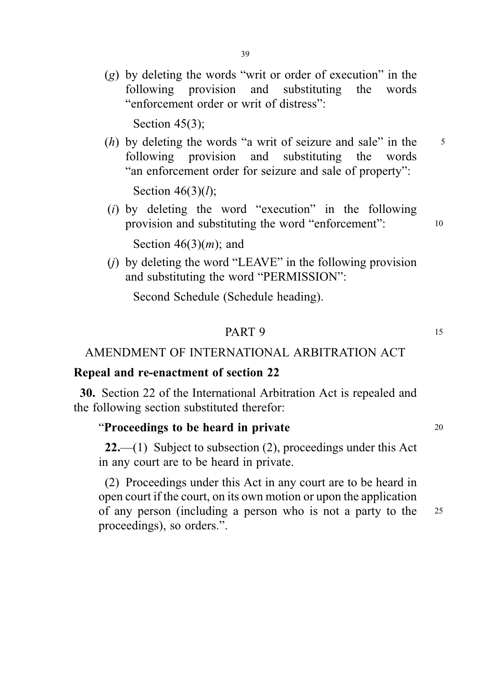(g) by deleting the words "writ or order of execution" in the following provision and substituting the words "enforcement order or writ of distress":

Section 45(3):

 $(h)$  by deleting the words "a writ of seizure and sale" in the  $5$ following provision and substituting the words "an enforcement order for seizure and sale of property":

Section  $46(3)(l)$ ;

(i) by deleting the word "execution" in the following provision and substituting the word "enforcement": <sup>10</sup>

Section  $46(3)(m)$ ; and

 $(i)$  by deleting the word "LEAVE" in the following provision and substituting the word "PERMISSION":

Second Schedule (Schedule heading).

#### **PART 9** 15

# AMENDMENT OF INTERNATIONAL ARBITRATION ACT

#### Repeal and re-enactment of section 22

30. Section 22 of the International Arbitration Act is repealed and the following section substituted therefor:

### "Proceedings to be heard in private  $20$

**22.**—(1) Subject to subsection  $(2)$ , proceedings under this Act in any court are to be heard in private.

(2) Proceedings under this Act in any court are to be heard in open court if the court, on its own motion or upon the application of any person (including a person who is not a party to the <sup>25</sup> proceedings), so orders.".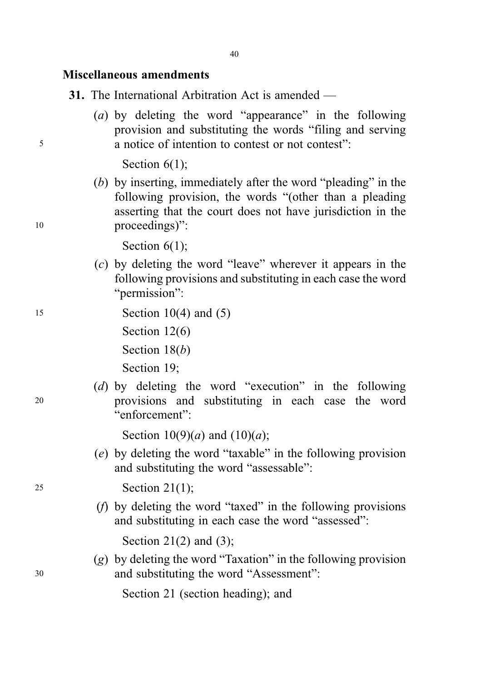# Miscellaneous amendments

|  |  | 31. The International Arbitration Act is amended $-$ |  |  |  |
|--|--|------------------------------------------------------|--|--|--|
|--|--|------------------------------------------------------|--|--|--|

(a) by deleting the word "appearance" in the following provision and substituting the words "filing and serving <sup>5</sup> a notice of intention to contest or not contest":

Section  $6(1)$ ;

(b) by inserting, immediately after the word "pleading" in the following provision, the words "(other than a pleading asserting that the court does not have jurisdiction in the 10 proceedings)":

Section  $6(1)$ ;

(c) by deleting the word "leave" wherever it appears in the following provisions and substituting in each case the word "permission":

# 15 **Section 10(4) and (5)** Section 12(6)

Section 18(b)

Section 19;

(d) by deleting the word "execution" in the following <sup>20</sup> provisions and substituting in each case the word "enforcement":

Section  $10(9)(a)$  and  $(10)(a)$ ;

(e) by deleting the word "taxable" in the following provision and substituting the word "assessable":

<sup>25</sup> Section 21(1);

(f) by deleting the word "taxed" in the following provisions and substituting in each case the word "assessed":

Section 21(2) and (3);

(g) by deleting the word "Taxation" in the following provision <sup>30</sup> and substituting the word "Assessment":

Section 21 (section heading); and

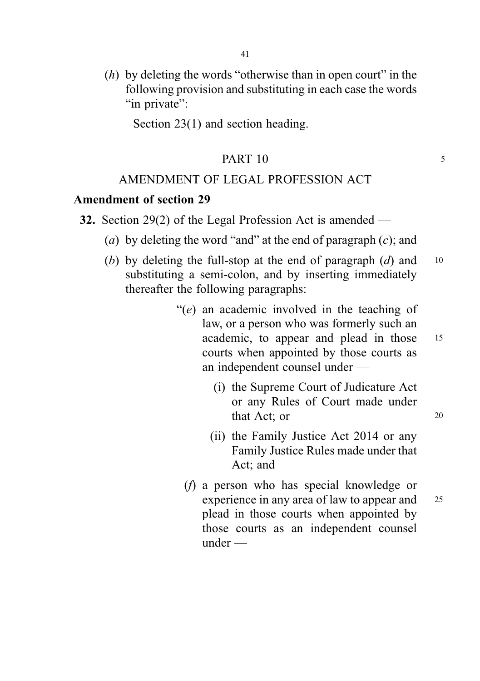$(h)$  by deleting the words "otherwise than in open court" in the following provision and substituting in each case the words "in private":

Section 23(1) and section heading.

## PART 10 5

# AMENDMENT OF LEGAL PROFESSION ACT

#### Amendment of section 29

- 32. Section 29(2) of the Legal Profession Act is amended
	- (a) by deleting the word "and" at the end of paragraph  $(c)$ ; and
	- (b) by deleting the full-stop at the end of paragraph  $(d)$  and 10 substituting a semi-colon, and by inserting immediately thereafter the following paragraphs:
		- "(e) an academic involved in the teaching of law, or a person who was formerly such an academic, to appear and plead in those <sup>15</sup> courts when appointed by those courts as an independent counsel under —
			- (i) the Supreme Court of Judicature Act or any Rules of Court made under that Act; or 20
			- (ii) the Family Justice Act 2014 or any Family Justice Rules made under that Act; and
			- (f) a person who has special knowledge or experience in any area of law to appear and 25 plead in those courts when appointed by those courts as an independent counsel under —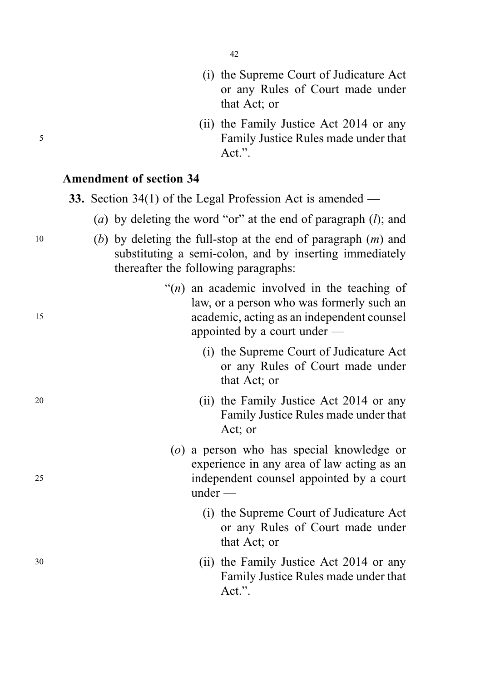- (i) the Supreme Court of Judicature Act or any Rules of Court made under that Act; or
- (ii) the Family Justice Act 2014 or any <sup>5</sup> Family Justice Rules made under that Act.".

# Amendment of section 34

- 33. Section 34(1) of the Legal Profession Act is amended
	- (a) by deleting the word "or" at the end of paragraph  $(l)$ ; and
- 10 (b) by deleting the full-stop at the end of paragraph  $(m)$  and substituting a semi-colon, and by inserting immediately thereafter the following paragraphs:
- " $(n)$  an academic involved in the teaching of law, or a person who was formerly such an <sup>15</sup> academic, acting as an independent counsel appointed by a court under —
	- (i) the Supreme Court of Judicature Act or any Rules of Court made under that Act; or
- <sup>20</sup> (ii) the Family Justice Act 2014 or any Family Justice Rules made under that Act; or
- (o) a person who has special knowledge or experience in any area of law acting as an <sup>25</sup> independent counsel appointed by a court under —
	- (i) the Supreme Court of Judicature Act or any Rules of Court made under that Act; or
- <sup>30</sup> (ii) the Family Justice Act 2014 or any Family Justice Rules made under that Act.".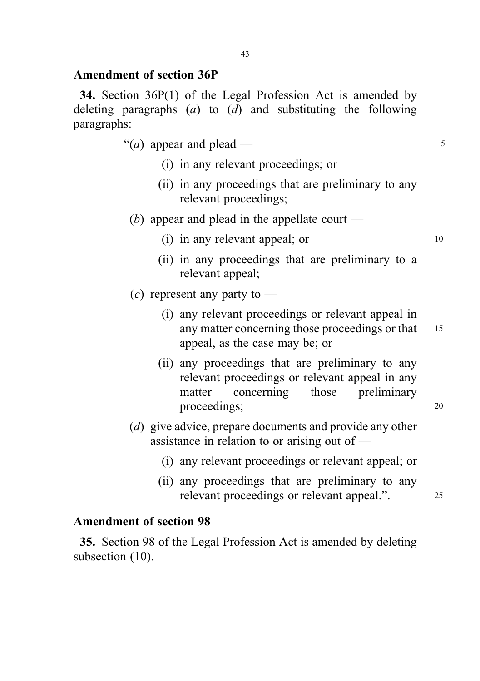# Amendment of section 36P

34. Section 36P(1) of the Legal Profession Act is amended by deleting paragraphs  $(a)$  to  $(d)$  and substituting the following paragraphs:

- "(*a*) appear and plead  $\frac{5}{5}$ 
	- (i) in any relevant proceedings; or
	- (ii) in any proceedings that are preliminary to any relevant proceedings;
- (b) appear and plead in the appellate court
	- $(i)$  in any relevant appeal; or  $10$
	- (ii) in any proceedings that are preliminary to a relevant appeal;
- $(c)$  represent any party to
	- (i) any relevant proceedings or relevant appeal in any matter concerning those proceedings or that 15 appeal, as the case may be; or
	- (ii) any proceedings that are preliminary to any relevant proceedings or relevant appeal in any matter concerning those preliminary proceedings; 20
- (d) give advice, prepare documents and provide any other assistance in relation to or arising out of —
	- (i) any relevant proceedings or relevant appeal; or
	- (ii) any proceedings that are preliminary to any relevant proceedings or relevant appeal.". 25

# Amendment of section 98

35. Section 98 of the Legal Profession Act is amended by deleting subsection  $(10)$ .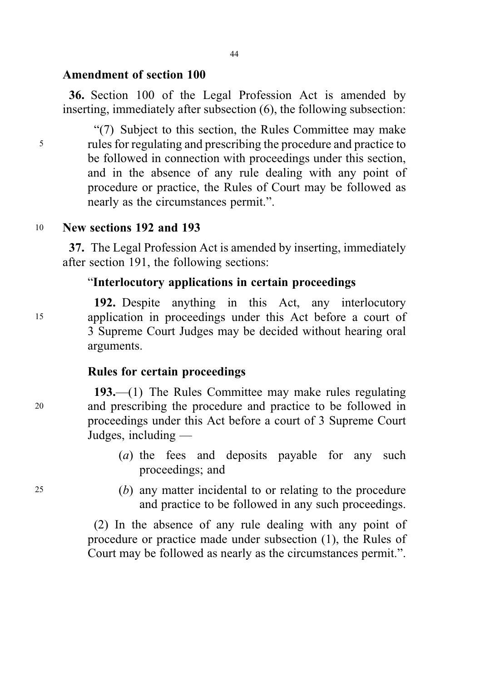## Amendment of section 100

36. Section 100 of the Legal Profession Act is amended by inserting, immediately after subsection (6), the following subsection:

"(7) Subject to this section, the Rules Committee may make <sup>5</sup> rules for regulating and prescribing the procedure and practice to be followed in connection with proceedings under this section, and in the absence of any rule dealing with any point of procedure or practice, the Rules of Court may be followed as nearly as the circumstances permit.".

<sup>10</sup> New sections 192 and 193

37. The Legal Profession Act is amended by inserting, immediately after section 191, the following sections:

# "Interlocutory applications in certain proceedings

192. Despite anything in this Act, any interlocutory <sup>15</sup> application in proceedings under this Act before a court of 3 Supreme Court Judges may be decided without hearing oral arguments.

# Rules for certain proceedings

193.—(1) The Rules Committee may make rules regulating <sup>20</sup> and prescribing the procedure and practice to be followed in proceedings under this Act before a court of 3 Supreme Court Judges, including —

- (a) the fees and deposits payable for any such proceedings; and
- <sup>25</sup> (b) any matter incidental to or relating to the procedure and practice to be followed in any such proceedings.

(2) In the absence of any rule dealing with any point of procedure or practice made under subsection (1), the Rules of Court may be followed as nearly as the circumstances permit.".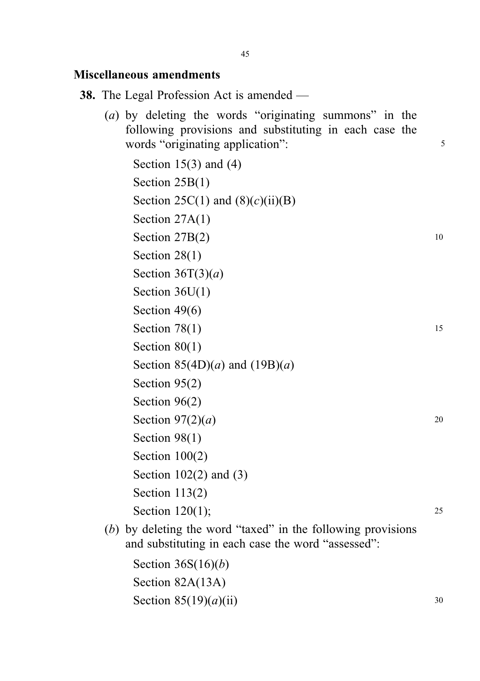#### Miscellaneous amendments

- 38. The Legal Profession Act is amended
	- (a) by deleting the words "originating summons" in the following provisions and substituting in each case the words "originating application": 5

Section  $15(3)$  and  $(4)$ Section 25B(1) Section 25C(1) and  $(8)(c)(ii)(B)$ Section 27A(1) Section  $27B(2)$  10 Section 28(1) Section  $36T(3)(a)$ Section 36U(1) Section 49(6) Section  $78(1)$  15 Section 80(1) Section  $85(4D)(a)$  and  $(19B)(a)$ Section 95(2) Section 96<sub>(2)</sub> Section  $97(2)(a)$  20 Section 98(1) Section 100(2) Section 102(2) and (3) Section 113(2) Section 120(1); 25

(b) by deleting the word "taxed" in the following provisions and substituting in each case the word "assessed":

```
Section 36S(16)(b)Section 82A(13A)
Section 85(19)(a)(ii) 30
```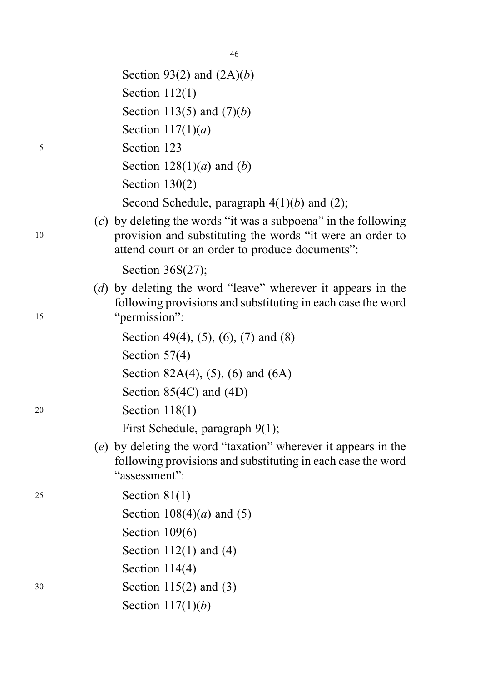|    | Section 93(2) and $(2A)(b)$                                                                                                                                                      |
|----|----------------------------------------------------------------------------------------------------------------------------------------------------------------------------------|
|    | Section $112(1)$                                                                                                                                                                 |
|    | Section 113(5) and $(7)(b)$                                                                                                                                                      |
|    | Section $117(1)(a)$                                                                                                                                                              |
| 5  | Section 123                                                                                                                                                                      |
|    | Section $128(1)(a)$ and $(b)$                                                                                                                                                    |
|    | Section $130(2)$                                                                                                                                                                 |
|    | Second Schedule, paragraph $4(1)(b)$ and (2);                                                                                                                                    |
| 10 | $(c)$ by deleting the words "it was a subpoena" in the following<br>provision and substituting the words "it were an order to<br>attend court or an order to produce documents": |
|    | Section $36S(27)$ ;                                                                                                                                                              |
| 15 | (d) by deleting the word "leave" wherever it appears in the<br>following provisions and substituting in each case the word<br>"permission":                                      |
|    | Section 49(4), (5), (6), (7) and (8)                                                                                                                                             |
|    | Section $57(4)$                                                                                                                                                                  |
|    | Section 82A(4), (5), (6) and (6A)                                                                                                                                                |
|    | Section $85(4C)$ and $(4D)$                                                                                                                                                      |
| 20 | Section $118(1)$                                                                                                                                                                 |
|    | First Schedule, paragraph 9(1);                                                                                                                                                  |
|    | (e) by deleting the word "taxation" wherever it appears in the<br>following provisions and substituting in each case the word<br>"assessment":                                   |
| 25 | Section $81(1)$                                                                                                                                                                  |
|    | Section $108(4)(a)$ and (5)                                                                                                                                                      |
|    | Section $109(6)$                                                                                                                                                                 |
|    | Section $112(1)$ and $(4)$                                                                                                                                                       |
|    | Section $114(4)$                                                                                                                                                                 |
| 30 | Section $115(2)$ and $(3)$                                                                                                                                                       |
|    | Section $117(1)(b)$                                                                                                                                                              |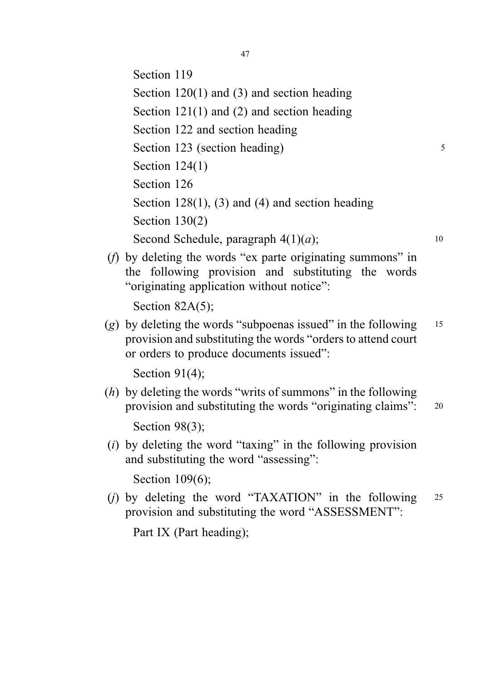Section 119 Section 120(1) and (3) and section heading Section 121(1) and (2) and section heading Section 122 and section heading Section 123 (section heading) 5 Section 124(1) Section 126 Section  $128(1)$ , (3) and (4) and section heading Section 130(2) Second Schedule, paragraph  $4(1)(a)$ ; 10

(f) by deleting the words "ex parte originating summons" in the following provision and substituting the words "originating application without notice":

```
Section 82A(5);
```
(g) by deleting the words "subpoenas issued" in the following  $15$ provision and substituting the words "orders to attend court or orders to produce documents issued":

Section 91(4);

 $(h)$  by deleting the words "writs of summons" in the following provision and substituting the words "originating claims": <sup>20</sup>

Section 98(3);

 $(i)$  by deleting the word "taxing" in the following provision and substituting the word "assessing":

Section 109(6);

(i) by deleting the word "TAXATION" in the following  $25$ provision and substituting the word "ASSESSMENT":

Part IX (Part heading);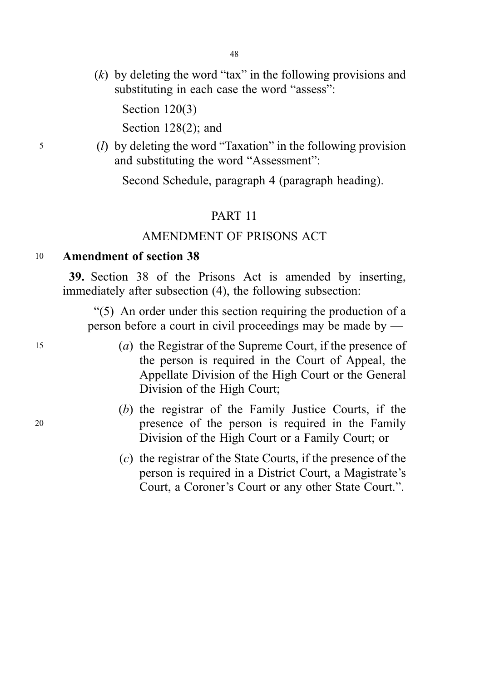$(k)$  by deleting the word "tax" in the following provisions and substituting in each case the word "assess":

Section 120(3)

Section 128(2); and

<sup>5</sup> (l) by deleting the word "Taxation" in the following provision and substituting the word "Assessment":

Second Schedule, paragraph 4 (paragraph heading).

# PART 11

## AMENDMENT OF PRISONS ACT

# <sup>10</sup> Amendment of section 38

39. Section 38 of the Prisons Act is amended by inserting, immediately after subsection (4), the following subsection:

"(5) An order under this section requiring the production of a person before a court in civil proceedings may be made by —

- <sup>15</sup> (a) the Registrar of the Supreme Court, if the presence of the person is required in the Court of Appeal, the Appellate Division of the High Court or the General Division of the High Court;
- (b) the registrar of the Family Justice Courts, if the <sup>20</sup> presence of the person is required in the Family Division of the High Court or a Family Court; or
	- (c) the registrar of the State Courts, if the presence of the person is required in a District Court, a Magistrate's Court, a Coroner's Court or any other State Court.".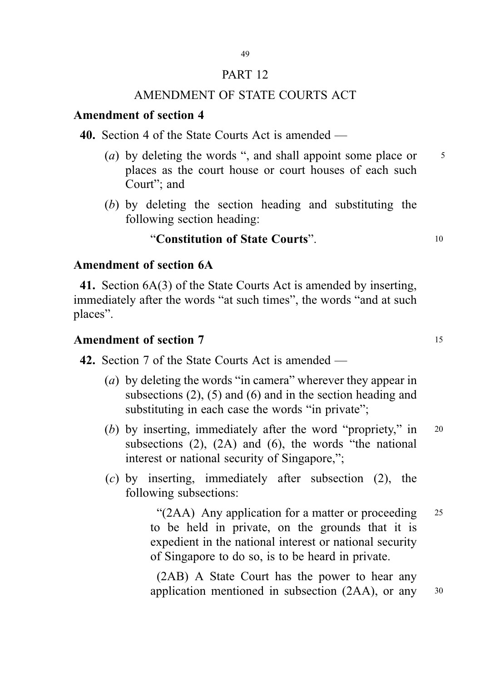### PART 12

# AMENDMENT OF STATE COURTS ACT

# Amendment of section 4

40. Section 4 of the State Courts Act is amended —

- (a) by deleting the words ", and shall appoint some place or  $\frac{5}{5}$ places as the court house or court houses of each such Court"; and
- (b) by deleting the section heading and substituting the following section heading:

# "Constitution of State Courts". <sup>10</sup>

# Amendment of section 6A

41. Section 6A(3) of the State Courts Act is amended by inserting, immediately after the words "at such times", the words "and at such places".

# Amendment of section 7 15

42. Section 7 of the State Courts Act is amended —

- (a) by deleting the words "in camera" wherever they appear in subsections (2), (5) and (6) and in the section heading and substituting in each case the words "in private";
- (b) by inserting, immediately after the word "propriety," in 20 subsections (2), (2A) and (6), the words "the national interest or national security of Singapore,";
- (c) by inserting, immediately after subsection (2), the following subsections:

"(2AA) Any application for a matter or proceeding  $25$ to be held in private, on the grounds that it is expedient in the national interest or national security of Singapore to do so, is to be heard in private.

(2AB) A State Court has the power to hear any application mentioned in subsection (2AA), or any <sup>30</sup>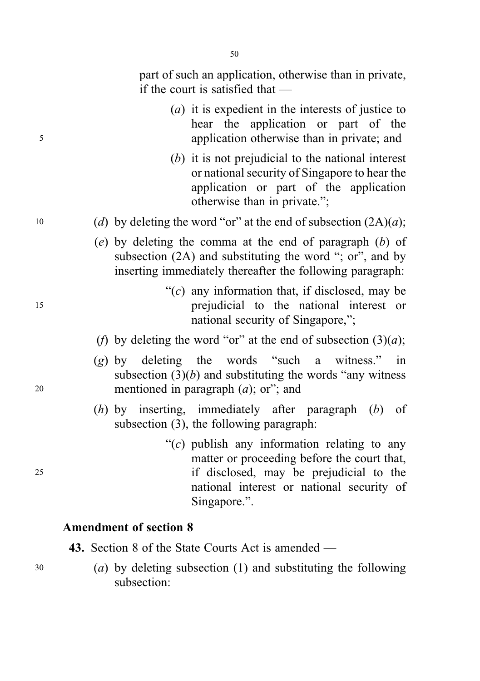part of such an application, otherwise than in private, if the court is satisfied that —

| (a) it is expedient in the interests of justice to |  |                                            |  |  |  |  |
|----------------------------------------------------|--|--------------------------------------------|--|--|--|--|
|                                                    |  | hear the application or part of the        |  |  |  |  |
|                                                    |  | application otherwise than in private; and |  |  |  |  |

- (b) it is not prejudicial to the national interest or national security of Singapore to hear the application or part of the application otherwise than in private.";
- 10 (d) by deleting the word "or" at the end of subsection  $(2A)(a)$ ;
	- (e) by deleting the comma at the end of paragraph  $(b)$  of subsection (2A) and substituting the word "; or", and by inserting immediately thereafter the following paragraph:
- " $(c)$  any information that, if disclosed, may be <sup>15</sup> prejudicial to the national interest or national security of Singapore,";
	- (f) by deleting the word "or" at the end of subsection  $(3)(a)$ ;
- (g) by deleting the words "such a witness." in subsection  $(3)(b)$  and substituting the words "any witness" <sup>20</sup> mentioned in paragraph (a); or"; and
	- $(h)$  by inserting, immediately after paragraph  $(h)$  of subsection (3), the following paragraph:
- " $(c)$  publish any information relating to any matter or proceeding before the court that, <sup>25</sup> if disclosed, may be prejudicial to the national interest or national security of Singapore.".

# Amendment of section 8

43. Section 8 of the State Courts Act is amended —

<sup>30</sup> (a) by deleting subsection (1) and substituting the following subsection: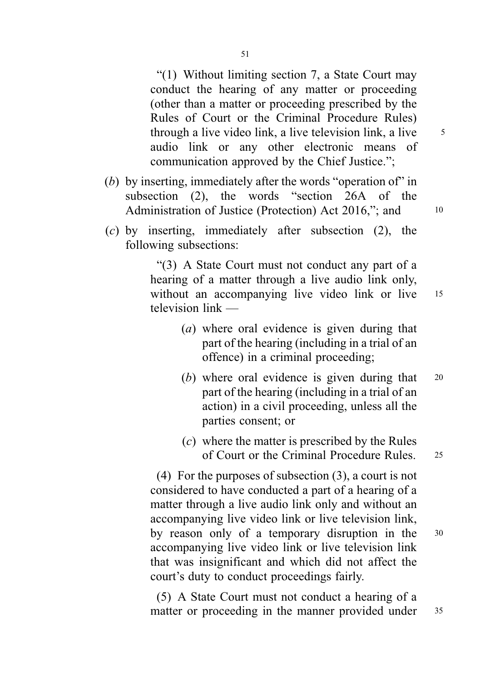"(1) Without limiting section 7, a State Court may conduct the hearing of any matter or proceeding (other than a matter or proceeding prescribed by the Rules of Court or the Criminal Procedure Rules) through a live video link, a live television link, a live  $\frac{5}{5}$ audio link or any other electronic means of communication approved by the Chief Justice.";

- (b) by inserting, immediately after the words "operation of" in subsection (2), the words "section 26A of the Administration of Justice (Protection) Act 2016,"; and 10
- (c) by inserting, immediately after subsection (2), the following subsections:

"(3) A State Court must not conduct any part of a hearing of a matter through a live audio link only, without an accompanying live video link or live 15 television link —

- (a) where oral evidence is given during that part of the hearing (including in a trial of an offence) in a criminal proceeding;
- (b) where oral evidence is given during that 20 part of the hearing (including in a trial of an action) in a civil proceeding, unless all the parties consent; or
- (c) where the matter is prescribed by the Rules of Court or the Criminal Procedure Rules. <sup>25</sup>

(4) For the purposes of subsection (3), a court is not considered to have conducted a part of a hearing of a matter through a live audio link only and without an accompanying live video link or live television link, by reason only of a temporary disruption in the <sup>30</sup> accompanying live video link or live television link that was insignificant and which did not affect the court's duty to conduct proceedings fairly.

(5) A State Court must not conduct a hearing of a matter or proceeding in the manner provided under 35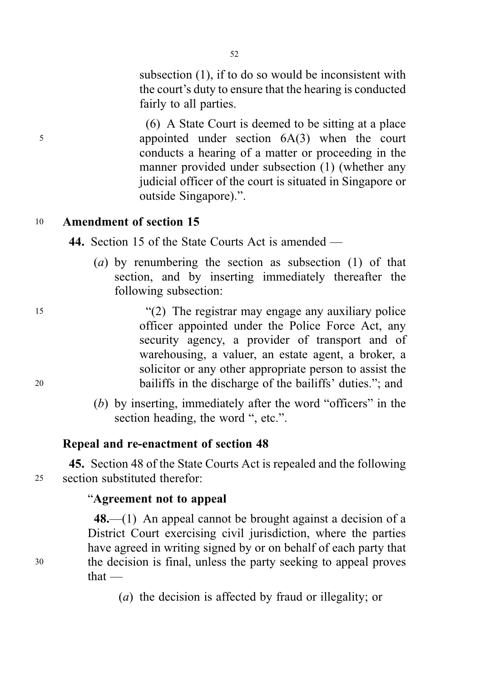subsection (1), if to do so would be inconsistent with the court's duty to ensure that the hearing is conducted fairly to all parties.

(6) A State Court is deemed to be sitting at a place <sup>5</sup> appointed under section 6A(3) when the court conducts a hearing of a matter or proceeding in the manner provided under subsection (1) (whether any judicial officer of the court is situated in Singapore or outside Singapore).".

# <sup>10</sup> Amendment of section 15

44. Section 15 of the State Courts Act is amended —

(a) by renumbering the section as subsection  $(1)$  of that section, and by inserting immediately thereafter the following subsection:

<sup>15</sup> "(2) The registrar may engage any auxiliary police officer appointed under the Police Force Act, any security agency, a provider of transport and of warehousing, a valuer, an estate agent, a broker, a solicitor or any other appropriate person to assist the <sup>20</sup> bailiffs in the discharge of the bailiffs' duties."; and

> (b) by inserting, immediately after the word "officers" in the section heading, the word ", etc.".

# Repeal and re-enactment of section 48

45. Section 48 of the State Courts Act is repealed and the following <sup>25</sup> section substituted therefor:

# "Agreement not to appeal

48.—(1) An appeal cannot be brought against a decision of a District Court exercising civil jurisdiction, where the parties have agreed in writing signed by or on behalf of each party that <sup>30</sup> the decision is final, unless the party seeking to appeal proves that —

(a) the decision is affected by fraud or illegality; or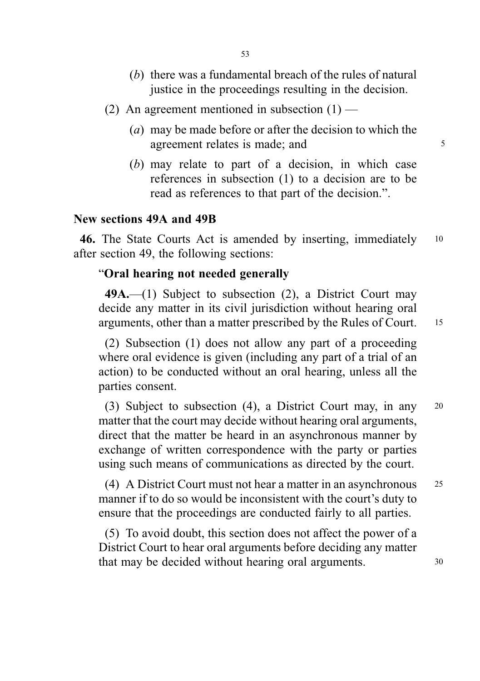- (b) there was a fundamental breach of the rules of natural justice in the proceedings resulting in the decision.
- (2) An agreement mentioned in subsection  $(1)$ 
	- (a) may be made before or after the decision to which the agreement relates is made; and  $\frac{5}{5}$
	- (b) may relate to part of a decision, in which case references in subsection (1) to a decision are to be read as references to that part of the decision.".

# New sections 49A and 49B

46. The State Courts Act is amended by inserting, immediately 10 after section 49, the following sections:

# "Oral hearing not needed generally

 $49A$ .—(1) Subject to subsection (2), a District Court may decide any matter in its civil jurisdiction without hearing oral arguments, other than a matter prescribed by the Rules of Court. <sup>15</sup>

(2) Subsection (1) does not allow any part of a proceeding where oral evidence is given (including any part of a trial of an action) to be conducted without an oral hearing, unless all the parties consent.

(3) Subject to subsection (4), a District Court may, in any <sup>20</sup> matter that the court may decide without hearing oral arguments, direct that the matter be heard in an asynchronous manner by exchange of written correspondence with the party or parties using such means of communications as directed by the court.

(4) A District Court must not hear a matter in an asynchronous <sup>25</sup> manner if to do so would be inconsistent with the court's duty to ensure that the proceedings are conducted fairly to all parties.

(5) To avoid doubt, this section does not affect the power of a District Court to hear oral arguments before deciding any matter that may be decided without hearing oral arguments.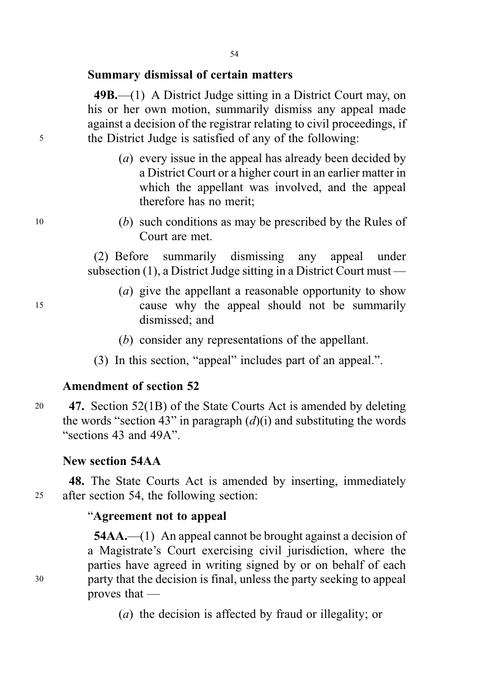## Summary dismissal of certain matters

49B.—(1) A District Judge sitting in a District Court may, on his or her own motion, summarily dismiss any appeal made against a decision of the registrar relating to civil proceedings, if <sup>5</sup> the District Judge is satisfied of any of the following:

- (a) every issue in the appeal has already been decided by a District Court or a higher court in an earlier matter in which the appellant was involved, and the appeal therefore has no merit;
- <sup>10</sup> (b) such conditions as may be prescribed by the Rules of Court are met.

(2) Before summarily dismissing any appeal under subsection (1), a District Judge sitting in a District Court must —

- (a) give the appellant a reasonable opportunity to show <sup>15</sup> cause why the appeal should not be summarily dismissed; and
	- (b) consider any representations of the appellant.
	- (3) In this section, "appeal" includes part of an appeal.".

# Amendment of section 52

<sup>20</sup> 47. Section 52(1B) of the State Courts Act is amended by deleting the words "section 43" in paragraph  $(d)(i)$  and substituting the words "sections 43 and 49A".

# New section 54AA

48. The State Courts Act is amended by inserting, immediately <sup>25</sup> after section 54, the following section:

# "Agreement not to appeal

54AA.—(1) An appeal cannot be brought against a decision of a Magistrate's Court exercising civil jurisdiction, where the parties have agreed in writing signed by or on behalf of each <sup>30</sup> party that the decision is final, unless the party seeking to appeal proves that —

(a) the decision is affected by fraud or illegality; or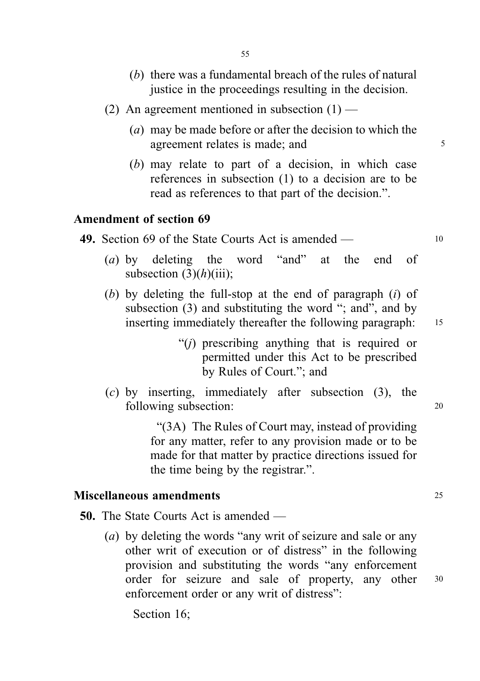- (b) there was a fundamental breach of the rules of natural justice in the proceedings resulting in the decision.
- (2) An agreement mentioned in subsection  $(1)$ 
	- (a) may be made before or after the decision to which the agreement relates is made; and  $\frac{5}{5}$
	- (b) may relate to part of a decision, in which case references in subsection (1) to a decision are to be read as references to that part of the decision.".

# Amendment of section 69

| 49. Section 69 of the State Courts Act is amended $-$ |  |
|-------------------------------------------------------|--|
|-------------------------------------------------------|--|

- (a) by deleting the word "and" at the end of subsection  $(3)(h)(iii)$ :
- (b) by deleting the full-stop at the end of paragraph (i) of subsection (3) and substituting the word "; and", and by inserting immediately thereafter the following paragraph: 15
	- "(j) prescribing anything that is required or permitted under this Act to be prescribed by Rules of Court."; and
- (c) by inserting, immediately after subsection (3), the following subsection: 20

"(3A) The Rules of Court may, instead of providing for any matter, refer to any provision made or to be made for that matter by practice directions issued for the time being by the registrar.".

#### Miscellaneous amendments <sup>25</sup>

50. The State Courts Act is amended —

(a) by deleting the words "any writ of seizure and sale or any other writ of execution or of distress" in the following provision and substituting the words "any enforcement order for seizure and sale of property, any other <sup>30</sup> enforcement order or any writ of distress":

Section 16;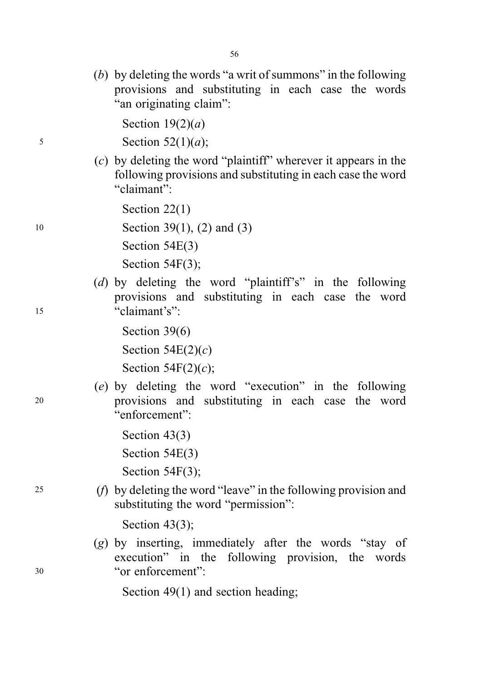(b) by deleting the words "a writ of summons" in the following provisions and substituting in each case the words "an originating claim":

Section  $19(2)(a)$ 

 $5$  Section  $52(1)(a)$ ;

(c) by deleting the word "plaintiff" wherever it appears in the following provisions and substituting in each case the word "claimant":

Section 22(1)

10 Section 39(1), (2) and (3)

Section 54E(3)

Section 54F(3);

(d) by deleting the word "plaintiff's" in the following provisions and substituting in each case the word <sup>15</sup> "claimant's":

Section 39(6)

Section  $54E(2)(c)$ 

Section 54F $(2)(c)$ ;

- (e) by deleting the word "execution" in the following <sup>20</sup> provisions and substituting in each case the word "enforcement":
	- Section 43(3) Section 54E(3) Section 54F(3);
- <sup>25</sup> (f) by deleting the word "leave" in the following provision and substituting the word "permission":

Section 43(3);

(g) by inserting, immediately after the words "stay of execution" in the following provision, the words <sup>30</sup> "or enforcement":

Section 49(1) and section heading;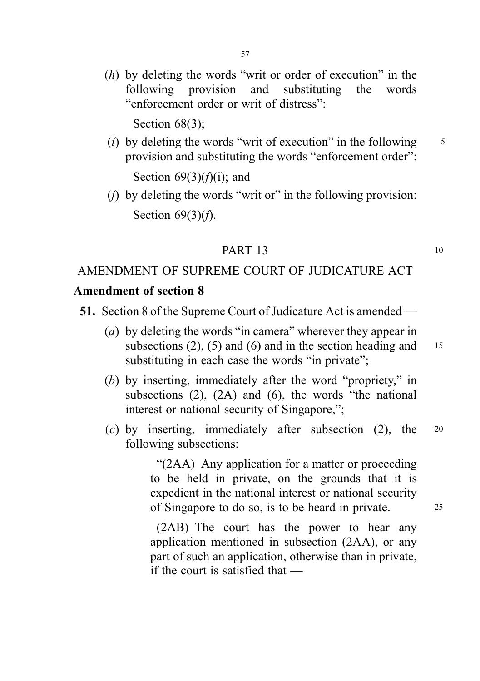(h) by deleting the words "writ or order of execution" in the following provision and substituting the words "enforcement order or writ of distress":

Section 68(3):

(i) by deleting the words "writ of execution" in the following  $\frac{5}{5}$ provision and substituting the words "enforcement order":

Section  $69(3)(f)(i)$ ; and

 $(i)$  by deleting the words "writ or" in the following provision: Section  $69(3)(f)$ .

# **PART 13** 10

# AMENDMENT OF SUPREME COURT OF JUDICATURE ACT

#### Amendment of section 8

- 51. Section 8 of the Supreme Court of Judicature Act is amended
	- (a) by deleting the words "in camera" wherever they appear in subsections (2), (5) and (6) and in the section heading and  $15$ substituting in each case the words "in private";
	- (b) by inserting, immediately after the word "propriety," in subsections (2), (2A) and (6), the words "the national interest or national security of Singapore,";
	- (c) by inserting, immediately after subsection (2), the <sup>20</sup> following subsections:

"(2AA) Any application for a matter or proceeding to be held in private, on the grounds that it is expedient in the national interest or national security of Singapore to do so, is to be heard in private. <sup>25</sup>

(2AB) The court has the power to hear any application mentioned in subsection (2AA), or any part of such an application, otherwise than in private, if the court is satisfied that —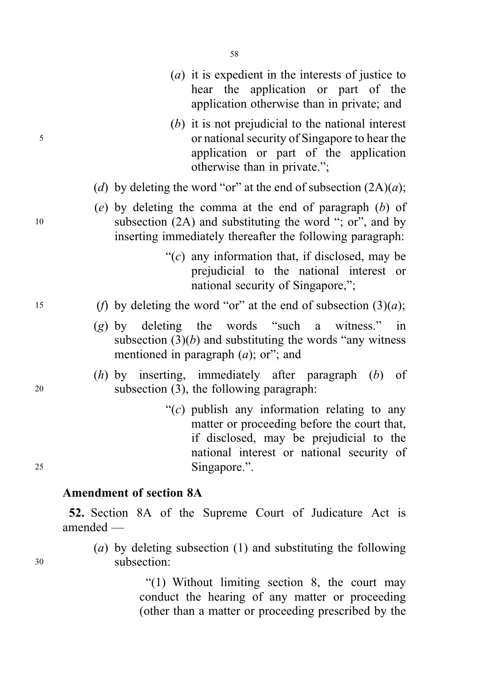- (a) it is expedient in the interests of justice to hear the application or part of the application otherwise than in private; and
- (b) it is not prejudicial to the national interest <sup>5</sup> or national security of Singapore to hear the application or part of the application otherwise than in private.";
	- (d) by deleting the word "or" at the end of subsection  $(2A)(a)$ ;
- (e) by deleting the comma at the end of paragraph (b) of <sup>10</sup> subsection (2A) and substituting the word "; or", and by inserting immediately thereafter the following paragraph:
	- " $(c)$  any information that, if disclosed, may be prejudicial to the national interest or national security of Singapore,";
- 15 (f) by deleting the word "or" at the end of subsection  $(3)(a)$ ;
	- (g) by deleting the words "such a witness." in subsection  $(3)(b)$  and substituting the words "any witness" mentioned in paragraph  $(a)$ ; or"; and
- (h) by inserting, immediately after paragraph (b) of <sup>20</sup> subsection (3), the following paragraph:
- " $(c)$  publish any information relating to any matter or proceeding before the court that, if disclosed, may be prejudicial to the national interest or national security of <sup>25</sup> Singapore.".

# Amendment of section 8A

52. Section 8A of the Supreme Court of Judicature Act is amended —

(a) by deleting subsection (1) and substituting the following <sup>30</sup> subsection:

> "(1) Without limiting section 8, the court may conduct the hearing of any matter or proceeding (other than a matter or proceeding prescribed by the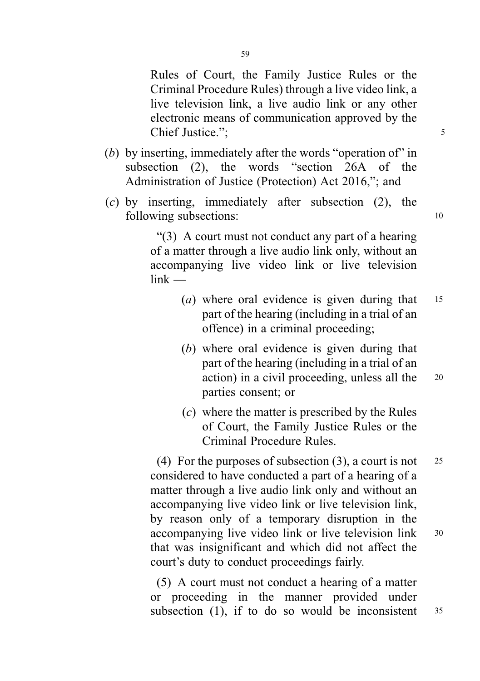Rules of Court, the Family Justice Rules or the Criminal Procedure Rules) through a live video link, a live television link, a live audio link or any other electronic means of communication approved by the Chief Justice.": 5

- (b) by inserting, immediately after the words "operation of" in subsection (2), the words "section 26A of the Administration of Justice (Protection) Act 2016,"; and
- (c) by inserting, immediately after subsection (2), the following subsections: 10

"(3) A court must not conduct any part of a hearing of a matter through a live audio link only, without an accompanying live video link or live television  $link$  —

- (*a*) where oral evidence is given during that  $15$ part of the hearing (including in a trial of an offence) in a criminal proceeding;
- (b) where oral evidence is given during that part of the hearing (including in a trial of an action) in a civil proceeding, unless all the <sup>20</sup> parties consent; or
- (c) where the matter is prescribed by the Rules of Court, the Family Justice Rules or the Criminal Procedure Rules.

(4) For the purposes of subsection  $(3)$ , a court is not 25 considered to have conducted a part of a hearing of a matter through a live audio link only and without an accompanying live video link or live television link, by reason only of a temporary disruption in the accompanying live video link or live television link <sup>30</sup> that was insignificant and which did not affect the court's duty to conduct proceedings fairly.

(5) A court must not conduct a hearing of a matter or proceeding in the manner provided under subsection  $(1)$ , if to do so would be inconsistent  $35$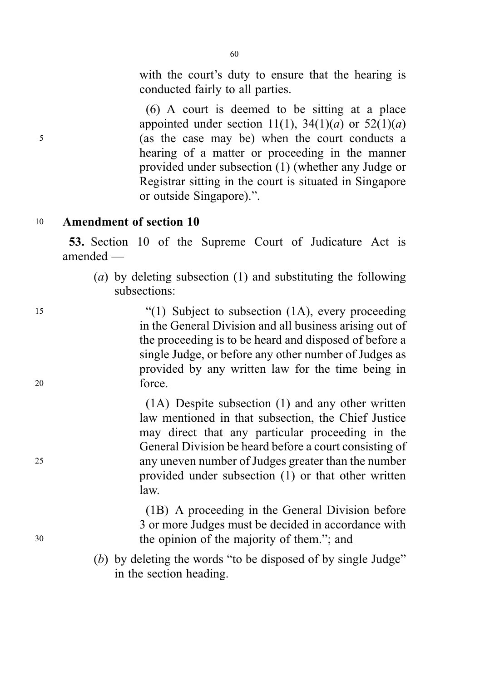with the court's duty to ensure that the hearing is conducted fairly to all parties.

(6) A court is deemed to be sitting at a place appointed under section 11(1),  $34(1)(a)$  or  $52(1)(a)$ <sup>5</sup> (as the case may be) when the court conducts a hearing of a matter or proceeding in the manner provided under subsection (1) (whether any Judge or Registrar sitting in the court is situated in Singapore or outside Singapore).".

# <sup>10</sup> Amendment of section 10

53. Section 10 of the Supreme Court of Judicature Act is amended —

(a) by deleting subsection (1) and substituting the following subsections:

<sup>15</sup> "(1) Subject to subsection (1A), every proceeding in the General Division and all business arising out of the proceeding is to be heard and disposed of before a single Judge, or before any other number of Judges as provided by any written law for the time being in <sup>20</sup> force.

(1A) Despite subsection (1) and any other written law mentioned in that subsection, the Chief Justice may direct that any particular proceeding in the General Division be heard before a court consisting of <sup>25</sup> any uneven number of Judges greater than the number provided under subsection (1) or that other written law.

(1B) A proceeding in the General Division before 3 or more Judges must be decided in accordance with <sup>30</sup> the opinion of the majority of them."; and

> (b) by deleting the words "to be disposed of by single Judge" in the section heading.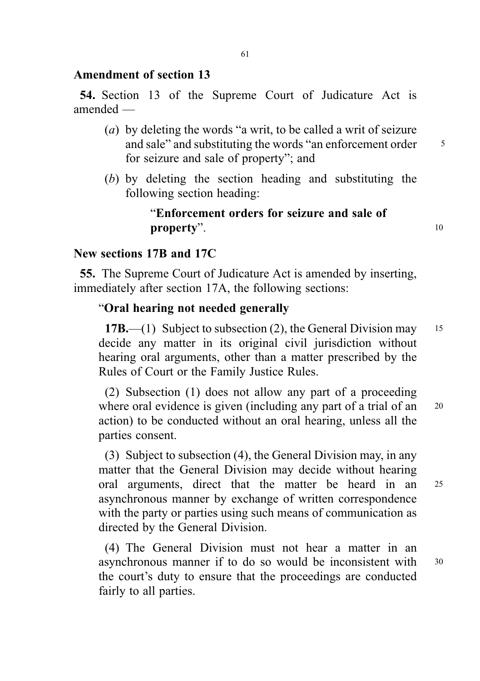# Amendment of section 13

54. Section 13 of the Supreme Court of Judicature Act is amended —

- (a) by deleting the words "a writ, to be called a writ of seizure and sale" and substituting the words "an enforcement order 5 for seizure and sale of property"; and
- (b) by deleting the section heading and substituting the following section heading:

# "Enforcement orders for seizure and sale of property".

# New sections 17B and 17C

55. The Supreme Court of Judicature Act is amended by inserting, immediately after section 17A, the following sections:

## "Oral hearing not needed generally

17B.—(1) Subject to subsection (2), the General Division may 15 decide any matter in its original civil jurisdiction without hearing oral arguments, other than a matter prescribed by the Rules of Court or the Family Justice Rules.

(2) Subsection (1) does not allow any part of a proceeding where oral evidence is given (including any part of a trial of an <sup>20</sup> action) to be conducted without an oral hearing, unless all the parties consent.

(3) Subject to subsection (4), the General Division may, in any matter that the General Division may decide without hearing oral arguments, direct that the matter be heard in an <sup>25</sup> asynchronous manner by exchange of written correspondence with the party or parties using such means of communication as directed by the General Division.

(4) The General Division must not hear a matter in an asynchronous manner if to do so would be inconsistent with <sup>30</sup> the court's duty to ensure that the proceedings are conducted fairly to all parties.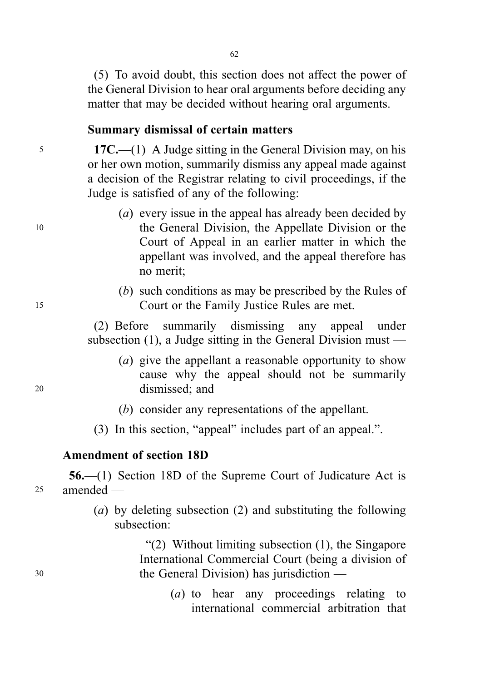(5) To avoid doubt, this section does not affect the power of the General Division to hear oral arguments before deciding any matter that may be decided without hearing oral arguments.

## Summary dismissal of certain matters

<sup>5</sup> 17C.—(1) A Judge sitting in the General Division may, on his or her own motion, summarily dismiss any appeal made against a decision of the Registrar relating to civil proceedings, if the Judge is satisfied of any of the following:

- (a) every issue in the appeal has already been decided by <sup>10</sup> the General Division, the Appellate Division or the Court of Appeal in an earlier matter in which the appellant was involved, and the appeal therefore has no merit;
- (b) such conditions as may be prescribed by the Rules of <sup>15</sup> Court or the Family Justice Rules are met.

(2) Before summarily dismissing any appeal under subsection (1), a Judge sitting in the General Division must —

- (a) give the appellant a reasonable opportunity to show cause why the appeal should not be summarily <sup>20</sup> dismissed; and
	- (b) consider any representations of the appellant.
	- (3) In this section, "appeal" includes part of an appeal.".

### Amendment of section 18D

56.—(1) Section 18D of the Supreme Court of Judicature Act is <sup>25</sup> amended —

> (a) by deleting subsection (2) and substituting the following subsection:

"(2) Without limiting subsection (1), the Singapore International Commercial Court (being a division of <sup>30</sup> the General Division) has jurisdiction —

> (a) to hear any proceedings relating to international commercial arbitration that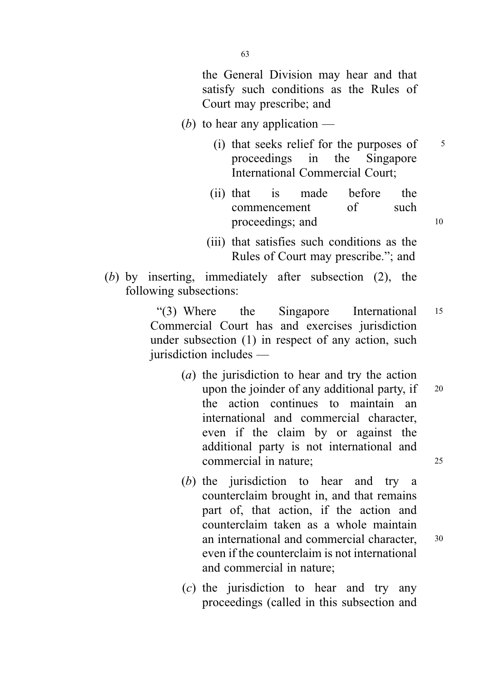the General Division may hear and that satisfy such conditions as the Rules of Court may prescribe; and

- (b) to hear any application  $-$ 
	- (i) that seeks relief for the purposes of  $\frac{5}{5}$ proceedings in the Singapore International Commercial Court;
	- (ii) that is made before the commencement of such proceedings; and 10
	- (iii) that satisfies such conditions as the Rules of Court may prescribe."; and
- (b) by inserting, immediately after subsection (2), the following subsections:

"(3) Where the Singapore International <sup>15</sup> Commercial Court has and exercises jurisdiction under subsection (1) in respect of any action, such jurisdiction includes —

- (a) the jurisdiction to hear and try the action upon the joinder of any additional party, if  $\,$  20 the action continues to maintain an international and commercial character, even if the claim by or against the additional party is not international and commercial in nature; <sup>25</sup>
- (b) the jurisdiction to hear and try a counterclaim brought in, and that remains part of, that action, if the action and counterclaim taken as a whole maintain an international and commercial character, <sup>30</sup> even if the counterclaim is not international and commercial in nature;
- (c) the jurisdiction to hear and try any proceedings (called in this subsection and

63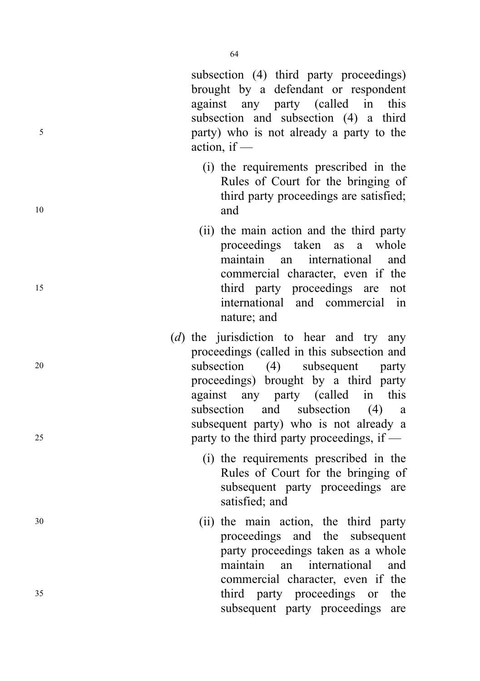subsection (4) third party proceedings) brought by a defendant or respondent against any party (called in this subsection and subsection (4) a third <sup>5</sup> party) who is not already a party to the action, if —

- (i) the requirements prescribed in the Rules of Court for the bringing of third party proceedings are satisfied; <sup>10</sup> and
- (ii) the main action and the third party proceedings taken as a whole maintain an international and commercial character, even if the <sup>15</sup> third party proceedings are not international and commercial in nature; and
- ( d) the jurisdiction to hear and try any proceedings (called in this subsection and <sup>20</sup> subsection (4) subsequent party proceedings) brought by a third party against any party (called in this subsection and subsection (4) a subsequent party) who is not already a <sup>25</sup> party to the third party proceedings, if —
	- (i) the requirements prescribed in the Rules of Court for the bringing of subsequent party proceedings are satisfied; and
- <sup>30</sup> (ii) the main action, the third party proceedings and the subsequent party proceedings taken as a whole maintain an international and commercial character, even if the <sup>35</sup> third party proceedings or the subsequent party proceedings are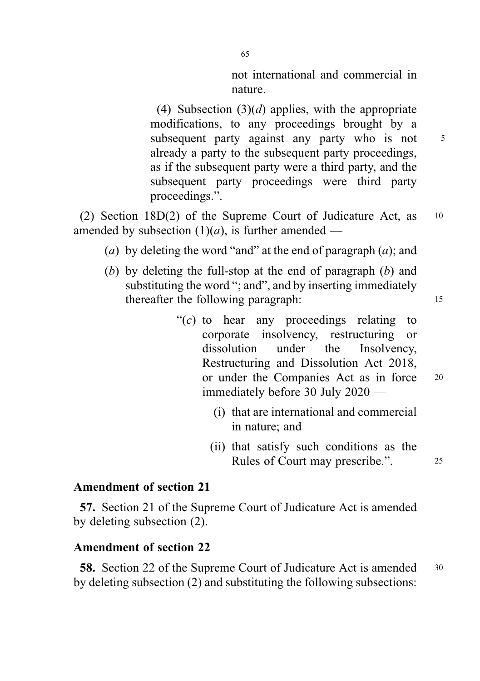not international and commercial in nature.

(4) Subsection  $(3)(d)$  applies, with the appropriate modifications, to any proceedings brought by a subsequent party against any party who is not 5 already a party to the subsequent party proceedings, as if the subsequent party were a third party, and the subsequent party proceedings were third party proceedings.".

(2) Section 18D(2) of the Supreme Court of Judicature Act, as <sup>10</sup> amended by subsection  $(1)(a)$ , is further amended —

- (a) by deleting the word "and" at the end of paragraph  $(a)$ ; and
- (b) by deleting the full-stop at the end of paragraph  $(b)$  and substituting the word "; and", and by inserting immediately thereafter the following paragraph: 15
	- " $(c)$  to hear any proceedings relating to corporate insolvency, restructuring or dissolution under the Insolvency, Restructuring and Dissolution Act 2018, or under the Companies Act as in force <sup>20</sup> immediately before 30 July 2020 —
		- (i) that are international and commercial in nature; and
		- (ii) that satisfy such conditions as the Rules of Court may prescribe.". 25

## Amendment of section 21

57. Section 21 of the Supreme Court of Judicature Act is amended by deleting subsection (2).

# Amendment of section 22

58. Section 22 of the Supreme Court of Judicature Act is amended <sup>30</sup> by deleting subsection (2) and substituting the following subsections: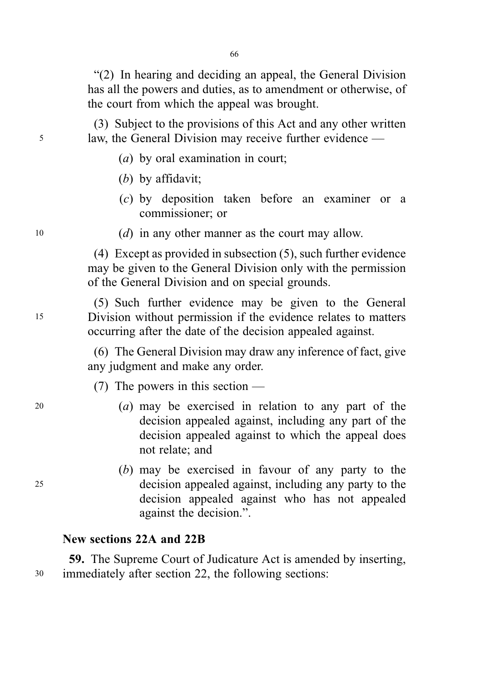"(2) In hearing and deciding an appeal, the General Division has all the powers and duties, as to amendment or otherwise, of the court from which the appeal was brought.

(3) Subject to the provisions of this Act and any other written <sup>5</sup> law, the General Division may receive further evidence —

- (a) by oral examination in court;
- (b) by affidavit;
- (c) by deposition taken before an examiner or a commissioner; or
- $10$  (*d*) in any other manner as the court may allow.

(4) Except as provided in subsection (5), such further evidence may be given to the General Division only with the permission of the General Division and on special grounds.

(5) Such further evidence may be given to the General <sup>15</sup> Division without permission if the evidence relates to matters occurring after the date of the decision appealed against.

> (6) The General Division may draw any inference of fact, give any judgment and make any order.

(7) The powers in this section —

- <sup>20</sup> (a) may be exercised in relation to any part of the decision appealed against, including any part of the decision appealed against to which the appeal does not relate; and
- (b) may be exercised in favour of any party to the <sup>25</sup> decision appealed against, including any party to the decision appealed against who has not appealed against the decision.".

## New sections 22A and 22B

59. The Supreme Court of Judicature Act is amended by inserting, <sup>30</sup> immediately after section 22, the following sections: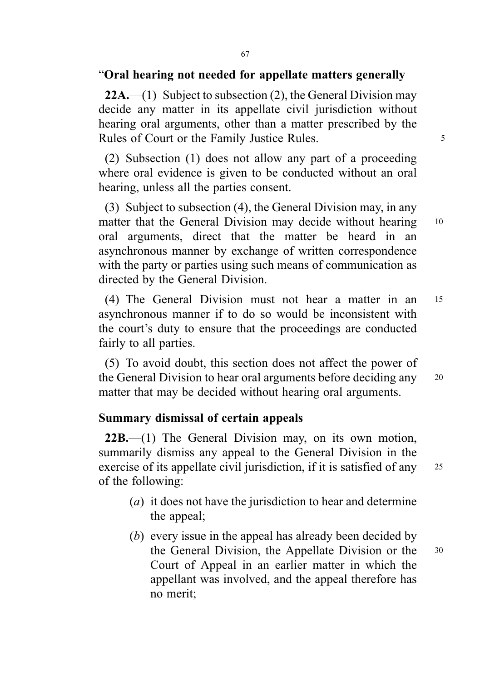# "Oral hearing not needed for appellate matters generally

**22A.**—(1) Subject to subsection (2), the General Division may decide any matter in its appellate civil jurisdiction without hearing oral arguments, other than a matter prescribed by the Rules of Court or the Family Justice Rules.

(2) Subsection (1) does not allow any part of a proceeding where oral evidence is given to be conducted without an oral hearing, unless all the parties consent.

(3) Subject to subsection (4), the General Division may, in any matter that the General Division may decide without hearing 10 oral arguments, direct that the matter be heard in an asynchronous manner by exchange of written correspondence with the party or parties using such means of communication as directed by the General Division.

(4) The General Division must not hear a matter in an <sup>15</sup> asynchronous manner if to do so would be inconsistent with the court's duty to ensure that the proceedings are conducted fairly to all parties.

(5) To avoid doubt, this section does not affect the power of the General Division to hear oral arguments before deciding any <sup>20</sup> matter that may be decided without hearing oral arguments.

# Summary dismissal of certain appeals

22B.—(1) The General Division may, on its own motion, summarily dismiss any appeal to the General Division in the exercise of its appellate civil jurisdiction, if it is satisfied of any 25 of the following:

- (a) it does not have the jurisdiction to hear and determine the appeal;
- (b) every issue in the appeal has already been decided by the General Division, the Appellate Division or the <sup>30</sup> Court of Appeal in an earlier matter in which the appellant was involved, and the appeal therefore has no merit;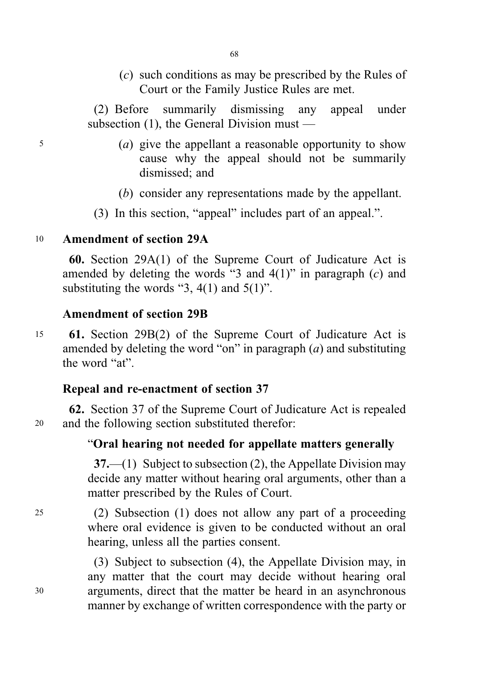(c) such conditions as may be prescribed by the Rules of Court or the Family Justice Rules are met.

(2) Before summarily dismissing any appeal under subsection (1), the General Division must —

- <sup>5</sup> (a) give the appellant a reasonable opportunity to show cause why the appeal should not be summarily dismissed; and
	- (b) consider any representations made by the appellant.
	- (3) In this section, "appeal" includes part of an appeal.".

# <sup>10</sup> Amendment of section 29A

60. Section 29A(1) of the Supreme Court of Judicature Act is amended by deleting the words "3 and  $4(1)$ " in paragraph  $(c)$  and substituting the words "3,  $4(1)$  and  $5(1)$ ".

# Amendment of section 29B

<sup>15</sup> 61. Section 29B(2) of the Supreme Court of Judicature Act is amended by deleting the word "on" in paragraph  $(a)$  and substituting the word "at".

# Repeal and re-enactment of section 37

62. Section 37 of the Supreme Court of Judicature Act is repealed <sup>20</sup> and the following section substituted therefor:

# "Oral hearing not needed for appellate matters generally

37.—(1) Subject to subsection (2), the Appellate Division may decide any matter without hearing oral arguments, other than a matter prescribed by the Rules of Court.

<sup>25</sup> (2) Subsection (1) does not allow any part of a proceeding where oral evidence is given to be conducted without an oral hearing, unless all the parties consent.

(3) Subject to subsection (4), the Appellate Division may, in any matter that the court may decide without hearing oral <sup>30</sup> arguments, direct that the matter be heard in an asynchronous manner by exchange of written correspondence with the party or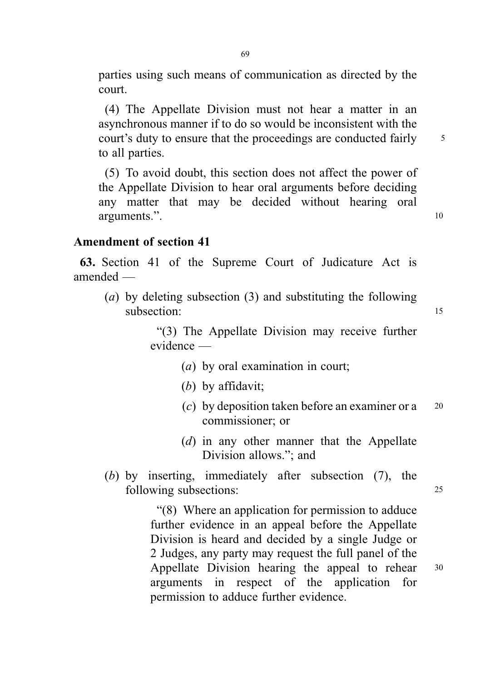parties using such means of communication as directed by the court.

(4) The Appellate Division must not hear a matter in an asynchronous manner if to do so would be inconsistent with the court's duty to ensure that the proceedings are conducted fairly  $\frac{5}{10}$ to all parties.

(5) To avoid doubt, this section does not affect the power of the Appellate Division to hear oral arguments before deciding any matter that may be decided without hearing oral arguments.".

# Amendment of section 41

63. Section 41 of the Supreme Court of Judicature Act is amended —

(a) by deleting subsection (3) and substituting the following subsection: 15

> "(3) The Appellate Division may receive further evidence —

- (a) by oral examination in court;
- (b) by affidavit;
- (c) by deposition taken before an examiner or a  $20$ commissioner; or
- (d) in any other manner that the Appellate Division allows."; and
- (b) by inserting, immediately after subsection (7), the following subsections: 25

"(8) Where an application for permission to adduce further evidence in an appeal before the Appellate Division is heard and decided by a single Judge or 2 Judges, any party may request the full panel of the Appellate Division hearing the appeal to rehear <sup>30</sup> arguments in respect of the application for permission to adduce further evidence.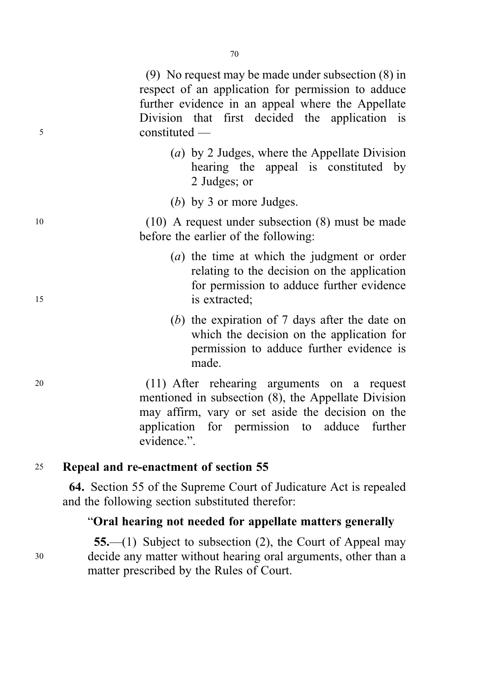(9) No request may be made under subsection (8) in respect of an application for permission to adduce further evidence in an appeal where the Appellate Division that first decided the application is <sup>5</sup> constituted —

- (a) by 2 Judges, where the Appellate Division hearing the appeal is constituted by 2 Judges; or
- (b) by 3 or more Judges.

<sup>10</sup> (10) A request under subsection (8) must be made before the earlier of the following:

- (a) the time at which the judgment or order relating to the decision on the application for permission to adduce further evidence 15 is extracted:
	- (b) the expiration of 7 days after the date on which the decision on the application for permission to adduce further evidence is made.

<sup>20</sup> (11) After rehearing arguments on a request mentioned in subsection (8), the Appellate Division may affirm, vary or set aside the decision on the application for permission to adduce further evidence.".

## <sup>25</sup> Repeal and re-enactment of section 55

64. Section 55 of the Supreme Court of Judicature Act is repealed and the following section substituted therefor:

## "Oral hearing not needed for appellate matters generally

55.—(1) Subject to subsection (2), the Court of Appeal may <sup>30</sup> decide any matter without hearing oral arguments, other than a matter prescribed by the Rules of Court.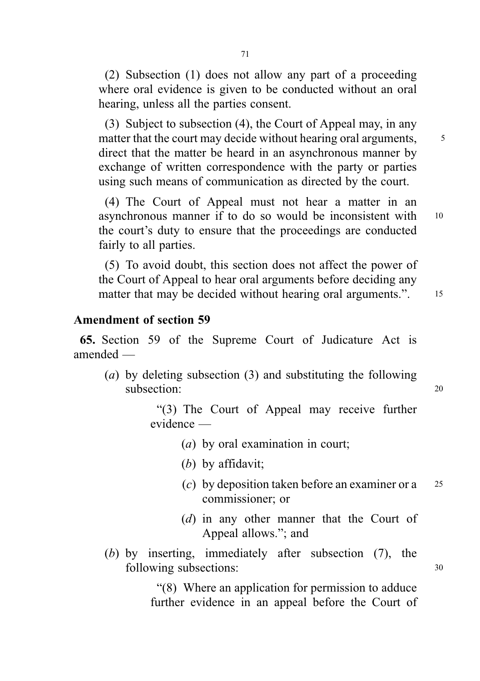(2) Subsection (1) does not allow any part of a proceeding where oral evidence is given to be conducted without an oral hearing, unless all the parties consent.

(3) Subject to subsection (4), the Court of Appeal may, in any matter that the court may decide without hearing oral arguments,  $\frac{5}{10}$ direct that the matter be heard in an asynchronous manner by exchange of written correspondence with the party or parties using such means of communication as directed by the court.

(4) The Court of Appeal must not hear a matter in an asynchronous manner if to do so would be inconsistent with <sup>10</sup> the court's duty to ensure that the proceedings are conducted fairly to all parties.

(5) To avoid doubt, this section does not affect the power of the Court of Appeal to hear oral arguments before deciding any matter that may be decided without hearing oral arguments.". 15

#### Amendment of section 59

65. Section 59 of the Supreme Court of Judicature Act is amended —

(a) by deleting subsection (3) and substituting the following subsection: 20

"(3) The Court of Appeal may receive further evidence —

- (a) by oral examination in court;
- (b) by affidavit;
- (c) by deposition taken before an examiner or a  $25$ commissioner; or
- (d) in any other manner that the Court of Appeal allows."; and
- (b) by inserting, immediately after subsection (7), the following subsections:  $30$

"(8) Where an application for permission to adduce further evidence in an appeal before the Court of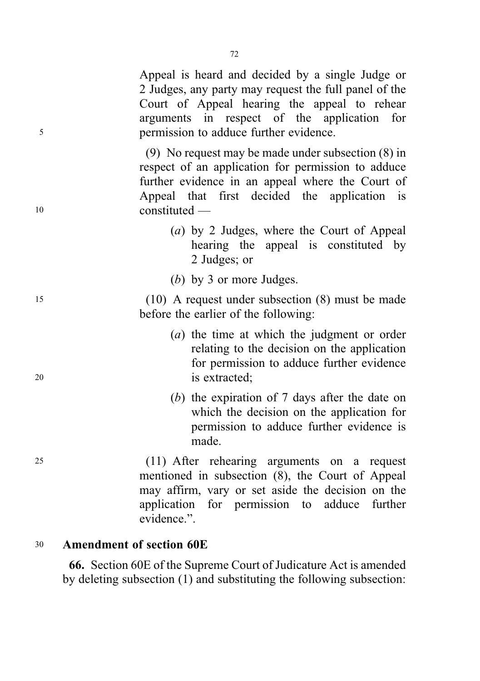Appeal is heard and decided by a single Judge or 2 Judges, any party may request the full panel of the Court of Appeal hearing the appeal to rehear arguments in respect of the application for <sup>5</sup> permission to adduce further evidence.

(9) No request may be made under subsection (8) in respect of an application for permission to adduce further evidence in an appeal where the Court of Appeal that first decided the application is <sup>10</sup> constituted —

- (a) by 2 Judges, where the Court of Appeal hearing the appeal is constituted by 2 Judges; or
- (b) by 3 or more Judges.

<sup>15</sup> (10) A request under subsection (8) must be made before the earlier of the following:

- (a) the time at which the judgment or order relating to the decision on the application for permission to adduce further evidence <sup>20</sup> is extracted;
	- (b) the expiration of 7 days after the date on which the decision on the application for permission to adduce further evidence is made.

<sup>25</sup> (11) After rehearing arguments on a request mentioned in subsection (8), the Court of Appeal may affirm, vary or set aside the decision on the application for permission to adduce further evidence.".

# <sup>30</sup> Amendment of section 60E

66. Section 60E of the Supreme Court of Judicature Act is amended by deleting subsection (1) and substituting the following subsection: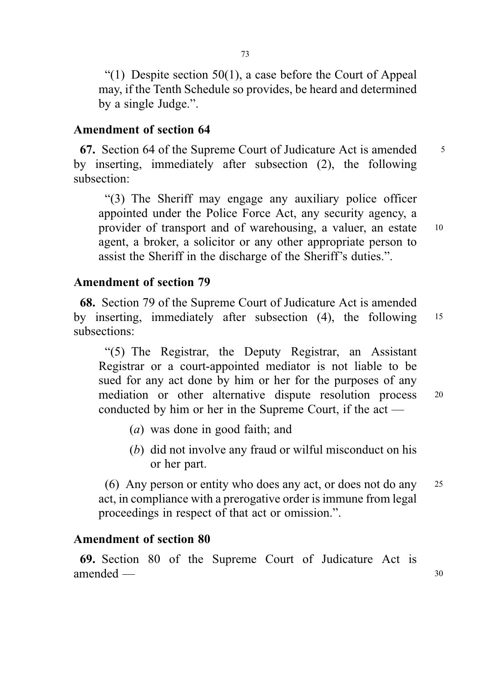"(1) Despite section  $50(1)$ , a case before the Court of Appeal may, if the Tenth Schedule so provides, be heard and determined by a single Judge.".

#### Amendment of section 64

67. Section 64 of the Supreme Court of Judicature Act is amended  $\frac{5}{5}$ by inserting, immediately after subsection (2), the following subsection:

"(3) The Sheriff may engage any auxiliary police officer appointed under the Police Force Act, any security agency, a provider of transport and of warehousing, a valuer, an estate <sup>10</sup> agent, a broker, a solicitor or any other appropriate person to assist the Sheriff in the discharge of the Sheriff's duties.".

### Amendment of section 79

68. Section 79 of the Supreme Court of Judicature Act is amended by inserting, immediately after subsection (4), the following <sup>15</sup> subsections:

"(5) The Registrar, the Deputy Registrar, an Assistant Registrar or a court-appointed mediator is not liable to be sued for any act done by him or her for the purposes of any mediation or other alternative dispute resolution process <sup>20</sup> conducted by him or her in the Supreme Court, if the act —

- (a) was done in good faith; and
- (b) did not involve any fraud or wilful misconduct on his or her part.

(6) Any person or entity who does any act, or does not do any <sup>25</sup> act, in compliance with a prerogative order is immune from legal proceedings in respect of that act or omission.".

#### Amendment of section 80

69. Section 80 of the Supreme Court of Judicature Act is amended — 30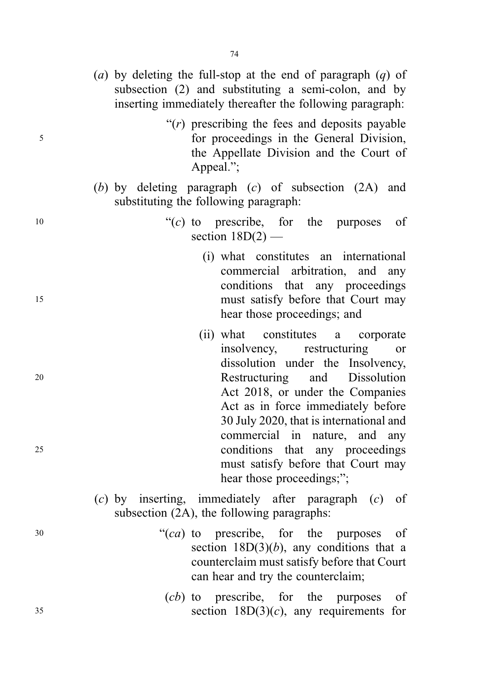- (a) by deleting the full-stop at the end of paragraph  $(q)$  of subsection (2) and substituting a semi-colon, and by inserting immediately thereafter the following paragraph:
- " $(r)$  prescribing the fees and deposits payable" <sup>5</sup> for proceedings in the General Division, the Appellate Division and the Court of Appeal.";
	- (b) by deleting paragraph (c) of subsection (2A) and substituting the following paragraph:
- $^{10}$  (c) to prescribe, for the purposes of section  $18D(2)$  —
- (i) what constitutes an international commercial arbitration, and any conditions that any proceedings <sup>15</sup> must satisfy before that Court may hear those proceedings; and
- (ii) what constitutes a corporate insolvency, restructuring or dissolution under the Insolvency, <sup>20</sup> Restructuring and Dissolution Act 2018, or under the Companies Act as in force immediately before 30 July 2020, that is international and commercial in nature, and any <sup>25</sup> conditions that any proceedings must satisfy before that Court may hear those proceedings;";
	- (c) by inserting, immediately after paragraph (c) of subsection (2A), the following paragraphs:
- <sup>30</sup> "(ca) to prescribe, for the purposes of section  $18D(3)(b)$ , any conditions that a counterclaim must satisfy before that Court can hear and try the counterclaim;
- (cb) to prescribe, for the purposes of  $35$  section  $18D(3)(c)$ , any requirements for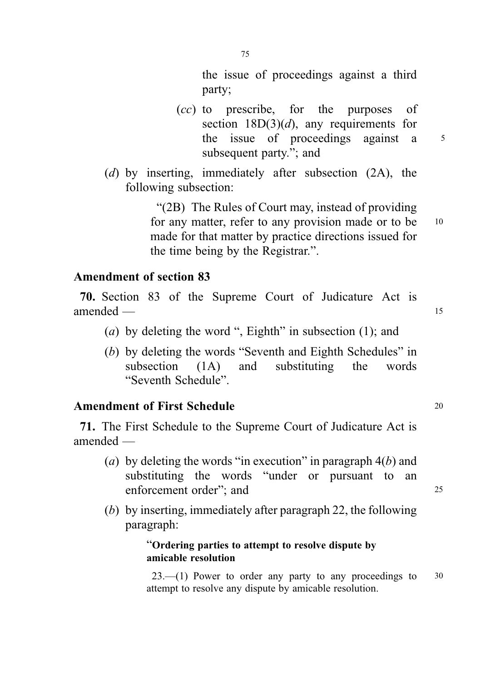the issue of proceedings against a third party;

- (cc) to prescribe, for the purposes of section  $18D(3)(d)$ , any requirements for the issue of proceedings against a 5 subsequent party."; and
- (d) by inserting, immediately after subsection (2A), the following subsection:

"(2B) The Rules of Court may, instead of providing for any matter, refer to any provision made or to be 10 made for that matter by practice directions issued for the time being by the Registrar.".

#### Amendment of section 83

70. Section 83 of the Supreme Court of Judicature Act is amended — 15

- (a) by deleting the word ", Eighth" in subsection  $(1)$ ; and
- (b) by deleting the words "Seventh and Eighth Schedules" in subsection (1A) and substituting the words "Seventh Schedule".

#### Amendment of First Schedule 20

71. The First Schedule to the Supreme Court of Judicature Act is amended —

- (a) by deleting the words "in execution" in paragraph  $4(b)$  and substituting the words "under or pursuant to an enforcement order": and 25
- (b) by inserting, immediately after paragraph 22, the following paragraph:

#### "Ordering parties to attempt to resolve dispute by amicable resolution

 $23$ —(1) Power to order any party to any proceedings to  $30$ attempt to resolve any dispute by amicable resolution.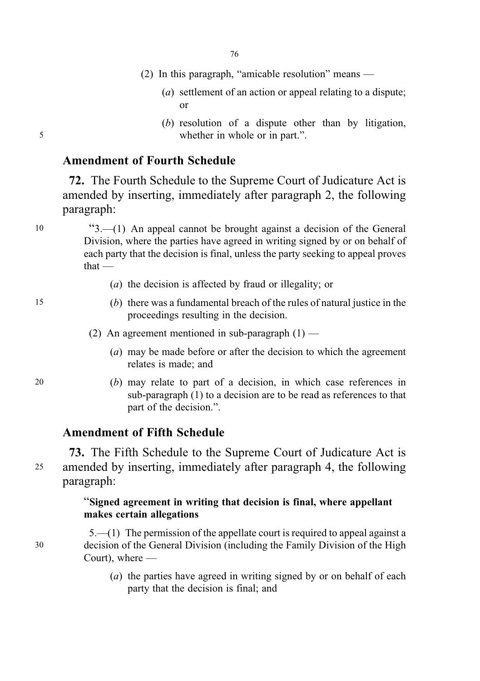- (2) In this paragraph, "amicable resolution" means
	- (a) settlement of an action or appeal relating to a dispute; or
- (b) resolution of a dispute other than by litigation, 5 whether in whole or in part.".

### Amendment of Fourth Schedule

72. The Fourth Schedule to the Supreme Court of Judicature Act is amended by inserting, immediately after paragraph 2, the following paragraph:

<sup>10</sup> "3.—(1) An appeal cannot be brought against a decision of the General Division, where the parties have agreed in writing signed by or on behalf of each party that the decision is final, unless the party seeking to appeal proves that —

- (a) the decision is affected by fraud or illegality; or
- 15 (b) there was a fundamental breach of the rules of natural justice in the proceedings resulting in the decision.
	- (2) An agreement mentioned in sub-paragraph  $(1)$ 
		- (a) may be made before or after the decision to which the agreement relates is made; and
- 20 (b) may relate to part of a decision, in which case references in sub-paragraph (1) to a decision are to be read as references to that part of the decision.".

#### Amendment of Fifth Schedule

73. The Fifth Schedule to the Supreme Court of Judicature Act is <sup>25</sup> amended by inserting, immediately after paragraph 4, the following paragraph:

#### "Signed agreement in writing that decision is final, where appellant makes certain allegations

5.—(1) The permission of the appellate court is required to appeal against a 30 decision of the General Division (including the Family Division of the High Court), where —

> (a) the parties have agreed in writing signed by or on behalf of each party that the decision is final; and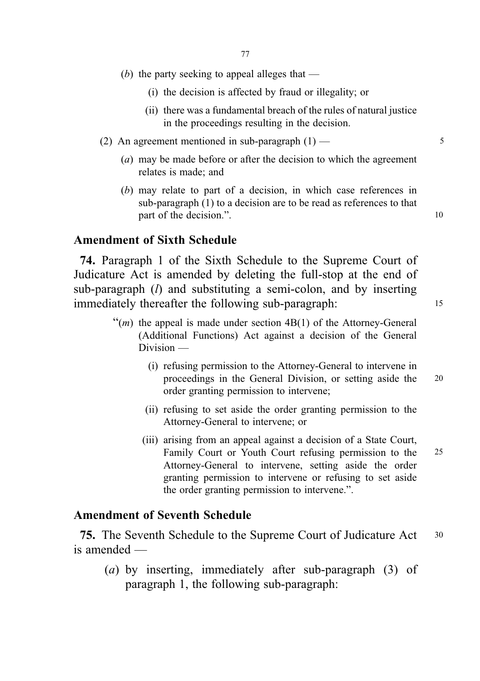- (b) the party seeking to appeal alleges that
	- (i) the decision is affected by fraud or illegality; or
	- (ii) there was a fundamental breach of the rules of natural justice in the proceedings resulting in the decision.
- (2) An agreement mentioned in sub-paragraph  $(1)$  5
	- (a) may be made before or after the decision to which the agreement relates is made; and
	- (b) may relate to part of a decision, in which case references in sub-paragraph (1) to a decision are to be read as references to that part of the decision.".

#### Amendment of Sixth Schedule

74. Paragraph 1 of the Sixth Schedule to the Supreme Court of Judicature Act is amended by deleting the full-stop at the end of sub-paragraph  $(l)$  and substituting a semi-colon, and by inserting immediately thereafter the following sub-paragraph: <sup>15</sup>

- $\mathfrak{m}(m)$  the appeal is made under section 4B(1) of the Attorney-General (Additional Functions) Act against a decision of the General Division —
	- (i) refusing permission to the Attorney-General to intervene in proceedings in the General Division, or setting aside the 20 order granting permission to intervene;
	- (ii) refusing to set aside the order granting permission to the Attorney-General to intervene; or
	- (iii) arising from an appeal against a decision of a State Court, Family Court or Youth Court refusing permission to the 25 Attorney-General to intervene, setting aside the order granting permission to intervene or refusing to set aside the order granting permission to intervene.".

#### Amendment of Seventh Schedule

75. The Seventh Schedule to the Supreme Court of Judicature Act <sup>30</sup> is amended —

(a) by inserting, immediately after sub-paragraph (3) of paragraph 1, the following sub-paragraph: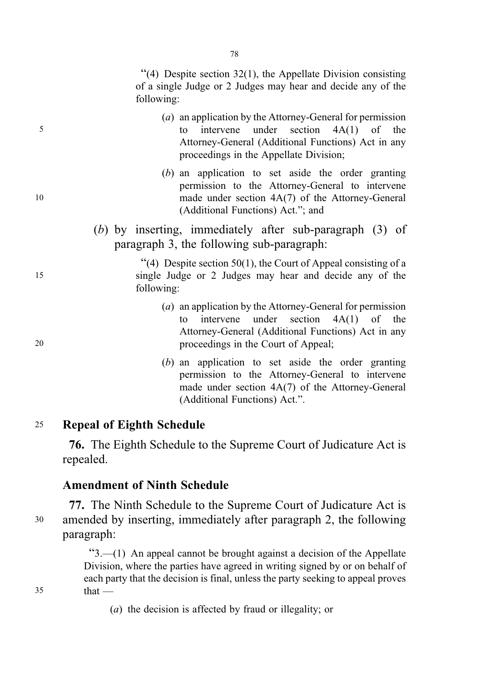"(4) Despite section 32(1), the Appellate Division consisting of a single Judge or 2 Judges may hear and decide any of the following:

- (a) an application by the Attorney-General for permission 5 to intervene under section 4A(1) of the Attorney-General (Additional Functions) Act in any proceedings in the Appellate Division;
- (b) an application to set aside the order granting permission to the Attorney-General to intervene 10 made under section 4A(7) of the Attorney-General (Additional Functions) Act."; and
	- (b) by inserting, immediately after sub-paragraph (3) of paragraph 3, the following sub-paragraph:

 $(4)$  Despite section 50(1), the Court of Appeal consisting of a 15 single Judge or 2 Judges may hear and decide any of the following:

- (a) an application by the Attorney-General for permission to intervene under section 4A(1) of the Attorney-General (Additional Functions) Act in any 20 proceedings in the Court of Appeal;
	- (b) an application to set aside the order granting permission to the Attorney-General to intervene made under section 4A(7) of the Attorney-General (Additional Functions) Act.".

## <sup>25</sup> Repeal of Eighth Schedule

76. The Eighth Schedule to the Supreme Court of Judicature Act is repealed.

#### Amendment of Ninth Schedule

77. The Ninth Schedule to the Supreme Court of Judicature Act is <sup>30</sup> amended by inserting, immediately after paragraph 2, the following paragraph:

"3.—(1) An appeal cannot be brought against a decision of the Appellate Division, where the parties have agreed in writing signed by or on behalf of each party that the decision is final, unless the party seeking to appeal proves  $35$  that —

(a) the decision is affected by fraud or illegality; or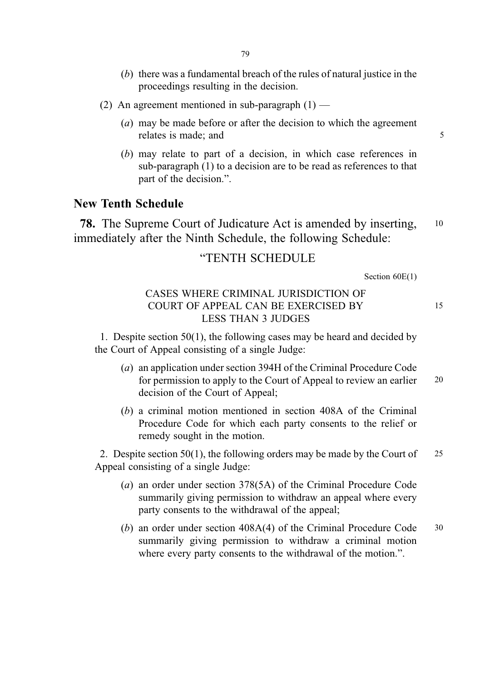- (b) there was a fundamental breach of the rules of natural justice in the proceedings resulting in the decision.
- (2) An agreement mentioned in sub-paragraph  $(1)$ 
	- (a) may be made before or after the decision to which the agreement relates is made; and 5
	- (b) may relate to part of a decision, in which case references in sub-paragraph (1) to a decision are to be read as references to that part of the decision.".

#### New Tenth Schedule

78. The Supreme Court of Judicature Act is amended by inserting, <sup>10</sup> immediately after the Ninth Schedule, the following Schedule:

#### "TENTH SCHEDULE

Section 60E(1)

#### CASES WHERE CRIMINAL JURISDICTION OF COURT OF APPEAL CAN BE EXERCISED BY 15 LESS THAN 3 JUDGES

1. Despite section 50(1), the following cases may be heard and decided by the Court of Appeal consisting of a single Judge:

- (a) an application under section 394H of the Criminal Procedure Code for permission to apply to the Court of Appeal to review an earlier 20 decision of the Court of Appeal;
- (b) a criminal motion mentioned in section 408A of the Criminal Procedure Code for which each party consents to the relief or remedy sought in the motion.

2. Despite section  $50(1)$ , the following orders may be made by the Court of  $25$ Appeal consisting of a single Judge:

- (a) an order under section 378(5A) of the Criminal Procedure Code summarily giving permission to withdraw an appeal where every party consents to the withdrawal of the appeal;
- (b) an order under section 408A(4) of the Criminal Procedure Code 30 summarily giving permission to withdraw a criminal motion where every party consents to the withdrawal of the motion.".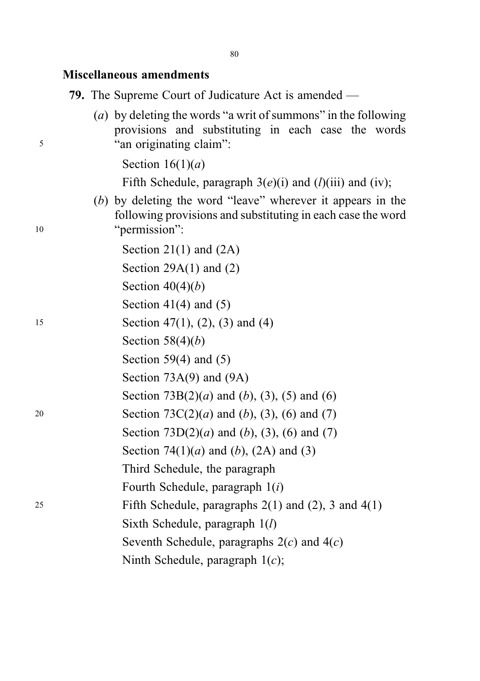#### Miscellaneous amendments

79. The Supreme Court of Judicature Act is amended —

(a) by deleting the words "a writ of summons" in the following provisions and substituting in each case the words <sup>5</sup> "an originating claim":

Section  $16(1)(a)$ 

Fifth Schedule, paragraph  $3(e)(i)$  and  $(l)(iii)$  and (iv);

(b) by deleting the word "leave" wherever it appears in the following provisions and substituting in each case the word 10 "permission":

Section 21(1) and (2A) Section  $29A(1)$  and  $(2)$ Section  $40(4)(b)$ Section 41(4) and  $(5)$ 15 Section 47(1), (2), (3) and (4) Section  $58(4)(b)$ Section 59(4) and (5) Section 73A(9) and (9A) Section  $73B(2)(a)$  and  $(b)$ ,  $(3)$ ,  $(5)$  and  $(6)$ 20 Section  $73C(2)(a)$  and  $(b)$ ,  $(3)$ ,  $(6)$  and  $(7)$ Section  $73D(2)(a)$  and  $(b)$ ,  $(3)$ ,  $(6)$  and  $(7)$ Section 74(1)(*a*) and (*b*), (2A) and (3) Third Schedule, the paragraph Fourth Schedule, paragraph 1(i) 25 Fifth Schedule, paragraphs  $2(1)$  and  $(2)$ , 3 and  $4(1)$ Sixth Schedule, paragraph  $1(l)$ Seventh Schedule, paragraphs  $2(c)$  and  $4(c)$ Ninth Schedule, paragraph  $1(c)$ ;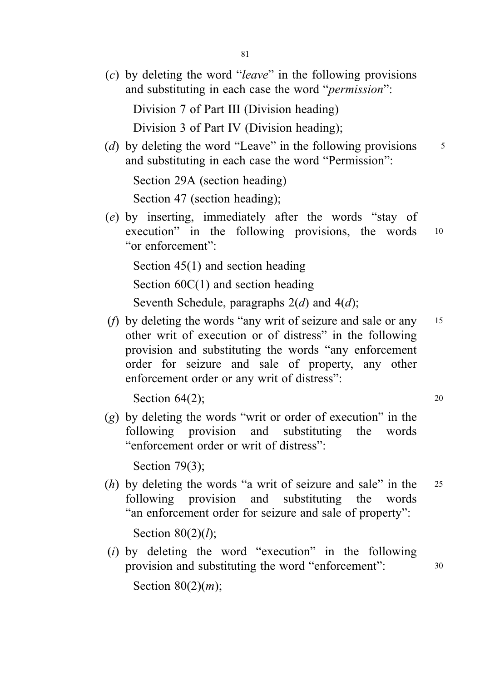(c) by deleting the word "leave" in the following provisions and substituting in each case the word "permission":

Division 7 of Part III (Division heading)

Division 3 of Part IV (Division heading);

(d) by deleting the word "Leave" in the following provisions  $\frac{5}{5}$ and substituting in each case the word "Permission":

Section 29A (section heading)

Section 47 (section heading);

(e) by inserting, immediately after the words "stay of execution" in the following provisions, the words 10 "or enforcement":

Section 45(1) and section heading

Section  $60C(1)$  and section heading

Seventh Schedule, paragraphs  $2(d)$  and  $4(d)$ ;

(*f*) by deleting the words "any writ of seizure and sale or any  $15$ other writ of execution or of distress" in the following provision and substituting the words "any enforcement order for seizure and sale of property, any other enforcement order or any writ of distress":

Section  $64(2)$ ; 20

 $(g)$  by deleting the words "writ or order of execution" in the following provision and substituting the words "enforcement order or writ of distress":

Section 79(3);

(h) by deleting the words "a writ of seizure and sale" in the  $25$ following provision and substituting the words "an enforcement order for seizure and sale of property":

Section  $80(2)(l)$ :

(i) by deleting the word "execution" in the following provision and substituting the word "enforcement": <sup>30</sup>

Section  $80(2)(m)$ ;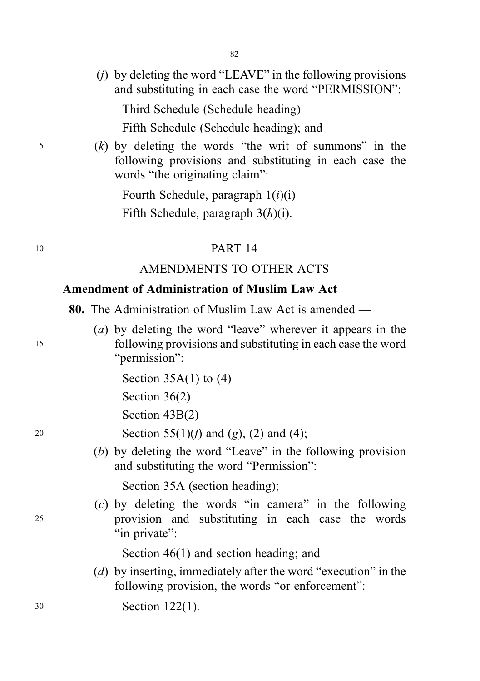$(i)$  by deleting the word "LEAVE" in the following provisions and substituting in each case the word "PERMISSION":

Third Schedule (Schedule heading)

Fifth Schedule (Schedule heading); and

<sup>5</sup> (k) by deleting the words "the writ of summons" in the following provisions and substituting in each case the words "the originating claim":

> Fourth Schedule, paragraph  $1(i)(i)$ Fifth Schedule, paragraph  $3(h)(i)$ .

### <sup>10</sup> PART 14

#### AMENDMENTS TO OTHER ACTS

## Amendment of Administration of Muslim Law Act

80. The Administration of Muslim Law Act is amended —

(a) by deleting the word "leave" wherever it appears in the <sup>15</sup> following provisions and substituting in each case the word "permission":

Section  $35A(1)$  to  $(4)$ 

Section 36(2)

Section 43B(2)

20 Section 55(1)(*f*) and (*g*), (2) and (4);

(b) by deleting the word "Leave" in the following provision and substituting the word "Permission":

Section 35A (section heading);

(c) by deleting the words "in camera" in the following <sup>25</sup> provision and substituting in each case the words "in private":

Section  $46(1)$  and section heading; and

- (d) by inserting, immediately after the word "execution" in the following provision, the words "or enforcement":
- <sup>30</sup> Section 122(1).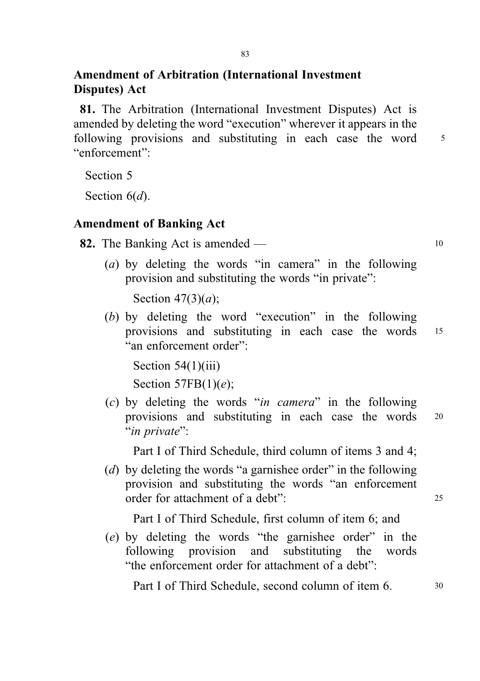## Amendment of Arbitration (International Investment Disputes) Act

81. The Arbitration (International Investment Disputes) Act is amended by deleting the word "execution" wherever it appears in the following provisions and substituting in each case the word 5 "enforcement":

Section 5

Section  $6(d)$ .

### Amendment of Banking Act

82. The Banking Act is amended — 10

(a) by deleting the words "in camera" in the following provision and substituting the words "in private":

Section  $47(3)(a)$ ;

(b) by deleting the word "execution" in the following provisions and substituting in each case the words <sup>15</sup> "an enforcement order":

Section 54(1)(iii) Section  $57FB(1)(e)$ ;

(c) by deleting the words "in camera" in the following provisions and substituting in each case the words <sup>20</sup> "in private":

Part I of Third Schedule, third column of items 3 and 4;

(d) by deleting the words "a garnishee order" in the following provision and substituting the words "an enforcement order for attachment of a debt": 25

Part I of Third Schedule, first column of item 6; and

(e) by deleting the words "the garnishee order" in the following provision and substituting the words "the enforcement order for attachment of a debt":

Part I of Third Schedule, second column of item 6.  $\frac{30}{2}$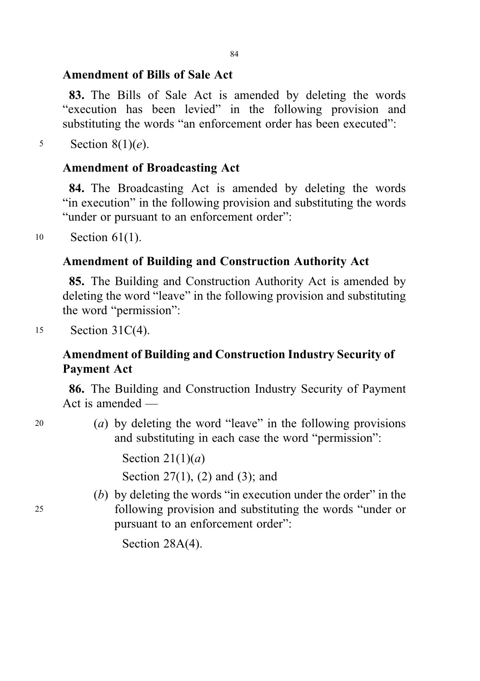#### 84

#### Amendment of Bills of Sale Act

83. The Bills of Sale Act is amended by deleting the words "execution has been levied" in the following provision and substituting the words "an enforcement order has been executed":

5 Section  $8(1)(e)$ .

### Amendment of Broadcasting Act

84. The Broadcasting Act is amended by deleting the words "in execution" in the following provision and substituting the words "under or pursuant to an enforcement order":

<sup>10</sup> Section 61(1).

## Amendment of Building and Construction Authority Act

85. The Building and Construction Authority Act is amended by deleting the word "leave" in the following provision and substituting the word "permission":

<sup>15</sup> Section 31C(4).

## Amendment of Building and Construction Industry Security of Payment Act

86. The Building and Construction Industry Security of Payment Act is amended —

<sup>20</sup> (a) by deleting the word "leave" in the following provisions and substituting in each case the word "permission":

Section  $21(1)(a)$ 

Section 27(1), (2) and (3); and

(b) by deleting the words "in execution under the order" in the <sup>25</sup> following provision and substituting the words "under or pursuant to an enforcement order":

Section 28A(4).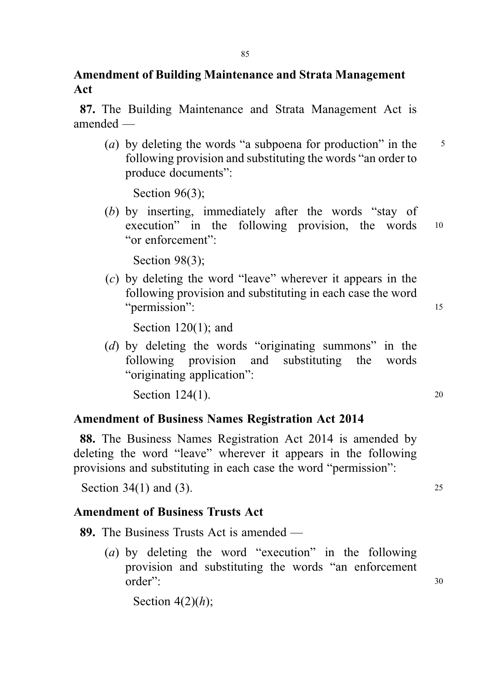## Amendment of Building Maintenance and Strata Management Act

87. The Building Maintenance and Strata Management Act is amended —

(a) by deleting the words "a subpoena for production" in the  $\frac{5}{5}$ following provision and substituting the words "an order to produce documents":

Section 96(3);

(b) by inserting, immediately after the words "stay of execution" in the following provision, the words <sup>10</sup> "or enforcement":

Section 98(3);

(c) by deleting the word "leave" wherever it appears in the following provision and substituting in each case the word "permission": 15

Section 120(1); and

(d) by deleting the words "originating summons" in the following provision and substituting the words "originating application":

Section  $124(1)$ . 20

## Amendment of Business Names Registration Act 2014

88. The Business Names Registration Act 2014 is amended by deleting the word "leave" wherever it appears in the following provisions and substituting in each case the word "permission":

Section 34(1) and (3). 25

## Amendment of Business Trusts Act

89. The Business Trusts Act is amended —

(a) by deleting the word "execution" in the following provision and substituting the words "an enforcement order": 30

Section  $4(2)(h)$ ;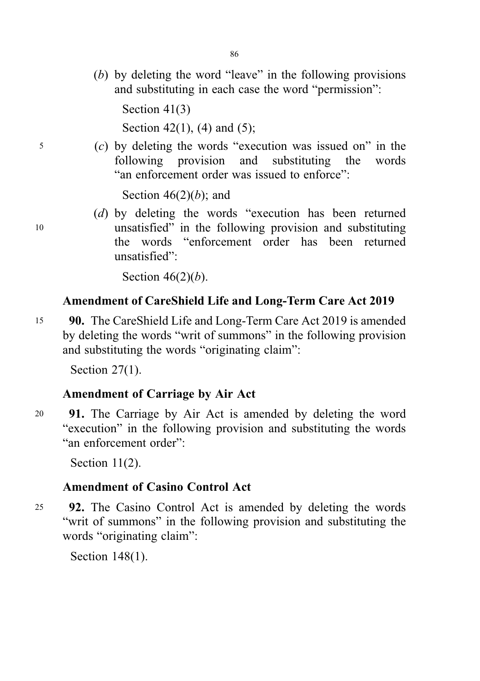(b) by deleting the word "leave" in the following provisions and substituting in each case the word "permission":

Section 41(3)

Section 42(1), (4) and (5);

<sup>5</sup> (c) by deleting the words "execution was issued on" in the following provision and substituting the words "an enforcement order was issued to enforce":

Section  $46(2)(b)$ ; and

(d) by deleting the words "execution has been returned <sup>10</sup> unsatisfied" in the following provision and substituting the words "enforcement order has been returned unsatisfied":

Section  $46(2)(b)$ .

## Amendment of CareShield Life and Long-Term Care Act 2019

<sup>15</sup> 90. The CareShield Life and Long-Term Care Act 2019 is amended by deleting the words "writ of summons" in the following provision and substituting the words "originating claim":

Section 27(1).

## Amendment of Carriage by Air Act

<sup>20</sup> 91. The Carriage by Air Act is amended by deleting the word "execution" in the following provision and substituting the words "an enforcement order":

Section 11(2).

## Amendment of Casino Control Act

25 92. The Casino Control Act is amended by deleting the words "writ of summons" in the following provision and substituting the words "originating claim":

Section 148(1).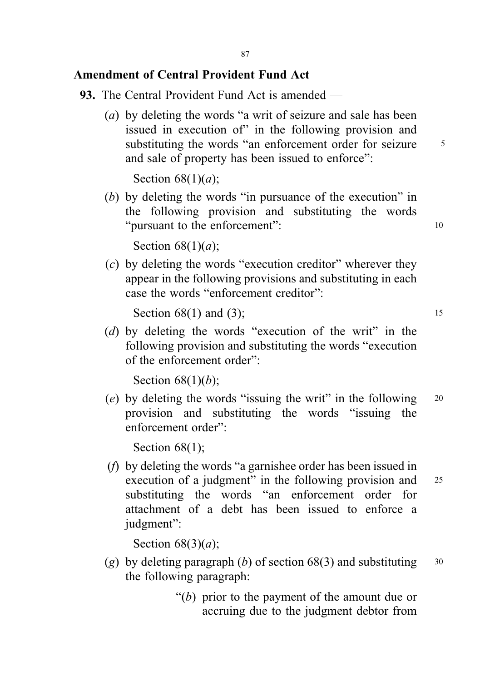### Amendment of Central Provident Fund Act

- 93. The Central Provident Fund Act is amended
	- (a) by deleting the words "a writ of seizure and sale has been issued in execution of" in the following provision and substituting the words "an enforcement order for seizure 5 and sale of property has been issued to enforce":

Section  $68(1)(a)$ ;

(b) by deleting the words "in pursuance of the execution" in the following provision and substituting the words "pursuant to the enforcement": 10

Section  $68(1)(a)$ ;

(c) by deleting the words "execution creditor" wherever they appear in the following provisions and substituting in each case the words "enforcement creditor":

Section  $68(1)$  and  $(3)$ ; 15

(d) by deleting the words "execution of the writ" in the following provision and substituting the words "execution of the enforcement order":

Section  $68(1)(b)$ ;

(e) by deleting the words "issuing the writ" in the following  $20$ provision and substituting the words "issuing the enforcement order":

Section 68(1);

(f) by deleting the words "a garnishee order has been issued in execution of a judgment" in the following provision and <sup>25</sup> substituting the words "an enforcement order for attachment of a debt has been issued to enforce a judgment":

Section  $68(3)(a)$ ;

- (g) by deleting paragraph (b) of section  $68(3)$  and substituting  $30$ the following paragraph:
	- " $(b)$  prior to the payment of the amount due or accruing due to the judgment debtor from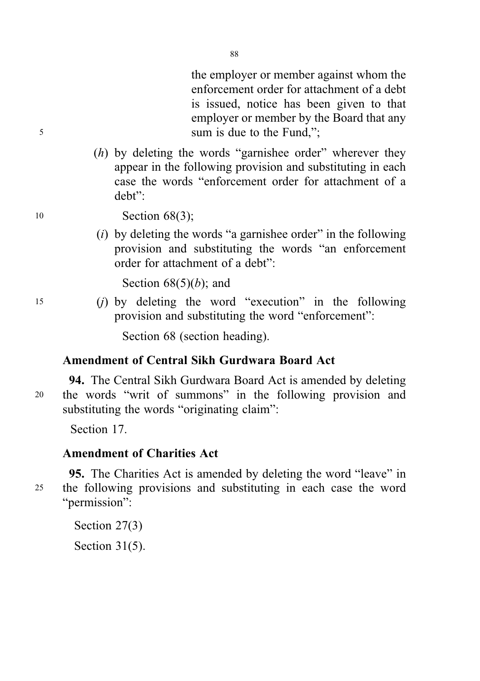the employer or member against whom the enforcement order for attachment of a debt is issued, notice has been given to that employer or member by the Board that any <sup>5</sup> sum is due to the Fund,";

> $(h)$  by deleting the words "garnishee order" wherever they appear in the following provision and substituting in each case the words "enforcement order for attachment of a debt":

10 **Section 68(3);** 

 $(i)$  by deleting the words "a garnishee order" in the following provision and substituting the words "an enforcement order for attachment of a debt":

Section  $68(5)(b)$ ; and

<sup>15</sup> (j) by deleting the word "execution" in the following provision and substituting the word "enforcement":

Section 68 (section heading).

## Amendment of Central Sikh Gurdwara Board Act

94. The Central Sikh Gurdwara Board Act is amended by deleting <sup>20</sup> the words "writ of summons" in the following provision and substituting the words "originating claim":

Section 17.

## Amendment of Charities Act

95. The Charities Act is amended by deleting the word "leave" in <sup>25</sup> the following provisions and substituting in each case the word "permission":

> Section 27(3) Section 31(5).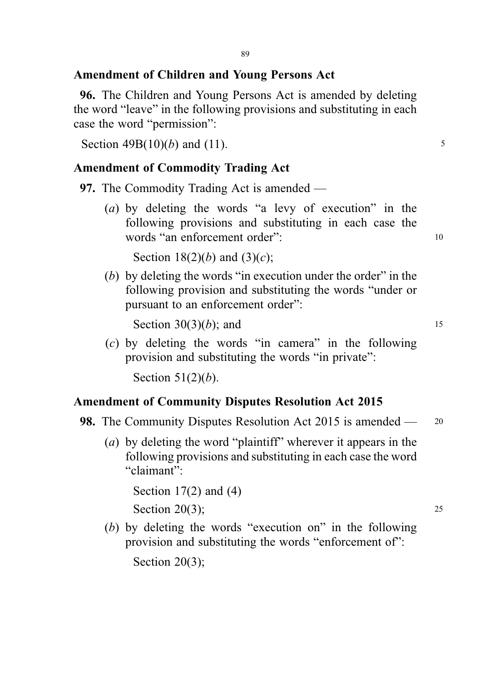#### Amendment of Children and Young Persons Act

96. The Children and Young Persons Act is amended by deleting the word "leave" in the following provisions and substituting in each case the word "permission":

Section  $49B(10)(b)$  and (11).

#### Amendment of Commodity Trading Act

97. The Commodity Trading Act is amended —

(a) by deleting the words "a levy of execution" in the following provisions and substituting in each case the words "an enforcement order": 10

Section 18(2)(b) and (3)(c);

(b) by deleting the words "in execution under the order" in the following provision and substituting the words "under or pursuant to an enforcement order":

Section  $30(3)(b)$ ; and 15

 $(c)$  by deleting the words "in camera" in the following provision and substituting the words "in private":

Section  $51(2)(b)$ .

### Amendment of Community Disputes Resolution Act 2015

- 98. The Community Disputes Resolution Act 2015 is amended 20
	- (a) by deleting the word "plaintiff" wherever it appears in the following provisions and substituting in each case the word "claimant":

Section  $17(2)$  and  $(4)$ 

Section 20(3);  $25$ 

(b) by deleting the words "execution on" in the following provision and substituting the words "enforcement of":

Section 20(3);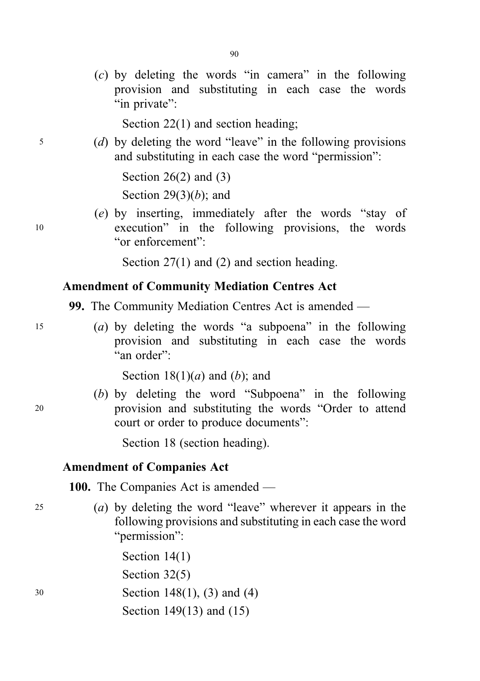(c) by deleting the words "in camera" in the following provision and substituting in each case the words "in private":

Section 22(1) and section heading;

<sup>5</sup> (d) by deleting the word "leave" in the following provisions and substituting in each case the word "permission":

> Section  $26(2)$  and  $(3)$ Section 29 $(3)(b)$ ; and

(e) by inserting, immediately after the words "stay of <sup>10</sup> execution" in the following provisions, the words "or enforcement":

Section 27(1) and (2) and section heading.

#### Amendment of Community Mediation Centres Act

99. The Community Mediation Centres Act is amended —

<sup>15</sup> (a) by deleting the words "a subpoena" in the following provision and substituting in each case the words "an order":

Section  $18(1)(a)$  and  $(b)$ ; and

(b) by deleting the word "Subpoena" in the following <sup>20</sup> provision and substituting the words "Order to attend court or order to produce documents":

Section 18 (section heading).

#### Amendment of Companies Act

100. The Companies Act is amended —

<sup>25</sup> (a) by deleting the word "leave" wherever it appears in the following provisions and substituting in each case the word "permission":

Section 14(1) Section 32(5) <sup>30</sup> Section 148(1), (3) and (4) Section 149(13) and (15)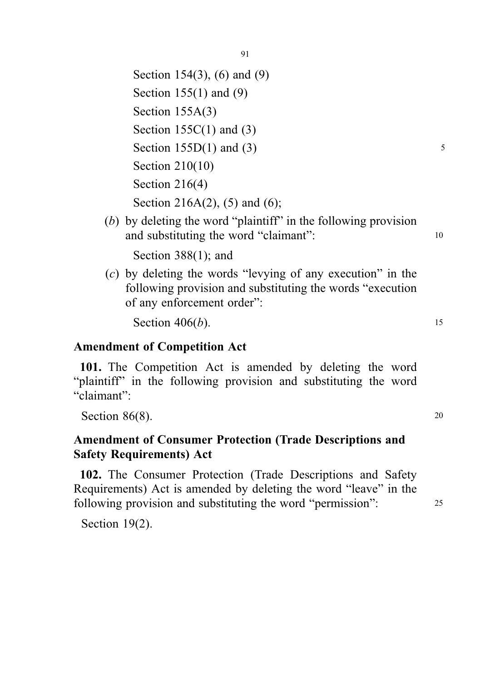Section 154(3), (6) and (9) Section 155(1) and (9) Section 155A(3) Section  $155C(1)$  and  $(3)$ Section  $155D(1)$  and  $(3)$  5 Section 210(10) Section 216(4) Section 216A(2), (5) and (6);

(b) by deleting the word "plaintiff" in the following provision and substituting the word "claimant": 10

Section 388(1); and

(c) by deleting the words "levying of any execution" in the following provision and substituting the words "execution of any enforcement order":

Section  $406(b)$ . 15

#### Amendment of Competition Act

101. The Competition Act is amended by deleting the word "plaintiff" in the following provision and substituting the word "claimant":

Section  $86(8)$ . 20

## Amendment of Consumer Protection (Trade Descriptions and Safety Requirements) Act

102. The Consumer Protection (Trade Descriptions and Safety Requirements) Act is amended by deleting the word "leave" in the following provision and substituting the word "permission": 25

Section 19(2).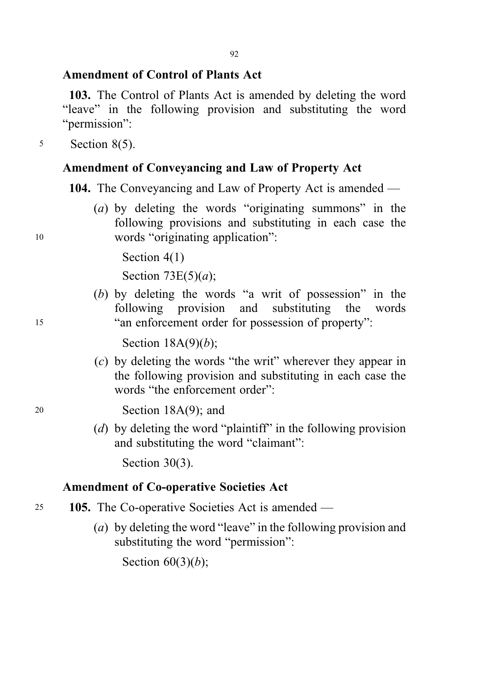#### Amendment of Control of Plants Act

103. The Control of Plants Act is amended by deleting the word "leave" in the following provision and substituting the word "*nermission*":

<sup>5</sup> Section 8(5).

#### Amendment of Conveyancing and Law of Property Act

104. The Conveyancing and Law of Property Act is amended —

(a) by deleting the words "originating summons" in the following provisions and substituting in each case the <sup>10</sup> words "originating application":

Section 4(1)

Section  $73E(5)(a)$ ;

(b) by deleting the words "a writ of possession" in the following provision and substituting the words <sup>15</sup> "an enforcement order for possession of property":

Section  $18A(9)(b)$ ;

(c) by deleting the words "the writ" wherever they appear in the following provision and substituting in each case the words "the enforcement order":

<sup>20</sup> Section 18A(9); and

(d) by deleting the word "plaintiff" in the following provision and substituting the word "claimant":

Section 30(3).

#### Amendment of Co-operative Societies Act

- <sup>25</sup> 105. The Co-operative Societies Act is amended
	- (a) by deleting the word "leave" in the following provision and substituting the word "permission":

Section  $60(3)(b)$ ;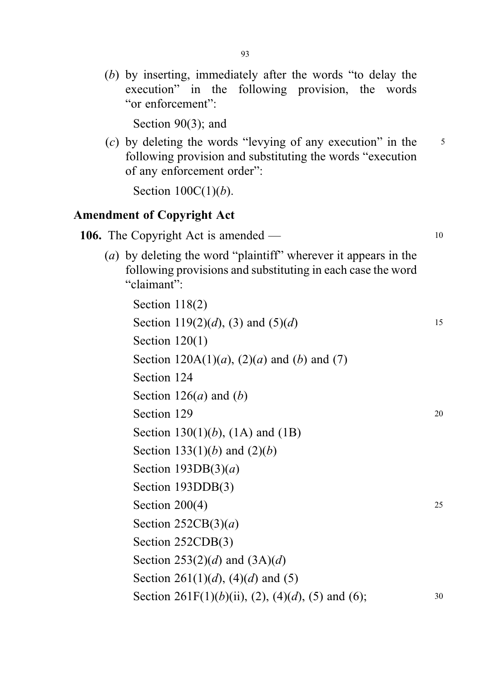(b) by inserting, immediately after the words "to delay the execution" in the following provision, the words "or enforcement":

Section 90(3): and

(c) by deleting the words "levying of any execution" in the  $\frac{5}{5}$ following provision and substituting the words "execution of any enforcement order":

Section  $100C(1)(b)$ .

#### Amendment of Copyright Act

106. The Copyright Act is amended — 10

(a) by deleting the word "plaintiff" wherever it appears in the following provisions and substituting in each case the word "claimant":

Section 118(2) Section 119(2)(d), (3) and (5)(d) 15 Section 120(1) Section  $120A(1)(a)$ ,  $(2)(a)$  and  $(b)$  and  $(7)$ Section 124 Section  $126(a)$  and  $(b)$ Section 129 20 Section 130(1)(*b*), (1A) and (1B) Section 133(1)(b) and  $(2)(b)$ Section  $193DB(3)(a)$ Section 193DDB(3) Section  $200(4)$  25 Section  $252CB(3)(a)$ Section 252CDB(3) Section 253(2)(d) and  $(3A)(d)$ Section 261(1)(d), (4)(d) and (5) Section 261F(1)(b)(ii), (2), (4)(d), (5) and (6);  $30$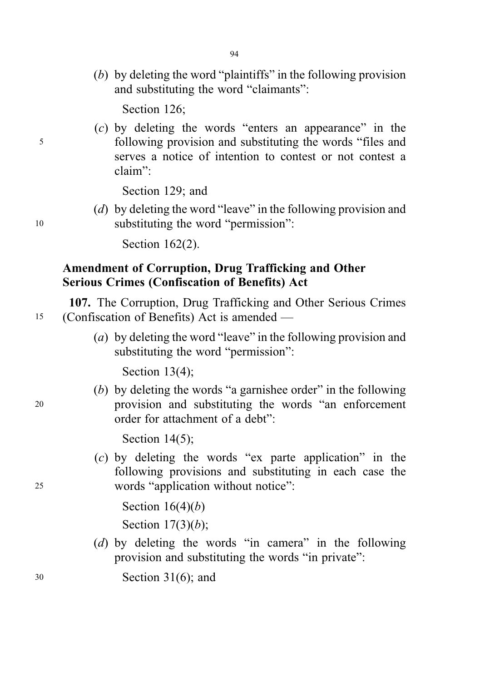(b) by deleting the word "plaintiffs" in the following provision and substituting the word "claimants":

Section 126:

(c) by deleting the words "enters an appearance" in the <sup>5</sup> following provision and substituting the words "files and serves a notice of intention to contest or not contest a claim":

Section 129; and

(d) by deleting the word "leave" in the following provision and <sup>10</sup> substituting the word "permission":

Section 162(2).

## Amendment of Corruption, Drug Trafficking and Other Serious Crimes (Confiscation of Benefits) Act

107. The Corruption, Drug Trafficking and Other Serious Crimes <sup>15</sup> (Confiscation of Benefits) Act is amended —

> (a) by deleting the word "leave" in the following provision and substituting the word "permission":

Section 13(4);

(b) by deleting the words "a garnishee order" in the following <sup>20</sup> provision and substituting the words "an enforcement order for attachment of a debt":

Section 14(5);

(c) by deleting the words "ex parte application" in the following provisions and substituting in each case the <sup>25</sup> words "application without notice":

> Section  $16(4)(b)$ Section  $17(3)(b)$ ;

(d) by deleting the words "in camera" in the following provision and substituting the words "in private":

<sup>30</sup> Section 31(6); and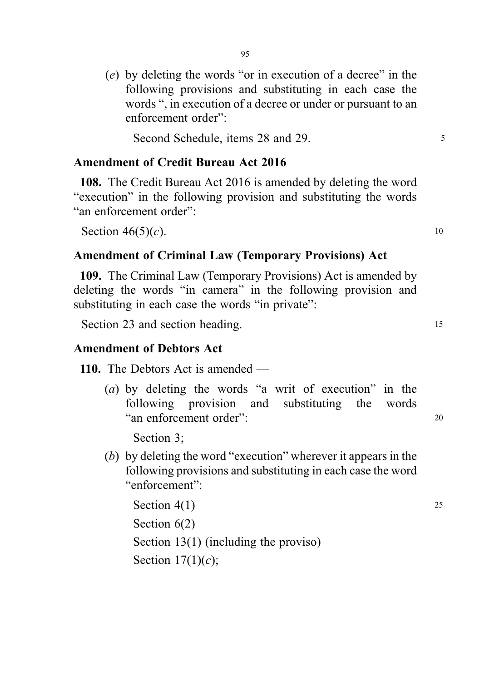(e) by deleting the words "or in execution of a decree" in the following provisions and substituting in each case the words ", in execution of a decree or under or pursuant to an enforcement order":

Second Schedule, items 28 and 29.

#### Amendment of Credit Bureau Act 2016

108. The Credit Bureau Act 2016 is amended by deleting the word "execution" in the following provision and substituting the words "an enforcement order":

Section  $46(5)(c)$ . 10

#### Amendment of Criminal Law (Temporary Provisions) Act

109. The Criminal Law (Temporary Provisions) Act is amended by deleting the words "in camera" in the following provision and substituting in each case the words "in private":

Section 23 and section heading. 15

#### Amendment of Debtors Act

110. The Debtors Act is amended —

(a) by deleting the words "a writ of execution" in the following provision and substituting the words "an enforcement order": <sup>20</sup>

Section 3;

(b) by deleting the word "execution" wherever it appears in the following provisions and substituting in each case the word "enforcement":

```
Section 4(1) 25
Section 6(2)Section 13(1) (including the proviso)
Section 17(1)(c);
```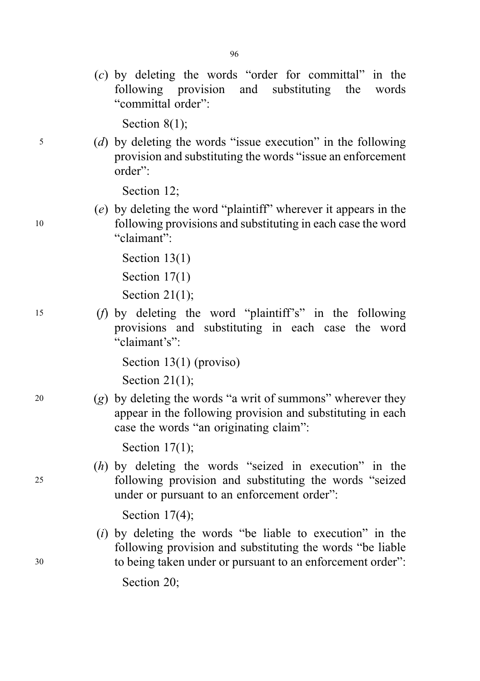(c) by deleting the words "order for committal" in the following provision and substituting the words "committal order":

Section 8(1):

<sup>5</sup> (d) by deleting the words "issue execution" in the following provision and substituting the words "issue an enforcement order":

Section 12;

(e) by deleting the word "plaintiff" wherever it appears in the <sup>10</sup> following provisions and substituting in each case the word "claimant":

> Section 13(1) Section 17(1) Section 21(1);

<sup>15</sup> (f) by deleting the word "plaintiff's" in the following provisions and substituting in each case the word "claimant's":

Section 13(1) (proviso)

Section 21(1);

20 (g) by deleting the words "a writ of summons" wherever they appear in the following provision and substituting in each case the words "an originating claim":

Section 17(1);

(h) by deleting the words "seized in execution" in the <sup>25</sup> following provision and substituting the words "seized under or pursuant to an enforcement order":

Section 17(4);

(i) by deleting the words "be liable to execution" in the following provision and substituting the words "be liable <sup>30</sup> to being taken under or pursuant to an enforcement order":

Section 20;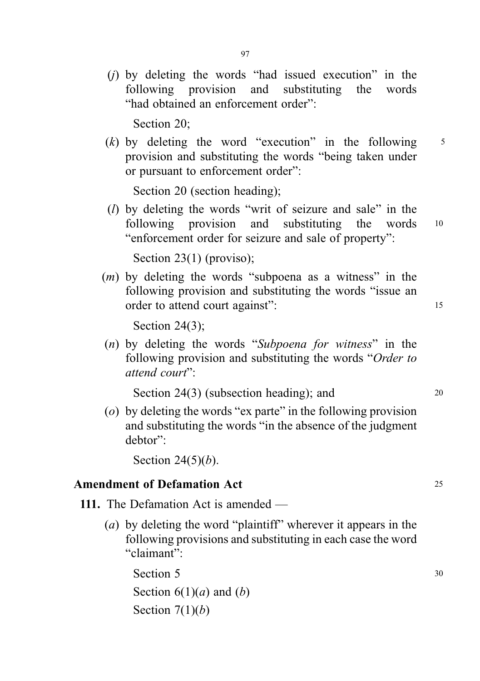(j) by deleting the words "had issued execution" in the following provision and substituting the words "had obtained an enforcement order":

Section 20;

(k) by deleting the word "execution" in the following  $5$ provision and substituting the words "being taken under or pursuant to enforcement order":

Section 20 (section heading);

(l) by deleting the words "writ of seizure and sale" in the following provision and substituting the words <sup>10</sup> "enforcement order for seizure and sale of property":

Section 23(1) (proviso);

 $(m)$  by deleting the words "subpoena as a witness" in the following provision and substituting the words "issue an order to attend court against": 15

Section 24(3);

(n) by deleting the words "Subpoena for witness" in the following provision and substituting the words "Order to attend court":

Section 24(3) (subsection heading); and 20

(o) by deleting the words "ex parte" in the following provision and substituting the words "in the absence of the judgment debtor":

Section 24 $(5)(b)$ .

#### Amendment of Defamation Act 25

- 111. The Defamation Act is amended
	- (a) by deleting the word "plaintiff" wherever it appears in the following provisions and substituting in each case the word "claimant":

Section  $5 \t\t 30$ Section  $6(1)(a)$  and  $(b)$ Section  $7(1)(b)$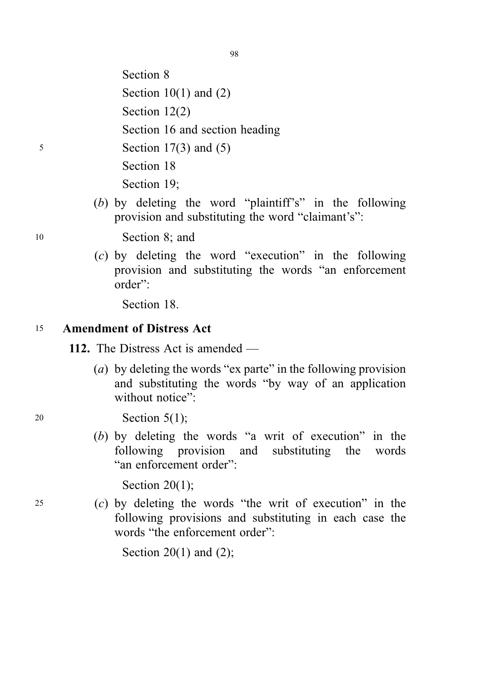Section 8 Section  $10(1)$  and  $(2)$ Section 12(2) Section 16 and section heading <sup>5</sup> Section 17(3) and (5)

Section 18

Section 19;

(b) by deleting the word "plaintiff's" in the following provision and substituting the word "claimant's":

<sup>10</sup> Section 8; and

(c) by deleting the word "execution" in the following provision and substituting the words "an enforcement order":

Section 18.

## <sup>15</sup> Amendment of Distress Act

112. The Distress Act is amended —

- (a) by deleting the words "ex parte" in the following provision and substituting the words "by way of an application without notice".
- <sup>20</sup> Section 5(1);
	- (b) by deleting the words "a writ of execution" in the following provision and substituting the words "an enforcement order":

Section 20(1);

<sup>25</sup> (c) by deleting the words "the writ of execution" in the following provisions and substituting in each case the words "the enforcement order":

Section 20(1) and  $(2)$ ;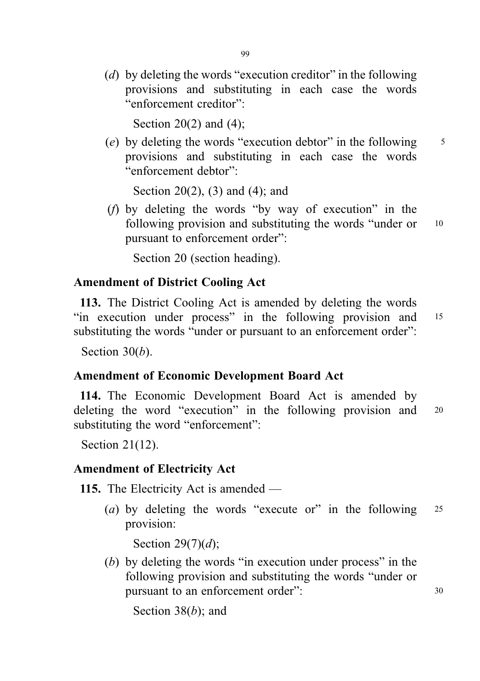(d) by deleting the words "execution creditor" in the following provisions and substituting in each case the words "enforcement creditor":

Section 20(2) and (4);

(e) by deleting the words "execution debtor" in the following  $\frac{5}{5}$ provisions and substituting in each case the words "enforcement debtor":

Section 20(2), (3) and (4); and

(f) by deleting the words "by way of execution" in the following provision and substituting the words "under or 10 pursuant to enforcement order":

Section 20 (section heading).

#### Amendment of District Cooling Act

113. The District Cooling Act is amended by deleting the words "in execution under process" in the following provision and <sup>15</sup> substituting the words "under or pursuant to an enforcement order":

Section  $30(b)$ .

#### Amendment of Economic Development Board Act

114. The Economic Development Board Act is amended by deleting the word "execution" in the following provision and 20 substituting the word "enforcement":

Section 21(12).

#### Amendment of Electricity Act

115. The Electricity Act is amended —

(a) by deleting the words "execute or" in the following  $25$ provision:

Section 29 $(7)(d)$ ;

(b) by deleting the words "in execution under process" in the following provision and substituting the words "under or pursuant to an enforcement order":  $30$ 

Section 38 $(b)$ ; and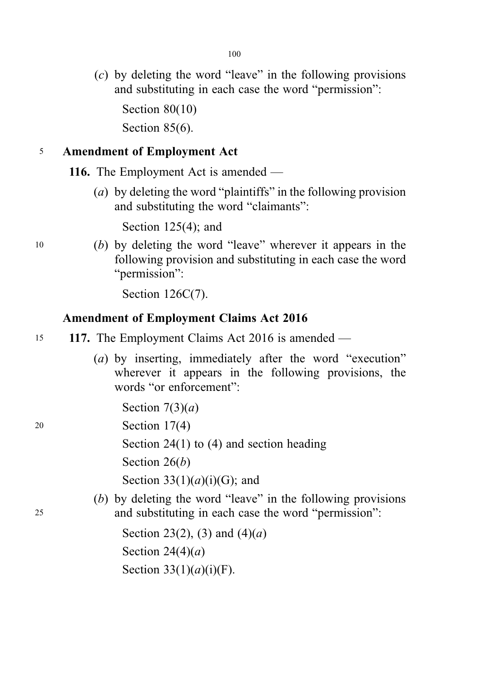100

(c) by deleting the word "leave" in the following provisions and substituting in each case the word "permission":

Section 80(10) Section 85(6).

## <sup>5</sup> Amendment of Employment Act

116. The Employment Act is amended —

(a) by deleting the word "plaintiffs" in the following provision and substituting the word "claimants":

Section 125(4); and

<sup>10</sup> (b) by deleting the word "leave" wherever it appears in the following provision and substituting in each case the word "permission":

Section 126C(7).

## Amendment of Employment Claims Act 2016

- 15 117. The Employment Claims Act 2016 is amended
	- (a) by inserting, immediately after the word "execution" wherever it appears in the following provisions, the words "or enforcement":

Section  $7(3)(a)$ 

<sup>20</sup> Section 17(4)

Section 24(1) to (4) and section heading

Section  $26(b)$ 

Section  $33(1)(a)(i)(G)$ ; and

(b) by deleting the word "leave" in the following provisions <sup>25</sup> and substituting in each case the word "permission":

> Section 23(2), (3) and  $(4)(a)$ Section  $24(4)(a)$ Section  $33(1)(a)(i)(F)$ .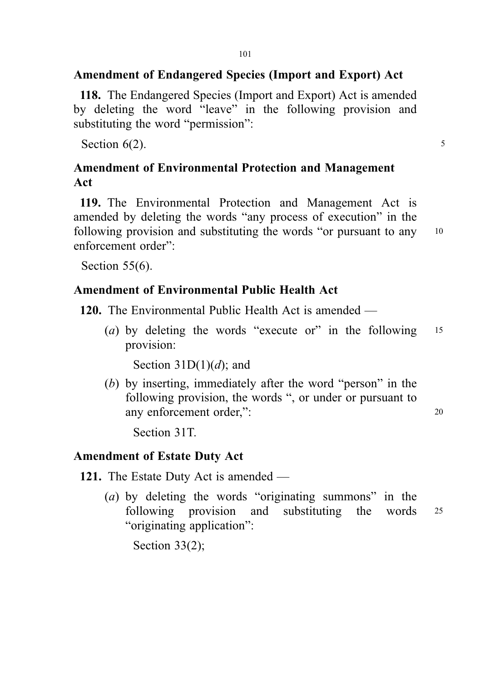### Amendment of Endangered Species (Import and Export) Act

118. The Endangered Species (Import and Export) Act is amended by deleting the word "leave" in the following provision and substituting the word "permission":

Section  $6(2)$ .

## Amendment of Environmental Protection and Management Act

119. The Environmental Protection and Management Act is amended by deleting the words "any process of execution" in the following provision and substituting the words "or pursuant to any 10 enforcement order":

Section 55(6).

## Amendment of Environmental Public Health Act

120. The Environmental Public Health Act is amended —

(a) by deleting the words "execute or" in the following 15 provision:

Section  $31D(1)(d)$ ; and

(b) by inserting, immediately after the word "person" in the following provision, the words ", or under or pursuant to any enforcement order,": 20

Section 31T.

## Amendment of Estate Duty Act

121. The Estate Duty Act is amended —

(a) by deleting the words "originating summons" in the following provision and substituting the words <sup>25</sup> "originating application":

Section 33(2);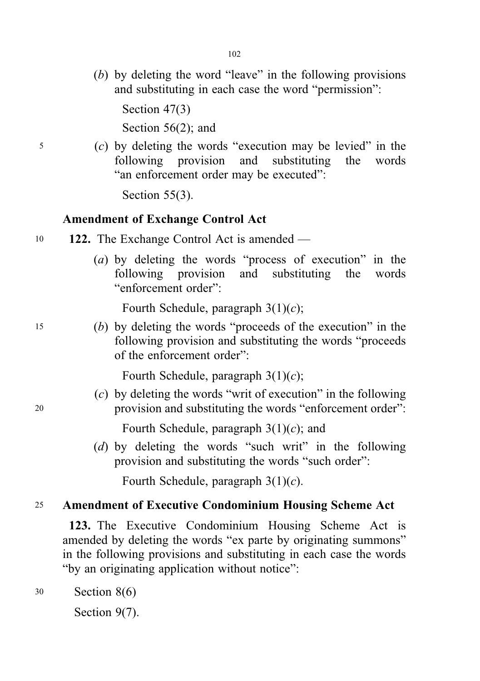(b) by deleting the word "leave" in the following provisions and substituting in each case the word "permission":

Section 47(3)

Section 56(2); and

<sup>5</sup> (c) by deleting the words "execution may be levied" in the following provision and substituting the words "an enforcement order may be executed":

Section 55(3).

#### Amendment of Exchange Control Act

- 10 122. The Exchange Control Act is amended
	- (a) by deleting the words "process of execution" in the following provision and substituting the words "enforcement order":

Fourth Schedule, paragraph  $3(1)(c)$ ;

<sup>15</sup> (b) by deleting the words "proceeds of the execution" in the following provision and substituting the words "proceeds of the enforcement order":

Fourth Schedule, paragraph  $3(1)(c)$ ;

(c) by deleting the words "writ of execution" in the following <sup>20</sup> provision and substituting the words "enforcement order":

Fourth Schedule, paragraph  $3(1)(c)$ ; and

(d) by deleting the words "such writ" in the following provision and substituting the words "such order":

Fourth Schedule, paragraph  $3(1)(c)$ .

## <sup>25</sup> Amendment of Executive Condominium Housing Scheme Act

123. The Executive Condominium Housing Scheme Act is amended by deleting the words "ex parte by originating summons" in the following provisions and substituting in each case the words "by an originating application without notice":

<sup>30</sup> Section 8(6)

Section 9(7).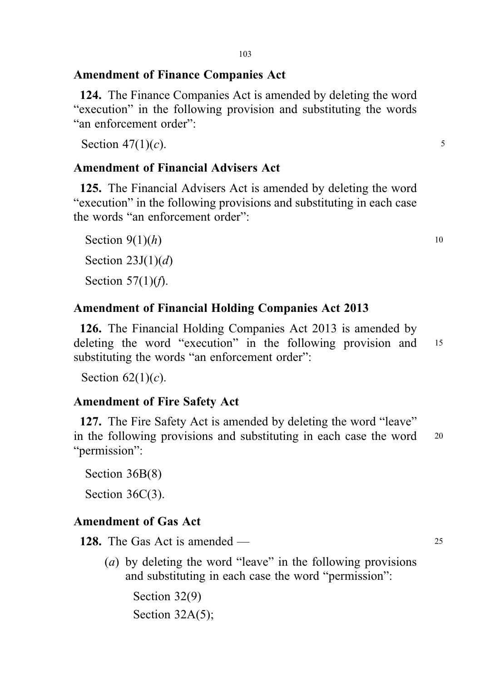### Amendment of Finance Companies Act

124. The Finance Companies Act is amended by deleting the word "execution" in the following provision and substituting the words "an enforcement order":

Section  $47(1)(c)$ . 5

## Amendment of Financial Advisers Act

125. The Financial Advisers Act is amended by deleting the word "execution" in the following provisions and substituting in each case the words "an enforcement order":

Section  $9(1)(h)$  10 Section  $23J(1)(d)$ Section  $57(1)(f)$ .

## Amendment of Financial Holding Companies Act 2013

126. The Financial Holding Companies Act 2013 is amended by deleting the word "execution" in the following provision and 15 substituting the words "an enforcement order":

Section  $62(1)(c)$ .

## Amendment of Fire Safety Act

127. The Fire Safety Act is amended by deleting the word "leave" in the following provisions and substituting in each case the word <sup>20</sup> "permission":

Section 36B(8)

Section 36C(3).

## Amendment of Gas Act

128. The Gas Act is amended — 25

(a) by deleting the word "leave" in the following provisions and substituting in each case the word "permission":

Section 32(9) Section 32A(5);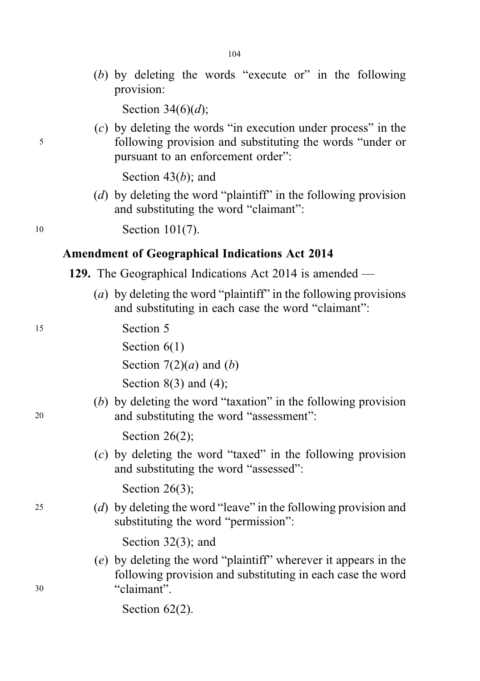(b) by deleting the words "execute or" in the following provision:

Section  $34(6)(d)$ ;

(c) by deleting the words "in execution under process" in the <sup>5</sup> following provision and substituting the words "under or pursuant to an enforcement order":

Section  $43(b)$ ; and

(d) by deleting the word "plaintiff" in the following provision and substituting the word "claimant":

<sup>10</sup> Section 101(7).

#### Amendment of Geographical Indications Act 2014

- 129. The Geographical Indications Act 2014 is amended
	- (a) by deleting the word "plaintiff" in the following provisions and substituting in each case the word "claimant":
- <sup>15</sup> Section 5

Section  $6(1)$ 

Section  $7(2)(a)$  and  $(b)$ 

Section  $8(3)$  and  $(4)$ ;

(b) by deleting the word "taxation" in the following provision <sup>20</sup> and substituting the word "assessment":

Section 26(2);

(c) by deleting the word "taxed" in the following provision and substituting the word "assessed":

Section 26(3);

<sup>25</sup> (d) by deleting the word "leave" in the following provision and substituting the word "permission":

Section 32(3); and

- (e) by deleting the word "plaintiff" wherever it appears in the following provision and substituting in each case the word <sup>30</sup> "claimant".
	- Section 62(2).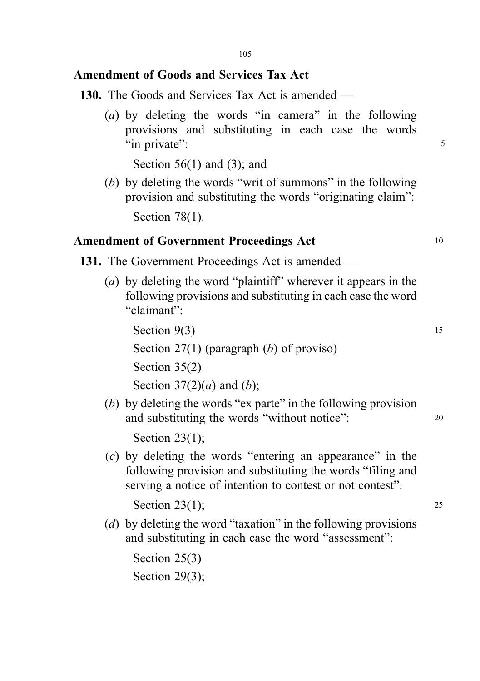### Amendment of Goods and Services Tax Act

- 130. The Goods and Services Tax Act is amended
	- (a) by deleting the words "in camera" in the following provisions and substituting in each case the words "in private": 5

Section 56(1) and (3); and

(b) by deleting the words "writ of summons" in the following provision and substituting the words "originating claim":

Section 78(1).

#### Amendment of Government Proceedings Act 10

- 131. The Government Proceedings Act is amended
	- (a) by deleting the word "plaintiff" wherever it appears in the following provisions and substituting in each case the word "claimant":

Section  $9(3)$  15 Section 27(1) (paragraph (b) of proviso) Section 35(2) Section  $37(2)(a)$  and  $(b)$ ;

(b) by deleting the words "ex parte" in the following provision and substituting the words "without notice": 20

Section 23(1);

(c) by deleting the words "entering an appearance" in the following provision and substituting the words "filing and serving a notice of intention to contest or not contest":

Section 23(1); 25

(d) by deleting the word "taxation" in the following provisions and substituting in each case the word "assessment":

Section 25(3) Section 29(3);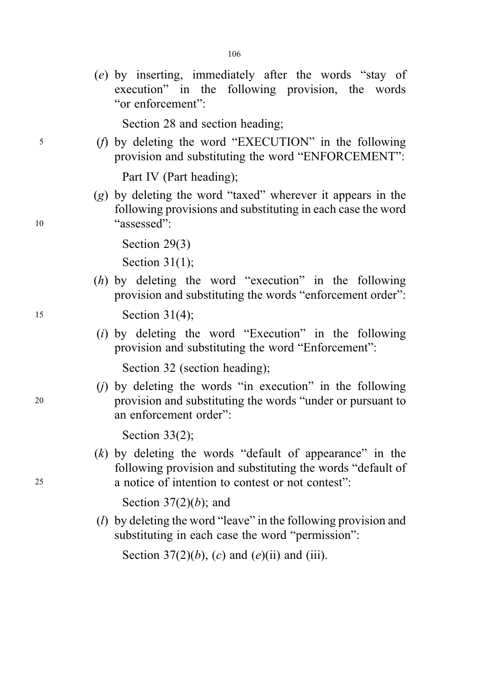(e) by inserting, immediately after the words "stay of execution" in the following provision, the words "or enforcement":

106

Section 28 and section heading;

<sup>5</sup> (f) by deleting the word "EXECUTION" in the following provision and substituting the word "ENFORCEMENT":

Part IV (Part heading);

(g) by deleting the word "taxed" wherever it appears in the following provisions and substituting in each case the word <sup>10</sup> "assessed":

Section 29(3)

Section 31(1);

(h) by deleting the word "execution" in the following provision and substituting the words "enforcement order":

<sup>15</sup> Section 31(4);

(i) by deleting the word "Execution" in the following provision and substituting the word "Enforcement":

Section 32 (section heading);

 $(i)$  by deleting the words "in execution" in the following <sup>20</sup> provision and substituting the words "under or pursuant to an enforcement order":

Section 33(2);

 $(k)$  by deleting the words "default of appearance" in the following provision and substituting the words "default of <sup>25</sup> a notice of intention to contest or not contest":

Section  $37(2)(b)$ ; and

( $l$ ) by deleting the word "leave" in the following provision and substituting in each case the word "permission":

Section 37(2)(b), (c) and (e)(ii) and (iii).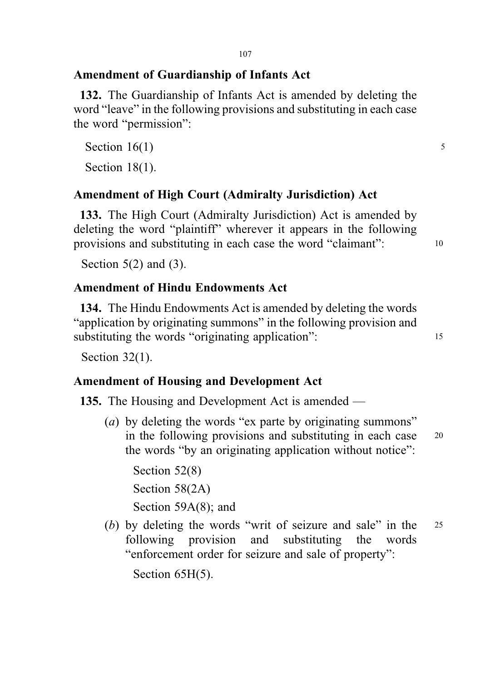## Amendment of Guardianship of Infants Act

132. The Guardianship of Infants Act is amended by deleting the word "leave" in the following provisions and substituting in each case the word "permission":

Section  $16(1)$  5

Section 18(1).

## Amendment of High Court (Admiralty Jurisdiction) Act

133. The High Court (Admiralty Jurisdiction) Act is amended by deleting the word "plaintiff" wherever it appears in the following provisions and substituting in each case the word "claimant": <sup>10</sup>

Section  $5(2)$  and  $(3)$ .

## Amendment of Hindu Endowments Act

134. The Hindu Endowments Act is amended by deleting the words "application by originating summons" in the following provision and substituting the words "originating application": 15

Section 32(1).

## Amendment of Housing and Development Act

135. The Housing and Development Act is amended —

(*a*) by deleting the words "ex parte by originating summons" in the following provisions and substituting in each case <sup>20</sup> the words "by an originating application without notice":

Section 52(8) Section 58(2A) Section 59A(8); and

(b) by deleting the words "writ of seizure and sale" in the 25 following provision and substituting the words "enforcement order for seizure and sale of property":

Section 65H(5).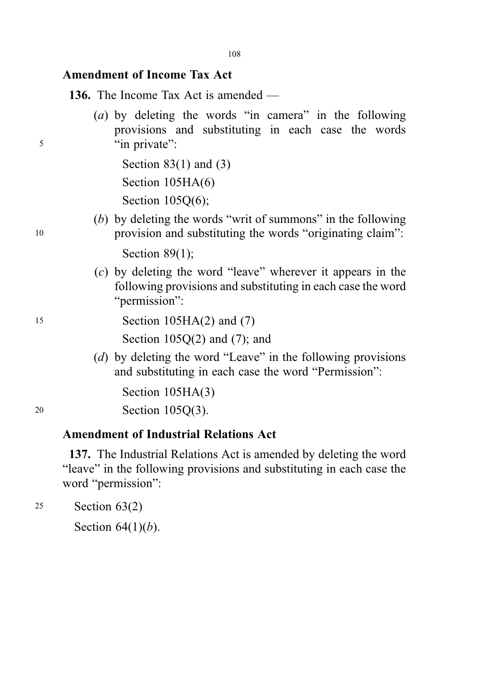### Amendment of Income Tax Act

136. The Income Tax Act is amended —

(a) by deleting the words "in camera" in the following provisions and substituting in each case the words <sup>5</sup> "in private":

> Section  $83(1)$  and  $(3)$ Section 105HA(6) Section 105Q(6);

(b) by deleting the words "writ of summons" in the following <sup>10</sup> provision and substituting the words "originating claim":

Section 89(1):

(c) by deleting the word "leave" wherever it appears in the following provisions and substituting in each case the word "*permission*":

# <sup>15</sup> Section 105HA(2) and (7)

Section  $105Q(2)$  and  $(7)$ ; and

(d) by deleting the word "Leave" in the following provisions and substituting in each case the word "Permission":

Section 105HA(3)

<sup>20</sup> Section 105Q(3).

#### Amendment of Industrial Relations Act

137. The Industrial Relations Act is amended by deleting the word "leave" in the following provisions and substituting in each case the word "permission":

<sup>25</sup> Section 63(2)

Section  $64(1)(b)$ .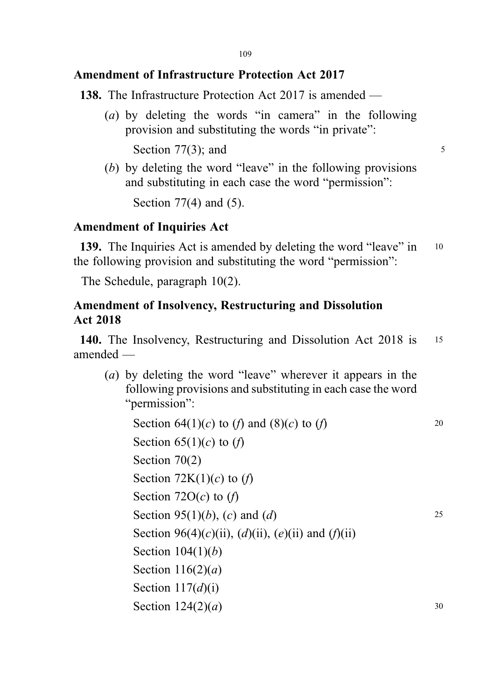## Amendment of Infrastructure Protection Act 2017

138. The Infrastructure Protection Act 2017 is amended —

(a) by deleting the words "in camera" in the following provision and substituting the words "in private":

Section  $77(3)$ ; and  $5$ 

(b) by deleting the word "leave" in the following provisions and substituting in each case the word "permission":

Section 77(4) and (5).

## Amendment of Inquiries Act

139. The Inquiries Act is amended by deleting the word "leave" in 10 the following provision and substituting the word "permission":

The Schedule, paragraph 10(2).

### Amendment of Insolvency, Restructuring and Dissolution Act 2018

140. The Insolvency, Restructuring and Dissolution Act 2018 is <sup>15</sup> amended —

(a) by deleting the word "leave" wherever it appears in the following provisions and substituting in each case the word "permission":

Section  $64(1)(c)$  to  $(f)$  and  $(8)(c)$  to  $(f)$  20 Section  $65(1)(c)$  to  $(f)$ Section 70(2) Section  $72K(1)(c)$  to  $(f)$ Section 72 $O(c)$  to  $(f)$ Section 95(1)(*b*), (*c*) and (*d*) 25 Section 96(4)(c)(ii), (d)(ii), (e)(ii) and (f)(ii) Section  $104(1)(b)$ Section  $116(2)(a)$ Section  $117(d)(i)$ Section  $124(2)(a)$  30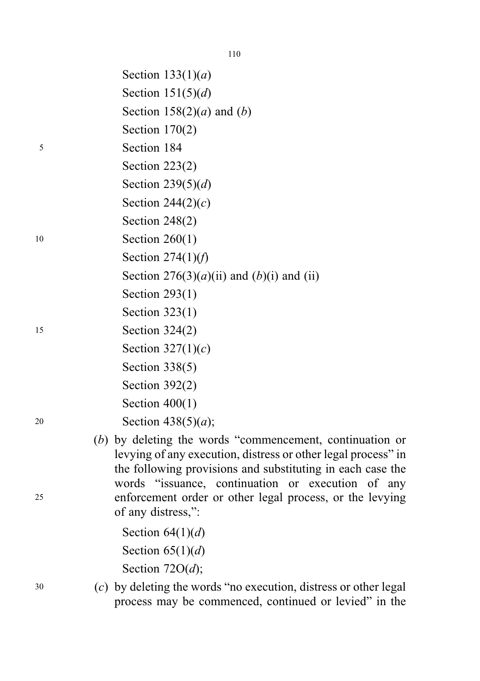|    | Section $133(1)(a)$                                                                                                                                                                       |
|----|-------------------------------------------------------------------------------------------------------------------------------------------------------------------------------------------|
|    | Section $151(5)(d)$                                                                                                                                                                       |
|    | Section 158(2)( <i>a</i> ) and ( <i>b</i> )                                                                                                                                               |
|    | Section $170(2)$                                                                                                                                                                          |
| 5  | Section 184                                                                                                                                                                               |
|    | Section $223(2)$                                                                                                                                                                          |
|    | Section 239 $(5)(d)$                                                                                                                                                                      |
|    | Section 244 $(2)(c)$                                                                                                                                                                      |
|    | Section $248(2)$                                                                                                                                                                          |
| 10 | Section $260(1)$                                                                                                                                                                          |
|    | Section $274(1)(f)$                                                                                                                                                                       |
|    | Section $276(3)(a)(ii)$ and $(b)(i)$ and $(ii)$                                                                                                                                           |
|    | Section $293(1)$                                                                                                                                                                          |
|    | Section $323(1)$                                                                                                                                                                          |
| 15 | Section $324(2)$                                                                                                                                                                          |
|    | Section $327(1)(c)$                                                                                                                                                                       |
|    | Section $338(5)$                                                                                                                                                                          |
|    | Section $392(2)$                                                                                                                                                                          |
|    | Section $400(1)$                                                                                                                                                                          |
| 20 | Section 438(5)( <i>a</i> );                                                                                                                                                               |
|    | $(b)$ by deleting the words "commencement, continuation or<br>levying of any execution, distress or other legal process" in<br>the following provisions and substituting in each case the |
| 25 | words "issuance, continuation or execution of any<br>enforcement order or other legal process, or the levying<br>of any distress,":                                                       |
|    | Section $64(1)(d)$                                                                                                                                                                        |

Section  $64(1)(d)$ Section  $65(1)(d)$ 

Section 72O(d);

<sup>30</sup> (c) by deleting the words "no execution, distress or other legal process may be commenced, continued or levied" in the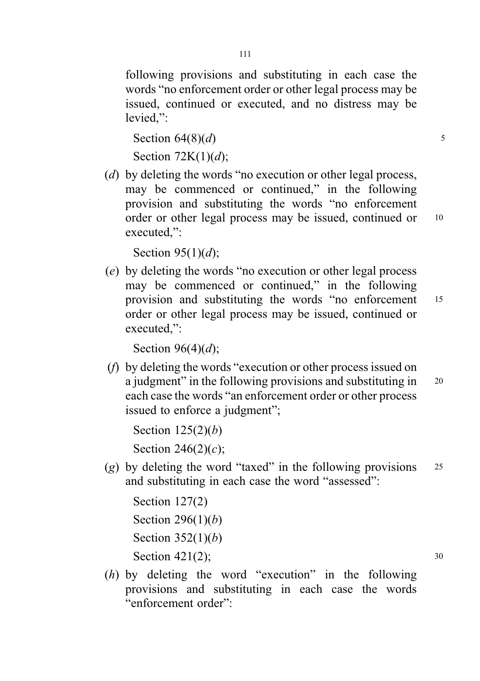following provisions and substituting in each case the words "no enforcement order or other legal process may be issued, continued or executed, and no distress may be levied,":

```
Section 64(8)(d) 5
```

```
Section 72K(1)(d);
```
(d) by deleting the words "no execution or other legal process, may be commenced or continued," in the following provision and substituting the words "no enforcement order or other legal process may be issued, continued or 10 executed,":

Section  $95(1)(d)$ ;

(e) by deleting the words "no execution or other legal process may be commenced or continued," in the following provision and substituting the words "no enforcement <sup>15</sup> order or other legal process may be issued, continued or executed,":

Section  $96(4)(d)$ :

(f) by deleting the words "execution or other process issued on a judgment" in the following provisions and substituting in 20 each case the words "an enforcement order or other process issued to enforce a judgment";

Section  $125(2)(b)$ Section  $246(2)(c)$ ;

(g) by deleting the word "taxed" in the following provisions  $25$ and substituting in each case the word "assessed":

```
Section 127(2)
Section 296(1)(b)Section 352(1)(b)Section 421(2); 30
```
(h) by deleting the word "execution" in the following provisions and substituting in each case the words "enforcement order":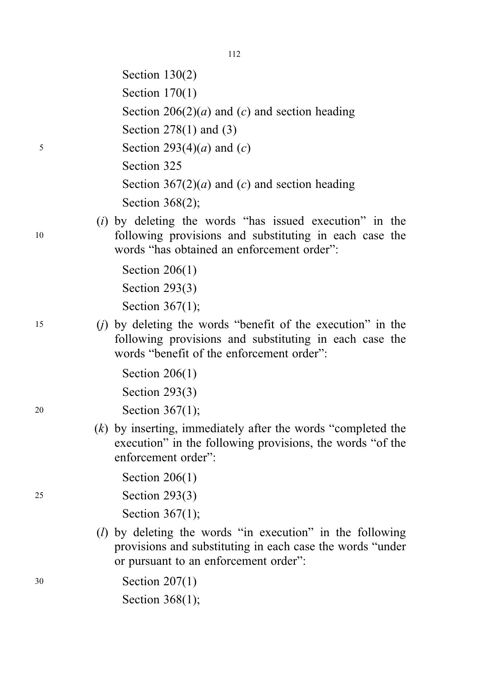|    | Section $130(2)$                                                                                                                                                     |
|----|----------------------------------------------------------------------------------------------------------------------------------------------------------------------|
|    | Section $170(1)$                                                                                                                                                     |
|    | Section 206(2)( <i>a</i> ) and ( <i>c</i> ) and section heading                                                                                                      |
|    | Section $278(1)$ and $(3)$                                                                                                                                           |
| 5  | Section 293(4)( <i>a</i> ) and ( <i>c</i> )                                                                                                                          |
|    | Section 325                                                                                                                                                          |
|    | Section 367(2)( <i>a</i> ) and ( <i>c</i> ) and section heading                                                                                                      |
|    | Section $368(2)$ ;                                                                                                                                                   |
| 10 | $(i)$ by deleting the words "has issued execution" in the<br>following provisions and substituting in each case the<br>words "has obtained an enforcement order":    |
|    | Section $206(1)$                                                                                                                                                     |
|    | Section $293(3)$                                                                                                                                                     |
|    | Section $367(1)$ ;                                                                                                                                                   |
| 15 | $(j)$ by deleting the words "benefit of the execution" in the<br>following provisions and substituting in each case the<br>words "benefit of the enforcement order": |
|    | Section $206(1)$                                                                                                                                                     |
|    | Section $293(3)$                                                                                                                                                     |
| 20 | Section $367(1)$ ;                                                                                                                                                   |
|    | $(k)$ by inserting, immediately after the words "completed the<br>execution" in the following provisions, the words "of the<br>enforcement order":                   |
|    | Section $206(1)$                                                                                                                                                     |
| 25 | Section $293(3)$                                                                                                                                                     |
|    | Section $367(1)$ ;                                                                                                                                                   |
|    | $(l)$ by deleting the words "in execution" in the following<br>provisions and substituting in each case the words "under<br>or pursuant to an enforcement order":    |
| 30 | Section $207(1)$                                                                                                                                                     |
|    | Section $368(1)$ ;                                                                                                                                                   |
|    |                                                                                                                                                                      |

112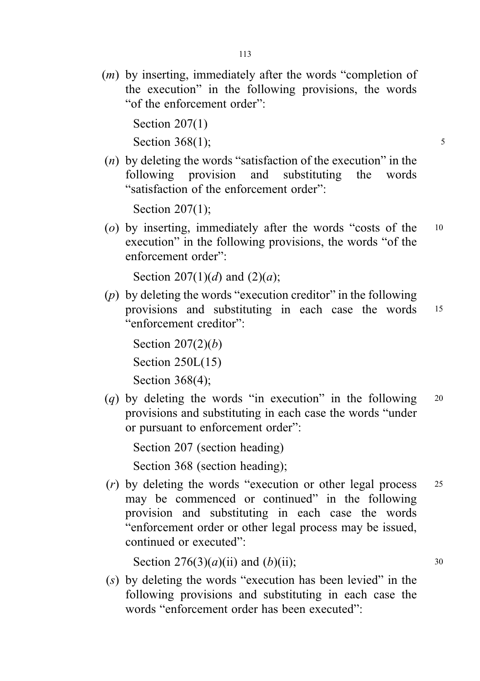(m) by inserting, immediately after the words "completion of the execution" in the following provisions, the words "of the enforcement order":

Section 207(1)

Section  $368(1)$ ; 5

 $(n)$  by deleting the words "satisfaction of the execution" in the following provision and substituting the words "satisfaction of the enforcement order":

Section 207(1);

(o) by inserting, immediately after the words "costs of the <sup>10</sup> execution" in the following provisions, the words "of the enforcement order":

Section 207(1)(d) and (2)(a);

 $(p)$  by deleting the words "execution creditor" in the following provisions and substituting in each case the words <sup>15</sup> "enforcement creditor":

Section  $207(2)(b)$ Section 250L(15) Section 368(4);

(q) by deleting the words "in execution" in the following  $20$ provisions and substituting in each case the words "under or pursuant to enforcement order":

Section 207 (section heading) Section 368 (section heading);

(r) by deleting the words "execution or other legal process <sup>25</sup> may be commenced or continued" in the following provision and substituting in each case the words "enforcement order or other legal process may be issued, continued or executed":

Section  $276(3)(a)(ii)$  and  $(b)(ii)$ ; 30

(s) by deleting the words "execution has been levied" in the following provisions and substituting in each case the words "enforcement order has been executed":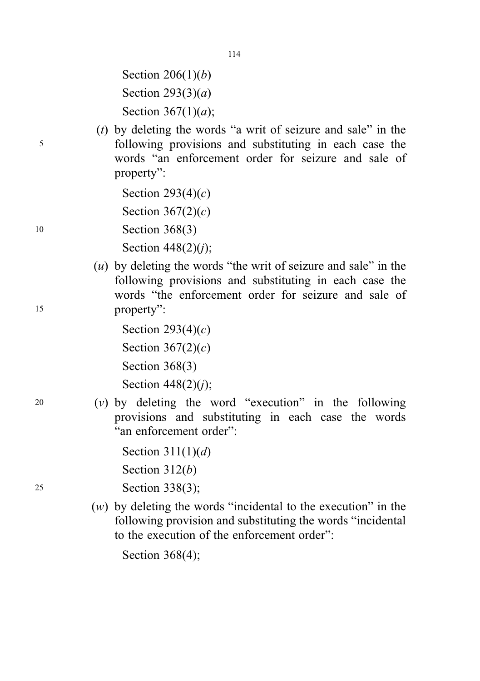Section  $206(1)(b)$ Section  $293(3)(a)$ Section  $367(1)(a)$ ;

(t) by deleting the words "a writ of seizure and sale" in the <sup>5</sup> following provisions and substituting in each case the words "an enforcement order for seizure and sale of property":

Section  $293(4)(c)$ Section  $367(2)(c)$ 10 **Section 368(3)** 

Section  $448(2)(i)$ ;

 $(u)$  by deleting the words "the writ of seizure and sale" in the following provisions and substituting in each case the words "the enforcement order for seizure and sale of <sup>15</sup> property":

> Section  $293(4)(c)$ Section  $367(2)(c)$ Section 368(3) Section  $448(2)(j)$ ;

 $20$  (v) by deleting the word "execution" in the following provisions and substituting in each case the words "an enforcement order":

```
Section 311(1)(d)Section 312(b)
```
<sup>25</sup> Section 338(3);

(w) by deleting the words "incidental to the execution" in the following provision and substituting the words "incidental to the execution of the enforcement order":

Section 368(4);

114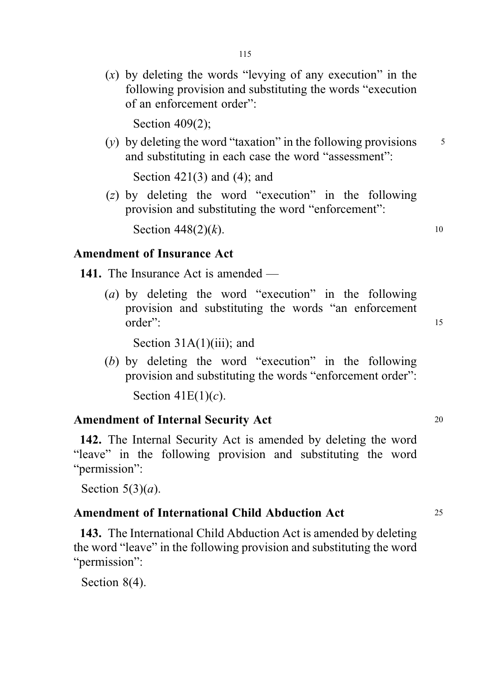$(x)$  by deleting the words "levying of any execution" in the following provision and substituting the words "execution of an enforcement order":

Section 409(2);

(y) by deleting the word "taxation" in the following provisions  $\frac{5}{5}$ and substituting in each case the word "assessment":

Section 421(3) and (4); and

(z) by deleting the word "execution" in the following provision and substituting the word "enforcement":

Section  $448(2)(k)$ . 10

## Amendment of Insurance Act

- 141. The Insurance Act is amended
	- (a) by deleting the word "execution" in the following provision and substituting the words "an enforcement order": 15

Section 31A(1)(iii); and

(b) by deleting the word "execution" in the following provision and substituting the words "enforcement order":

Section  $41E(1)(c)$ .

#### Amendment of Internal Security Act 20

142. The Internal Security Act is amended by deleting the word "leave" in the following provision and substituting the word "permission":

Section  $5(3)(a)$ .

#### Amendment of International Child Abduction Act <sup>25</sup>

143. The International Child Abduction Act is amended by deleting the word "leave" in the following provision and substituting the word "permission":

Section 8(4).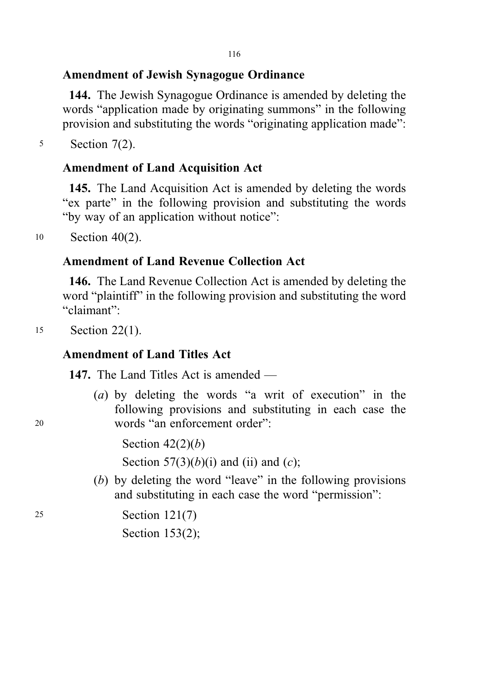# Amendment of Jewish Synagogue Ordinance

144. The Jewish Synagogue Ordinance is amended by deleting the words "application made by originating summons" in the following provision and substituting the words "originating application made":

<sup>5</sup> Section 7(2).

# Amendment of Land Acquisition Act

145. The Land Acquisition Act is amended by deleting the words "ex parte" in the following provision and substituting the words "by way of an application without notice":

<sup>10</sup> Section 40(2).

## Amendment of Land Revenue Collection Act

146. The Land Revenue Collection Act is amended by deleting the word "plaintiff" in the following provision and substituting the word "claimant":

<sup>15</sup> Section 22(1).

## Amendment of Land Titles Act

147. The Land Titles Act is amended —

(a) by deleting the words "a writ of execution" in the following provisions and substituting in each case the <sup>20</sup> words "an enforcement order":

Section  $42(2)(b)$ 

Section  $57(3)(b)(i)$  and (ii) and (c);

(b) by deleting the word "leave" in the following provisions and substituting in each case the word "permission":

<sup>25</sup> Section 121(7)

Section 153(2);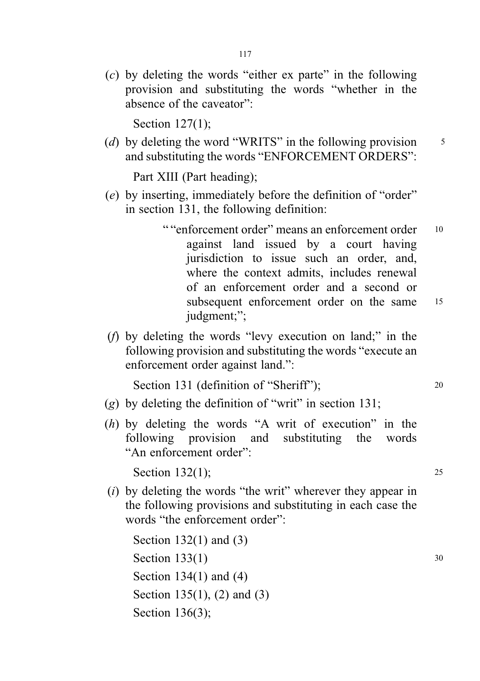(c) by deleting the words "either ex parte" in the following provision and substituting the words "whether in the absence of the caveator":

Section 127(1);

(d) by deleting the word "WRITS" in the following provision  $\frac{5}{5}$ and substituting the words "ENFORCEMENT ORDERS":

Part XIII (Part heading);

- (e) by inserting, immediately before the definition of "order" in section 131, the following definition:
	- " "enforcement order" means an enforcement order 10 against land issued by a court having jurisdiction to issue such an order, and, where the context admits, includes renewal of an enforcement order and a second or subsequent enforcement order on the same 15 judgment;";
- (f) by deleting the words "levy execution on land;" in the following provision and substituting the words "execute an enforcement order against land.":

Section 131 (definition of "Sheriff"); 20

- (g) by deleting the definition of "writ" in section 131;
- (h) by deleting the words "A writ of execution" in the following provision and substituting the words "An enforcement order":

Section  $132(1)$ ; 25

(i) by deleting the words "the writ" wherever they appear in the following provisions and substituting in each case the words "the enforcement order":

```
Section 132(1) and (3)
Section 133(1) 30
Section 134(1) and (4)
Section 135(1), (2) and (3)
Section 136(3);
```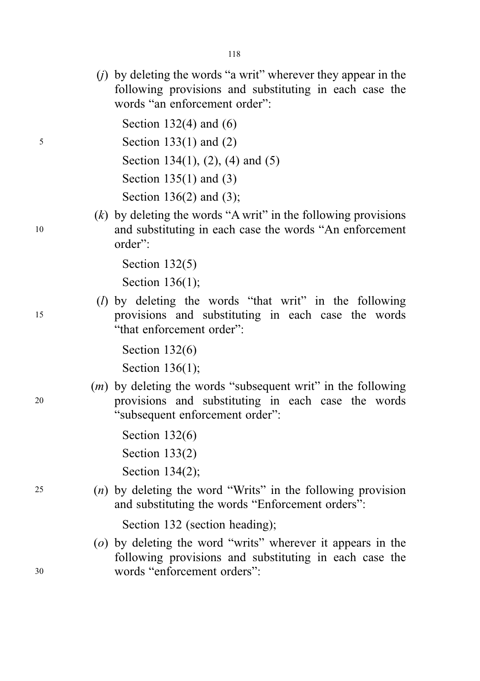(j) by deleting the words "a writ" wherever they appear in the following provisions and substituting in each case the words "an enforcement order":

Section 132(4) and (6)

<sup>5</sup> Section 133(1) and (2)

Section 134(1), (2), (4) and (5)

Section 135(1) and (3)

Section 136(2) and (3);

 $(k)$  by deleting the words "A writ" in the following provisions <sup>10</sup> and substituting in each case the words "An enforcement order":

Section 132(5)

Section 136(1);

(l) by deleting the words "that writ" in the following <sup>15</sup> provisions and substituting in each case the words "that enforcement order":

Section 132(6)

Section 136(1);

- $(m)$  by deleting the words "subsequent writ" in the following <sup>20</sup> provisions and substituting in each case the words "subsequent enforcement order":
	- Section 132(6) Section 133(2) Section 134(2);
- <sup>25</sup> (n) by deleting the word "Writs" in the following provision and substituting the words "Enforcement orders":

Section 132 (section heading);

(o) by deleting the word "writs" wherever it appears in the following provisions and substituting in each case the <sup>30</sup> words "enforcement orders":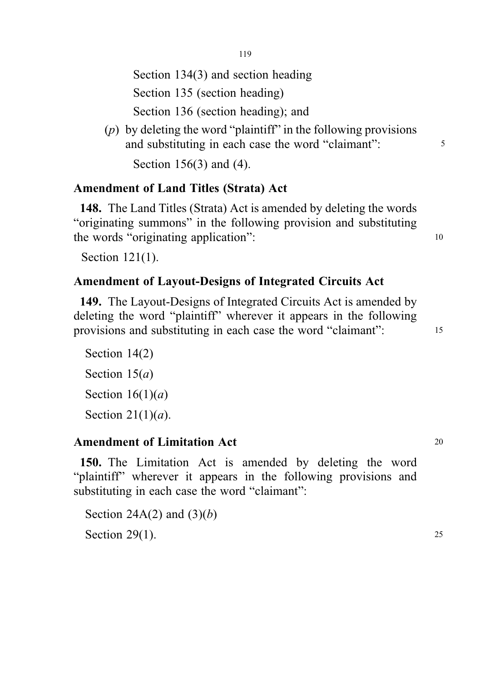119

Section 134(3) and section heading

Section 135 (section heading)

Section 136 (section heading); and

(p) by deleting the word "plaintiff" in the following provisions and substituting in each case the word "claimant":  $\frac{5}{5}$ 

Section 156(3) and (4).

# Amendment of Land Titles (Strata) Act

148. The Land Titles (Strata) Act is amended by deleting the words "originating summons" in the following provision and substituting the words "originating application": 10

Section 121(1).

# Amendment of Layout-Designs of Integrated Circuits Act

149. The Layout-Designs of Integrated Circuits Act is amended by deleting the word "plaintiff" wherever it appears in the following provisions and substituting in each case the word "claimant": <sup>15</sup>

Section 14(2) Section  $15(a)$ Section  $16(1)(a)$ Section  $21(1)(a)$ .

# Amendment of Limitation Act 20

150. The Limitation Act is amended by deleting the word "plaintiff" wherever it appears in the following provisions and substituting in each case the word "claimant":

Section 24A(2) and  $(3)(b)$ Section  $29(1)$ . 25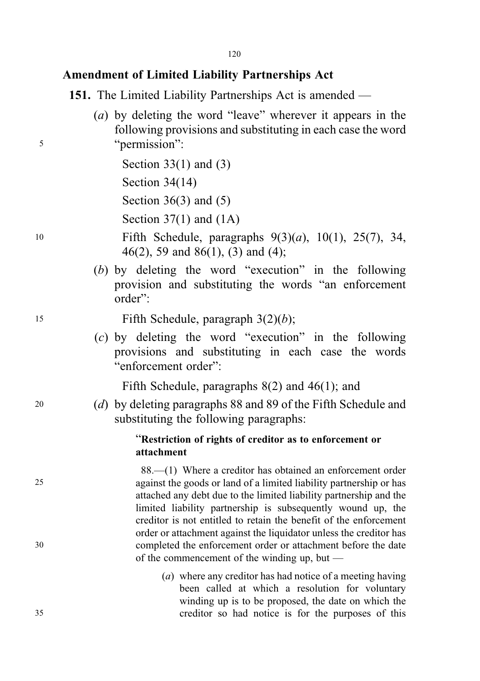### Amendment of Limited Liability Partnerships Act

151. The Limited Liability Partnerships Act is amended —

(a) by deleting the word "leave" wherever it appears in the following provisions and substituting in each case the word <sup>5</sup> "permission":

> Section 33(1) and (3) Section 34(14)

Section 36(3) and (5)

Section  $37(1)$  and  $(1A)$ 

- <sup>10</sup> Fifth Schedule, paragraphs 9(3)(a), 10(1), 25(7), 34, 46(2), 59 and 86(1), (3) and (4);
	- (b) by deleting the word "execution" in the following provision and substituting the words "an enforcement order":

15 Fifth Schedule, paragraph  $3(2)(b)$ ;

(c) by deleting the word "execution" in the following provisions and substituting in each case the words "enforcement order":

Fifth Schedule, paragraphs 8(2) and 46(1); and

<sup>20</sup> (d) by deleting paragraphs 88 and 89 of the Fifth Schedule and substituting the following paragraphs:

#### "Restriction of rights of creditor as to enforcement or attachment

88.—(1) Where a creditor has obtained an enforcement order 25 against the goods or land of a limited liability partnership or has attached any debt due to the limited liability partnership and the limited liability partnership is subsequently wound up, the creditor is not entitled to retain the benefit of the enforcement order or attachment against the liquidator unless the creditor has 30 completed the enforcement order or attachment before the date of the commencement of the winding up, but —

(a) where any creditor has had notice of a meeting having been called at which a resolution for voluntary winding up is to be proposed, the date on which the 35 creditor so had notice is for the purposes of this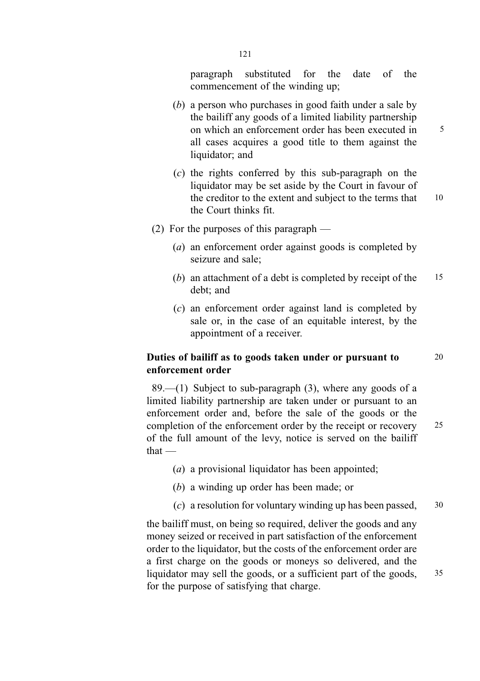paragraph substituted for the date of the commencement of the winding up;

- (b) a person who purchases in good faith under a sale by the bailiff any goods of a limited liability partnership on which an enforcement order has been executed in  $\frac{5}{5}$ all cases acquires a good title to them against the liquidator; and
- (c) the rights conferred by this sub-paragraph on the liquidator may be set aside by the Court in favour of the creditor to the extent and subject to the terms that 10 the Court thinks fit.
- (2) For the purposes of this paragraph
	- (a) an enforcement order against goods is completed by seizure and sale;
	- (b) an attachment of a debt is completed by receipt of the 15 debt; and
	- (c) an enforcement order against land is completed by sale or, in the case of an equitable interest, by the appointment of a receiver.

#### Duties of bailiff as to goods taken under or pursuant to 20 enforcement order

89.—(1) Subject to sub-paragraph  $(3)$ , where any goods of a limited liability partnership are taken under or pursuant to an enforcement order and, before the sale of the goods or the completion of the enforcement order by the receipt or recovery 25 of the full amount of the levy, notice is served on the bailiff that —

- (a) a provisional liquidator has been appointed;
- (b) a winding up order has been made; or
- (c) a resolution for voluntary winding up has been passed,  $30$

the bailiff must, on being so required, deliver the goods and any money seized or received in part satisfaction of the enforcement order to the liquidator, but the costs of the enforcement order are a first charge on the goods or moneys so delivered, and the liquidator may sell the goods, or a sufficient part of the goods, 35 for the purpose of satisfying that charge.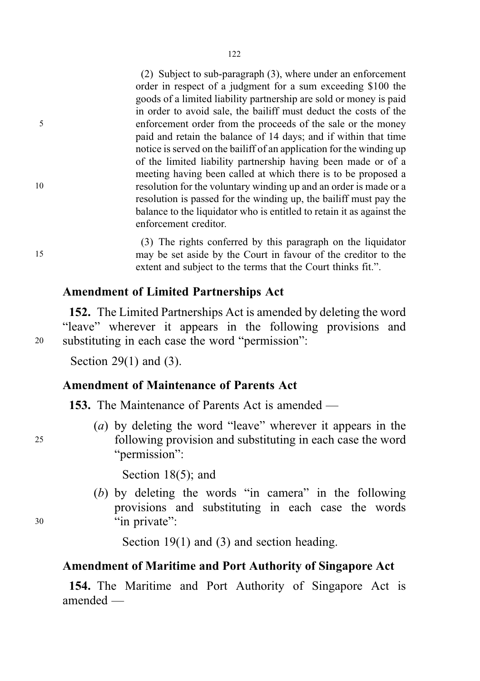(2) Subject to sub-paragraph (3), where under an enforcement order in respect of a judgment for a sum exceeding \$100 the goods of a limited liability partnership are sold or money is paid in order to avoid sale, the bailiff must deduct the costs of the 5 enforcement order from the proceeds of the sale or the money paid and retain the balance of 14 days; and if within that time notice is served on the bailiff of an application for the winding up of the limited liability partnership having been made or of a meeting having been called at which there is to be proposed a 10 resolution for the voluntary winding up and an order is made or a resolution is passed for the winding up, the bailiff must pay the balance to the liquidator who is entitled to retain it as against the enforcement creditor.

(3) The rights conferred by this paragraph on the liquidator 15 may be set aside by the Court in favour of the creditor to the extent and subject to the terms that the Court thinks fit.".

#### Amendment of Limited Partnerships Act

152. The Limited Partnerships Act is amended by deleting the word "leave" wherever it appears in the following provisions and <sup>20</sup> substituting in each case the word "permission":

Section 29(1) and (3).

### Amendment of Maintenance of Parents Act

153. The Maintenance of Parents Act is amended —

(a) by deleting the word "leave" wherever it appears in the <sup>25</sup> following provision and substituting in each case the word "*permission*":

Section 18(5); and

(b) by deleting the words "in camera" in the following provisions and substituting in each case the words <sup>30</sup> "in private":

Section 19(1) and (3) and section heading.

#### Amendment of Maritime and Port Authority of Singapore Act

154. The Maritime and Port Authority of Singapore Act is amended —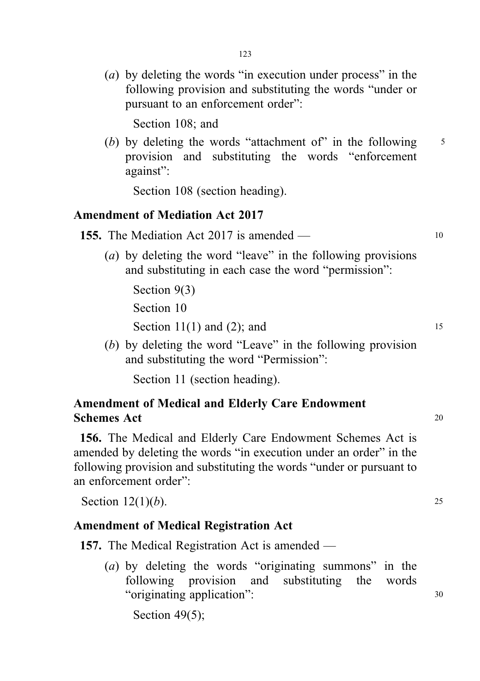(a) by deleting the words "in execution under process" in the following provision and substituting the words "under or pursuant to an enforcement order":

Section 108; and

(b) by deleting the words "attachment of" in the following  $\frac{5}{5}$ provision and substituting the words "enforcement against":

Section 108 (section heading).

### Amendment of Mediation Act 2017

- **155.** The Mediation Act 2017 is amended 10
	- (a) by deleting the word "leave" in the following provisions and substituting in each case the word "permission":

Section 9(3) Section 10 Section  $11(1)$  and  $(2)$ ; and 15

(b) by deleting the word "Leave" in the following provision and substituting the word "Permission":

Section 11 (section heading).

# Amendment of Medical and Elderly Care Endowment Schemes Act <sup>20</sup>

156. The Medical and Elderly Care Endowment Schemes Act is amended by deleting the words "in execution under an order" in the following provision and substituting the words "under or pursuant to an enforcement order":

Section  $12(1)(b)$ . 25

#### Amendment of Medical Registration Act

157. The Medical Registration Act is amended —

(a) by deleting the words "originating summons" in the following provision and substituting the words "originating application": <sup>30</sup>

Section 49(5);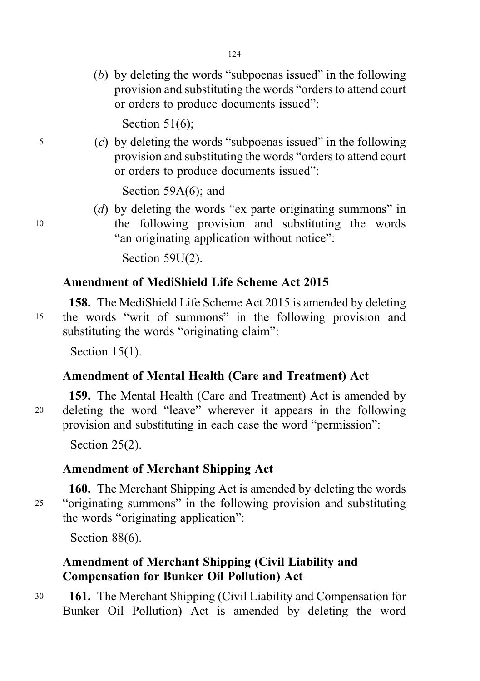(b) by deleting the words "subpoenas issued" in the following provision and substituting the words "orders to attend court or orders to produce documents issued":

Section 51(6);

 $5$  (c) by deleting the words "subpoenas issued" in the following provision and substituting the words "orders to attend court or orders to produce documents issued":

Section 59A(6); and

(d) by deleting the words "ex parte originating summons" in <sup>10</sup> the following provision and substituting the words "an originating application without notice":

Section 59U(2).

## Amendment of MediShield Life Scheme Act 2015

158. The MediShield Life Scheme Act 2015 is amended by deleting <sup>15</sup> the words "writ of summons" in the following provision and substituting the words "originating claim":

Section 15(1).

### Amendment of Mental Health (Care and Treatment) Act

159. The Mental Health (Care and Treatment) Act is amended by <sup>20</sup> deleting the word "leave" wherever it appears in the following provision and substituting in each case the word "permission":

Section 25(2).

# Amendment of Merchant Shipping Act

160. The Merchant Shipping Act is amended by deleting the words <sup>25</sup> "originating summons" in the following provision and substituting the words "originating application":

Section 88(6).

# Amendment of Merchant Shipping (Civil Liability and Compensation for Bunker Oil Pollution) Act

<sup>30</sup> 161. The Merchant Shipping (Civil Liability and Compensation for Bunker Oil Pollution) Act is amended by deleting the word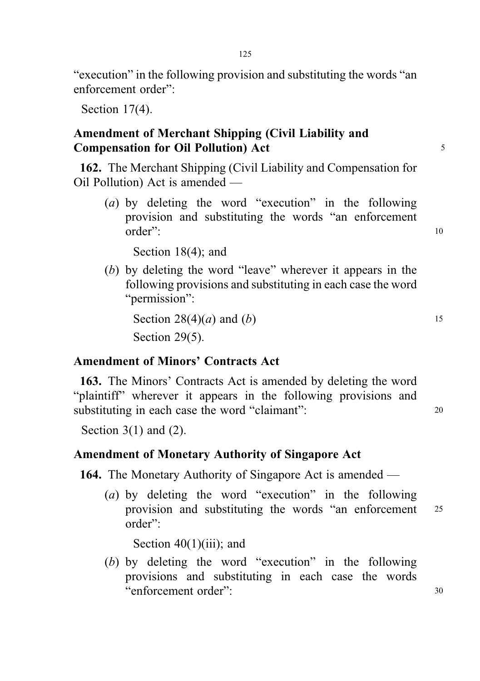125

"execution" in the following provision and substituting the words "an enforcement order":

Section 17(4).

# Amendment of Merchant Shipping (Civil Liability and Compensation for Oil Pollution) Act 5

162. The Merchant Shipping (Civil Liability and Compensation for Oil Pollution) Act is amended —

(a) by deleting the word "execution" in the following provision and substituting the words "an enforcement order": 10

Section 18(4); and

(b) by deleting the word "leave" wherever it appears in the following provisions and substituting in each case the word "permission":

Section  $28(4)(a)$  and  $(b)$  15 Section 29(5).

# Amendment of Minors' Contracts Act

163. The Minors' Contracts Act is amended by deleting the word "plaintiff" wherever it appears in the following provisions and substituting in each case the word "claimant": 20

Section  $3(1)$  and  $(2)$ .

### Amendment of Monetary Authority of Singapore Act

164. The Monetary Authority of Singapore Act is amended —

(a) by deleting the word "execution" in the following provision and substituting the words "an enforcement <sup>25</sup> order":

Section  $40(1)(iii)$ ; and

(b) by deleting the word "execution" in the following provisions and substituting in each case the words "enforcement order": <sup>30</sup>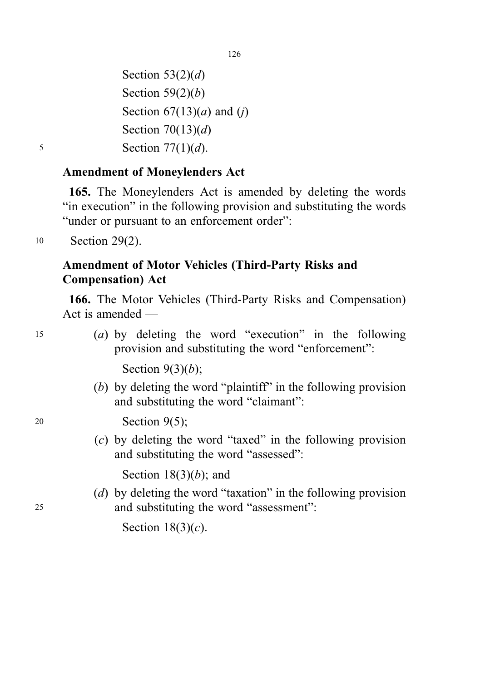126

Section  $53(2)(d)$ Section  $59(2)(b)$ Section  $67(13)(a)$  and  $(j)$ Section  $70(13)(d)$  $5 \qquad \qquad$  Section 77(1)(d).

# Amendment of Moneylenders Act

165. The Moneylenders Act is amended by deleting the words "in execution" in the following provision and substituting the words "under or pursuant to an enforcement order":

<sup>10</sup> Section 29(2).

# Amendment of Motor Vehicles (Third-Party Risks and Compensation) Act

166. The Motor Vehicles (Third-Party Risks and Compensation) Act is amended —

<sup>15</sup> (a) by deleting the word "execution" in the following provision and substituting the word "enforcement":

Section  $9(3)(b)$ ;

(b) by deleting the word "plaintiff" in the following provision and substituting the word "claimant":

<sup>20</sup> Section 9(5);

(c) by deleting the word "taxed" in the following provision and substituting the word "assessed":

Section  $18(3)(b)$ ; and

(d) by deleting the word "taxation" in the following provision <sup>25</sup> and substituting the word "assessment":

Section  $18(3)(c)$ .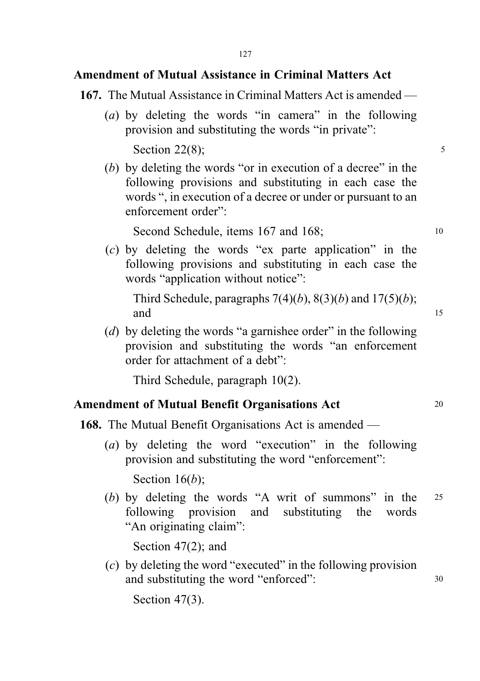# Amendment of Mutual Assistance in Criminal Matters Act

- 167. The Mutual Assistance in Criminal Matters Act is amended
	- (a) by deleting the words "in camera" in the following provision and substituting the words "in private":

Section 22 $(8)$ ; 5

(b) by deleting the words "or in execution of a decree" in the following provisions and substituting in each case the words ", in execution of a decree or under or pursuant to an enforcement order":

Second Schedule, items 167 and 168; 10

(c) by deleting the words "ex parte application" in the following provisions and substituting in each case the words "application without notice":

Third Schedule, paragraphs  $7(4)(b)$ ,  $8(3)(b)$  and  $17(5)(b)$ ; and 15

(d) by deleting the words "a garnishee order" in the following provision and substituting the words "an enforcement order for attachment of a debt":

Third Schedule, paragraph 10(2).

### Amendment of Mutual Benefit Organisations Act 20

- 168. The Mutual Benefit Organisations Act is amended
	- (a) by deleting the word "execution" in the following provision and substituting the word "enforcement":

Section  $16(b)$ ;

(b) by deleting the words "A writ of summons" in the <sup>25</sup> following provision and substituting the words "An originating claim":

Section 47(2); and

(c) by deleting the word "executed" in the following provision and substituting the word "enforced":  $30$ 

Section 47(3).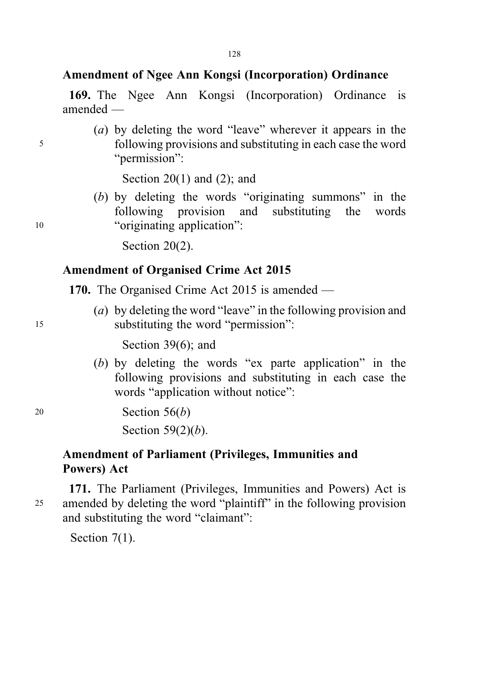## Amendment of Ngee Ann Kongsi (Incorporation) Ordinance

169. The Ngee Ann Kongsi (Incorporation) Ordinance is amended —

(a) by deleting the word "leave" wherever it appears in the <sup>5</sup> following provisions and substituting in each case the word "permission":

Section  $20(1)$  and  $(2)$ ; and

(b) by deleting the words "originating summons" in the following provision and substituting the words 10 "originating application":

Section 20(2).

# Amendment of Organised Crime Act 2015

- 170. The Organised Crime Act 2015 is amended —
- (a) by deleting the word "leave" in the following provision and <sup>15</sup> substituting the word "permission":

Section 39(6); and

(b) by deleting the words "ex parte application" in the following provisions and substituting in each case the words "application without notice":

<sup>20</sup> Section 56(b)

Section  $59(2)(b)$ .

## Amendment of Parliament (Privileges, Immunities and Powers) Act

171. The Parliament (Privileges, Immunities and Powers) Act is <sup>25</sup> amended by deleting the word "plaintiff" in the following provision and substituting the word "claimant":

Section 7(1).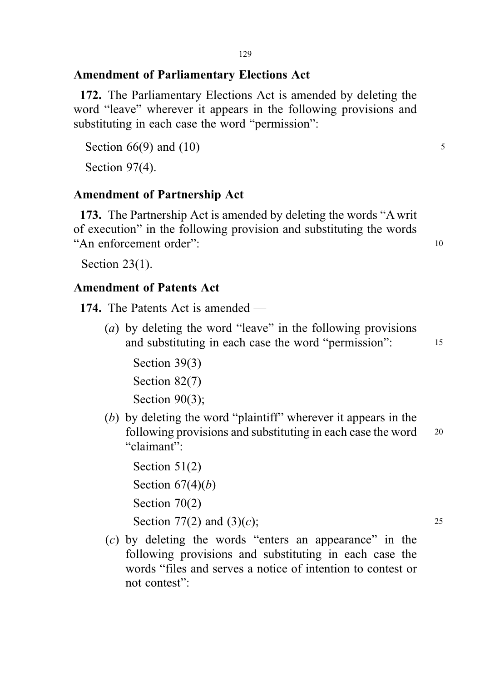# Amendment of Parliamentary Elections Act

172. The Parliamentary Elections Act is amended by deleting the word "leave" wherever it appears in the following provisions and substituting in each case the word "permission":

Section  $66(9)$  and  $(10)$  5

Section 97(4).

# Amendment of Partnership Act

173. The Partnership Act is amended by deleting the words "A writ of execution" in the following provision and substituting the words "An enforcement order":  $10$ 

Section 23(1).

# Amendment of Patents Act

174. The Patents Act is amended —

(a) by deleting the word "leave" in the following provisions and substituting in each case the word "permission": 15

Section 39(3) Section 82(7) Section 90(3);

(b) by deleting the word "plaintiff" wherever it appears in the following provisions and substituting in each case the word <sup>20</sup> "claimant":

Section 51(2) Section  $67(4)(b)$ Section 70(2) Section 77(2) and (3)(*c*); 25

(c) by deleting the words "enters an appearance" in the following provisions and substituting in each case the words "files and serves a notice of intention to contest or not contest":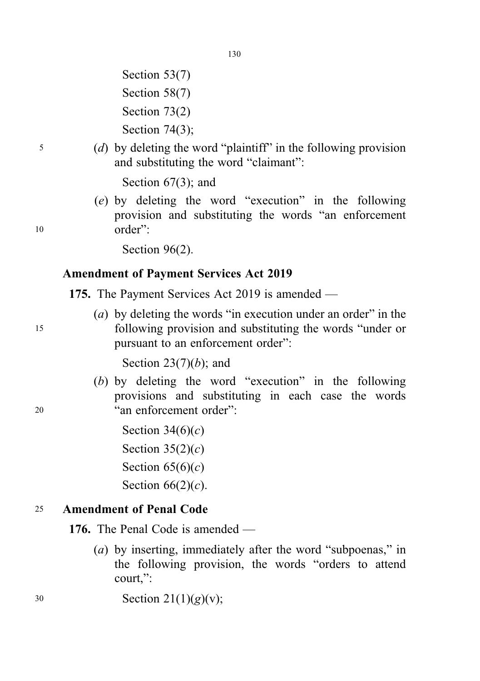- Section 53(7) Section 58(7) Section 73(2) Section 74(3);
- <sup>5</sup> (d) by deleting the word "plaintiff" in the following provision and substituting the word "claimant":

Section 67(3); and

(e) by deleting the word "execution" in the following provision and substituting the words "an enforcement <sup>10</sup> order":

Section 96(2).

# Amendment of Payment Services Act 2019

175. The Payment Services Act 2019 is amended —

(a) by deleting the words "in execution under an order" in the <sup>15</sup> following provision and substituting the words "under or pursuant to an enforcement order":

Section  $23(7)(b)$ ; and

- (b) by deleting the word "execution" in the following provisions and substituting in each case the words <sup>20</sup> "an enforcement order":
	- Section  $34(6)(c)$ Section  $35(2)(c)$ Section  $65(6)(c)$ Section  $66(2)(c)$ .

# <sup>25</sup> Amendment of Penal Code

176. The Penal Code is amended —

- (a) by inserting, immediately after the word "subpoenas," in the following provision, the words "orders to attend court,":
- $30$  Section  $21(1)(g)(v)$ ;

130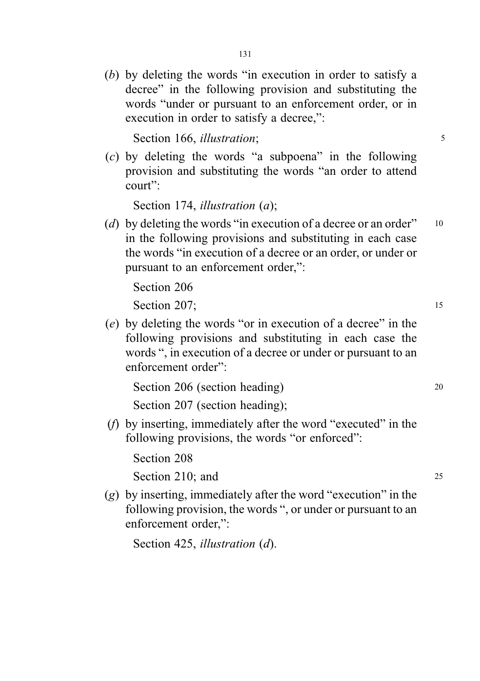(b) by deleting the words "in execution in order to satisfy a decree" in the following provision and substituting the words "under or pursuant to an enforcement order, or in execution in order to satisfy a decree,":

Section 166, *illustration*; 5

(c) by deleting the words "a subpoena" in the following provision and substituting the words "an order to attend court":

Section 174, *illustration* (*a*);

(d) by deleting the words "in execution of a decree or an order"  $10$ in the following provisions and substituting in each case the words "in execution of a decree or an order, or under or pursuant to an enforcement order,":

Section 206 Section 207: 15

(e) by deleting the words "or in execution of a decree" in the following provisions and substituting in each case the words ", in execution of a decree or under or pursuant to an enforcement order":

Section 206 (section heading) 20

Section 207 (section heading);

(f) by inserting, immediately after the word "executed" in the following provisions, the words "or enforced":

Section 208

Section 210; and 25

(g) by inserting, immediately after the word "execution" in the following provision, the words ", or under or pursuant to an enforcement order,":

Section 425, *illustration* (*d*).

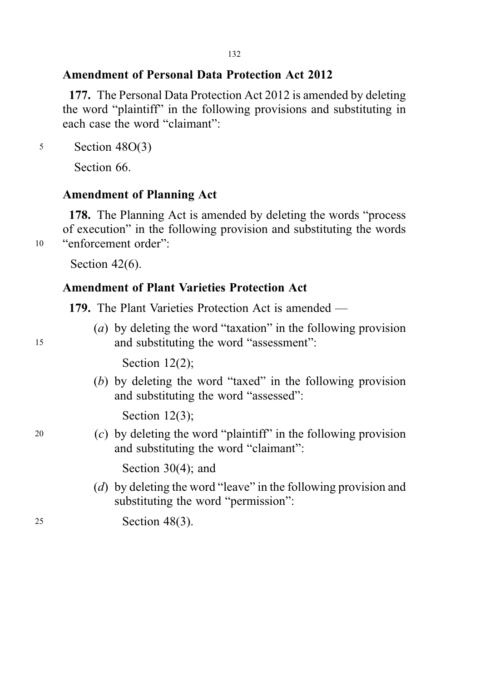# Amendment of Personal Data Protection Act 2012

177. The Personal Data Protection Act 2012 is amended by deleting the word "plaintiff" in the following provisions and substituting in each case the word "claimant":

<sup>5</sup> Section 48O(3)

Section 66.

# Amendment of Planning Act

178. The Planning Act is amended by deleting the words "process of execution" in the following provision and substituting the words <sup>10</sup> "enforcement order":

Section 42(6).

# Amendment of Plant Varieties Protection Act

179. The Plant Varieties Protection Act is amended —

(a) by deleting the word "taxation" in the following provision <sup>15</sup> and substituting the word "assessment":

Section 12(2);

(b) by deleting the word "taxed" in the following provision and substituting the word "assessed":

Section 12(3);

<sup>20</sup> (c) by deleting the word "plaintiff" in the following provision and substituting the word "claimant":

Section 30(4); and

(d) by deleting the word "leave" in the following provision and substituting the word "permission":

<sup>25</sup> Section 48(3).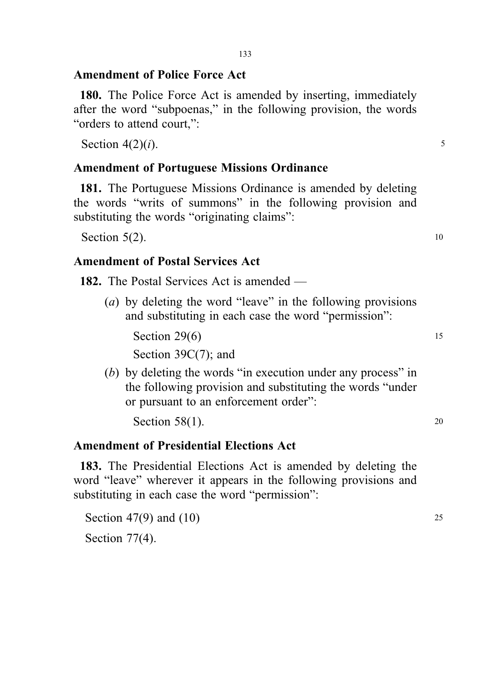### Amendment of Police Force Act

180. The Police Force Act is amended by inserting, immediately after the word "subpoenas," in the following provision, the words "orders to attend court,":

Section  $4(2)(i)$ . 5

#### Amendment of Portuguese Missions Ordinance

181. The Portuguese Missions Ordinance is amended by deleting the words "writs of summons" in the following provision and substituting the words "originating claims":

Section  $5(2)$ . 10

### Amendment of Postal Services Act

182. The Postal Services Act is amended —

(a) by deleting the word "leave" in the following provisions and substituting in each case the word "permission":

Section  $29(6)$  15 Section 39C(7); and

(b) by deleting the words "in execution under any process" in the following provision and substituting the words "under or pursuant to an enforcement order":

Section  $58(1)$ . 20

### Amendment of Presidential Elections Act

183. The Presidential Elections Act is amended by deleting the word "leave" wherever it appears in the following provisions and substituting in each case the word "permission":

Section 47(9) and (10) 25 Section 77(4).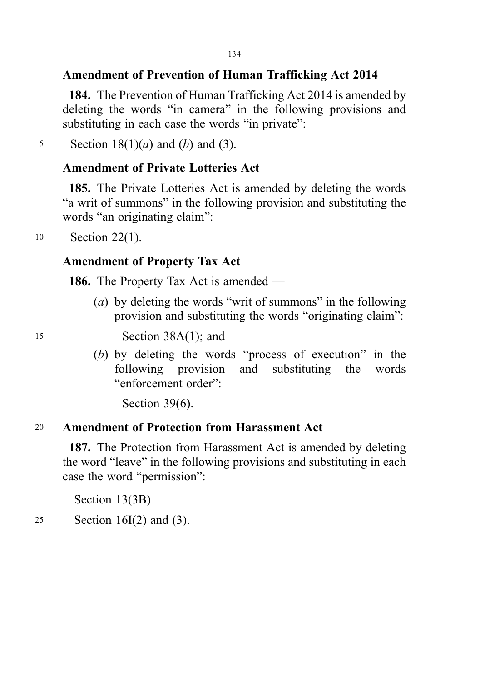# Amendment of Prevention of Human Trafficking Act 2014

184. The Prevention of Human Trafficking Act 2014 is amended by deleting the words "in camera" in the following provisions and substituting in each case the words "in private":

5 Section  $18(1)(a)$  and  $(b)$  and  $(3)$ .

## Amendment of Private Lotteries Act

185. The Private Lotteries Act is amended by deleting the words "a writ of summons" in the following provision and substituting the words "an originating claim":

<sup>10</sup> Section 22(1).

## Amendment of Property Tax Act

186. The Property Tax Act is amended —

(a) by deleting the words "writ of summons" in the following provision and substituting the words "originating claim":

<sup>15</sup> Section 38A(1); and

(b) by deleting the words "process of execution" in the following provision and substituting the words "enforcement order":

Section 39(6).

# <sup>20</sup> Amendment of Protection from Harassment Act

187. The Protection from Harassment Act is amended by deleting the word "leave" in the following provisions and substituting in each case the word "permission":

Section 13(3B)

<sup>25</sup> Section 16I(2) and (3).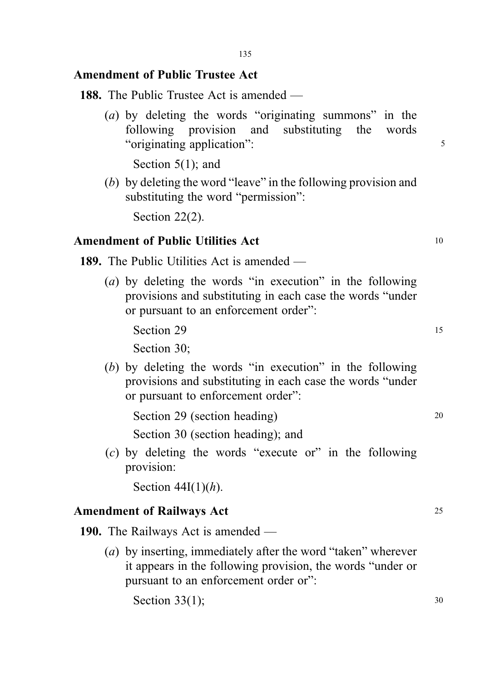### Amendment of Public Trustee Act

188. The Public Trustee Act is amended —

(a) by deleting the words "originating summons" in the following provision and substituting the words "originating application":

Section 5(1); and

(b) by deleting the word "leave" in the following provision and substituting the word "permission":

Section 22(2).

### Amendment of Public Utilities Act 10

189. The Public Utilities Act is amended —

(a) by deleting the words "in execution" in the following provisions and substituting in each case the words "under or pursuant to an enforcement order":

Section 29 15 Section 30;

(b) by deleting the words "in execution" in the following provisions and substituting in each case the words "under or pursuant to enforcement order":

Section 29 (section heading) 20

Section 30 (section heading); and

(c) by deleting the words "execute or" in the following provision:

Section  $44I(1)(h)$ .

#### Amendment of Railways Act 25

190. The Railways Act is amended —

(a) by inserting, immediately after the word "taken" wherever it appears in the following provision, the words "under or pursuant to an enforcement order or":

Section  $33(1)$ ; 30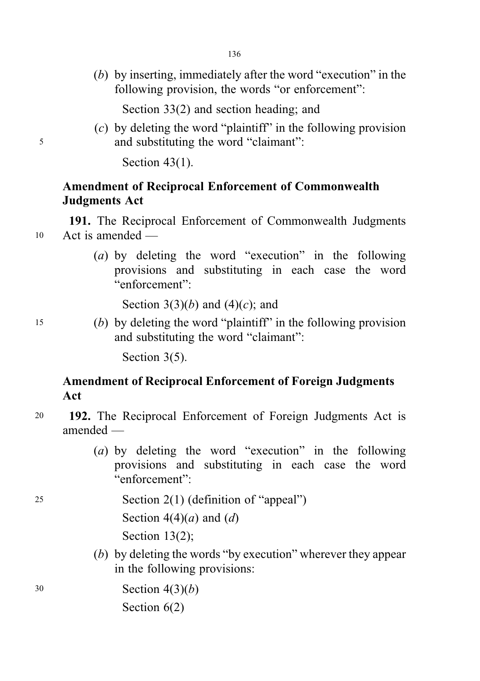(b) by inserting, immediately after the word "execution" in the following provision, the words "or enforcement":

Section 33(2) and section heading; and

(c) by deleting the word "plaintiff" in the following provision <sup>5</sup> and substituting the word "claimant":

Section 43(1).

# Amendment of Reciprocal Enforcement of Commonwealth Judgments Act

191. The Reciprocal Enforcement of Commonwealth Judgments <sup>10</sup> Act is amended —

> (a) by deleting the word "execution" in the following provisions and substituting in each case the word "enforcement":

Section 3(3)(*b*) and (4)(*c*); and

<sup>15</sup> (b) by deleting the word "plaintiff" in the following provision and substituting the word "claimant":

Section 3(5).

# Amendment of Reciprocal Enforcement of Foreign Judgments Act

- <sup>20</sup> 192. The Reciprocal Enforcement of Foreign Judgments Act is amended —
	- (a) by deleting the word "execution" in the following provisions and substituting in each case the word "enforcement":
- <sup>25</sup> Section 2(1) (definition of "appeal") Section  $4(4)(a)$  and  $(d)$ Section 13(2);
	- (b) by deleting the words "by execution" wherever they appear in the following provisions:

<sup>30</sup> Section 4(3)(b) Section  $6(2)$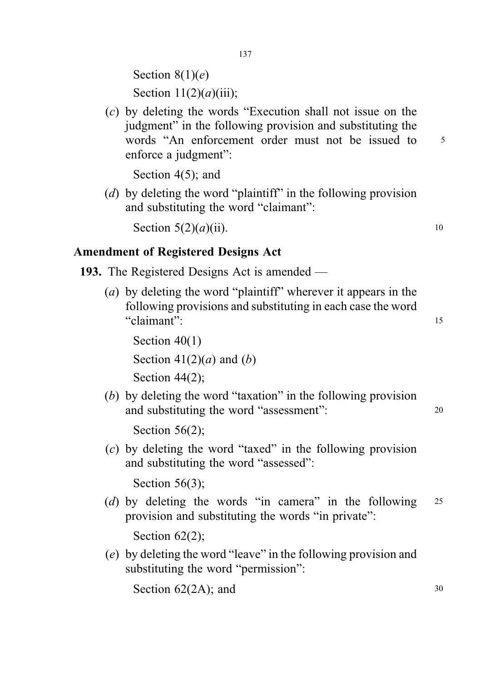Section  $8(1)(e)$ Section  $11(2)(a)(iii)$ ;

(c) by deleting the words "Execution shall not issue on the judgment" in the following provision and substituting the words "An enforcement order must not be issued to 5 enforce a judgment":

Section 4(5); and

(d) by deleting the word "plaintiff" in the following provision and substituting the word "claimant":

Section  $5(2)(a)(ii)$ . 10

# Amendment of Registered Designs Act

- 193. The Registered Designs Act is amended
	- (a) by deleting the word "plaintiff" wherever it appears in the following provisions and substituting in each case the word "claimant": <sup>15</sup>

Section  $40(1)$ Section  $41(2)(a)$  and  $(b)$ Section 44(2);

(b) by deleting the word "taxation" in the following provision and substituting the word "assessment": 20

Section 56(2);

(c) by deleting the word "taxed" in the following provision and substituting the word "assessed":

Section 56(3);

(d) by deleting the words "in camera" in the following  $25$ provision and substituting the words "in private":

Section 62(2);

(e) by deleting the word "leave" in the following provision and substituting the word "permission":

Section  $62(2A)$ ; and  $30$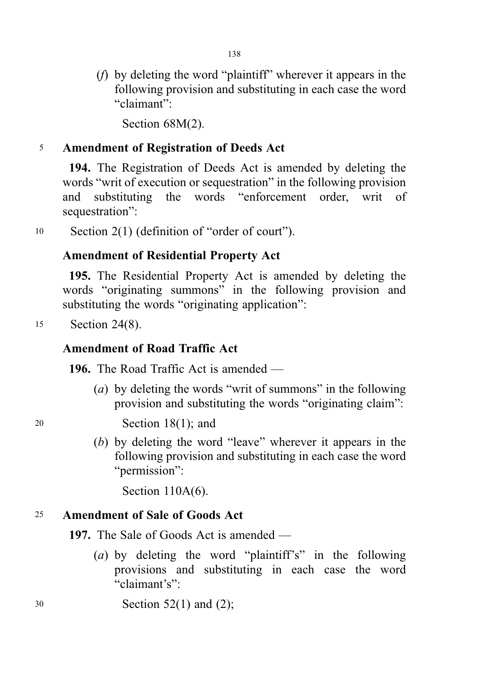(f) by deleting the word "plaintiff" wherever it appears in the following provision and substituting in each case the word "claimant":

Section 68M(2).

### <sup>5</sup> Amendment of Registration of Deeds Act

194. The Registration of Deeds Act is amended by deleting the words "writ of execution or sequestration" in the following provision and substituting the words "enforcement order, writ of sequestration":

<sup>10</sup> Section 2(1) (definition of "order of court").

## Amendment of Residential Property Act

195. The Residential Property Act is amended by deleting the words "originating summons" in the following provision and substituting the words "originating application":

<sup>15</sup> Section 24(8).

## Amendment of Road Traffic Act

196. The Road Traffic Act is amended —

(a) by deleting the words "writ of summons" in the following provision and substituting the words "originating claim":

<sup>20</sup> Section 18(1); and

(b) by deleting the word "leave" wherever it appears in the following provision and substituting in each case the word "permission":

Section 110A(6).

### <sup>25</sup> Amendment of Sale of Goods Act

197. The Sale of Goods Act is amended —

- (a) by deleting the word "plaintiff's" in the following provisions and substituting in each case the word "claimant's":
- <sup>30</sup> Section 52(1) and (2);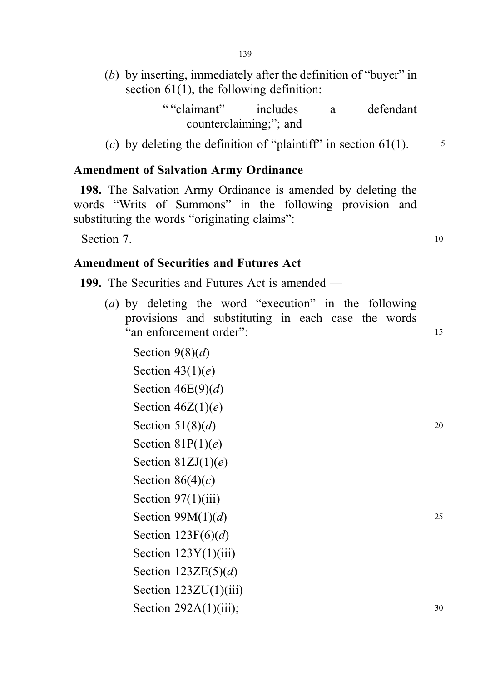(b) by inserting, immediately after the definition of "buyer" in section 61(1), the following definition:

> " "claimant" includes a defendant counterclaiming;"; and

(c) by deleting the definition of "plaintiff" in section  $61(1)$ .  $\frac{5}{1}$ 

### Amendment of Salvation Army Ordinance

198. The Salvation Army Ordinance is amended by deleting the words "Writs of Summons" in the following provision and substituting the words "originating claims":

Section 7. 10

## Amendment of Securities and Futures Act

199. The Securities and Futures Act is amended —

(a) by deleting the word "execution" in the following provisions and substituting in each case the words "an enforcement order": <sup>15</sup>

Section  $9(8)(d)$ Section  $43(1)(e)$ Section  $46E(9)(d)$ Section  $46Z(1)(e)$ Section  $51(8)(d)$  20 Section  $81P(1)(e)$ Section  $81ZJ(1)(e)$ Section  $86(4)(c)$ Section  $97(1)(iii)$ Section  $99M(1)(d)$  25 Section  $123F(6)(d)$ Section 123Y(1)(iii) Section  $123ZE(5)(d)$ Section  $123ZU(1)(iii)$ Section  $292A(1)(iii)$ ; 30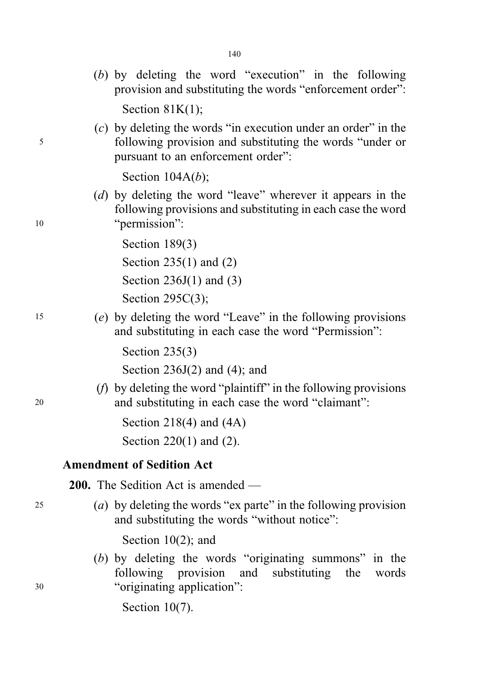- (b) by deleting the word "execution" in the following provision and substituting the words "enforcement order": Section  $81K(1)$ ;
- (c) by deleting the words "in execution under an order" in the <sup>5</sup> following provision and substituting the words "under or pursuant to an enforcement order":

Section  $104A(b)$ ;

(d) by deleting the word "leave" wherever it appears in the following provisions and substituting in each case the word 10 "permission":

Section 189<sub>(3)</sub>

Section 235(1) and (2)

Section 236J(1) and (3)

Section 295C(3);

<sup>15</sup> (e) by deleting the word "Leave" in the following provisions and substituting in each case the word "Permission":

Section 235(3)

Section  $236J(2)$  and  $(4)$ ; and

(f) by deleting the word "plaintiff" in the following provisions <sup>20</sup> and substituting in each case the word "claimant":

> Section 218(4) and (4A) Section 220(1) and (2).

#### Amendment of Sedition Act

200. The Sedition Act is amended —

<sup>25</sup> (a) by deleting the words "ex parte" in the following provision and substituting the words "without notice":

Section 10(2); and

(b) by deleting the words "originating summons" in the following provision and substituting the words <sup>30</sup> "originating application":

Section 10(7).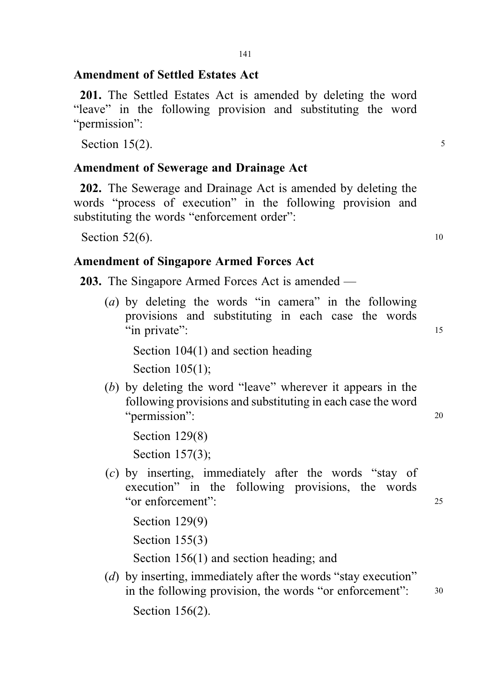### Amendment of Settled Estates Act

201. The Settled Estates Act is amended by deleting the word "leave" in the following provision and substituting the word "permission":

Section  $15(2)$ .

#### Amendment of Sewerage and Drainage Act

202. The Sewerage and Drainage Act is amended by deleting the words "process of execution" in the following provision and substituting the words "enforcement order":

Section  $52(6)$ . 10

#### Amendment of Singapore Armed Forces Act

203. The Singapore Armed Forces Act is amended —

(a) by deleting the words "in camera" in the following provisions and substituting in each case the words "in private": 15

Section 104(1) and section heading Section 105(1);

(b) by deleting the word "leave" wherever it appears in the following provisions and substituting in each case the word "permission": 20

Section 129(8) Section 157(3);

(c) by inserting, immediately after the words "stay of execution" in the following provisions, the words "or enforcement": <sup>25</sup>

Section 129(9)

Section 155(3)

Section 156(1) and section heading; and

(*d*) by inserting, immediately after the words "stay execution" in the following provision, the words "or enforcement": 30

Section 156(2).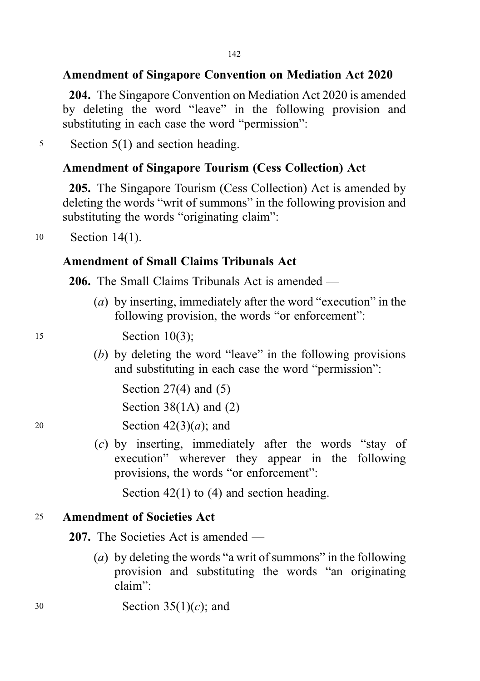# Amendment of Singapore Convention on Mediation Act 2020

204. The Singapore Convention on Mediation Act 2020 is amended by deleting the word "leave" in the following provision and substituting in each case the word "permission":

<sup>5</sup> Section 5(1) and section heading.

# Amendment of Singapore Tourism (Cess Collection) Act

205. The Singapore Tourism (Cess Collection) Act is amended by deleting the words "writ of summons" in the following provision and substituting the words "originating claim":

<sup>10</sup> Section 14(1).

# Amendment of Small Claims Tribunals Act

206. The Small Claims Tribunals Act is amended —

(a) by inserting, immediately after the word "execution" in the following provision, the words "or enforcement":

<sup>15</sup> Section 10(3);

(b) by deleting the word "leave" in the following provisions and substituting in each case the word "permission":

Section 27(4) and (5) Section 38(1A) and (2)

20 Section  $42(3)(a)$ ; and

(c) by inserting, immediately after the words "stay of execution" wherever they appear in the following provisions, the words "or enforcement":

Section 42(1) to (4) and section heading.

### <sup>25</sup> Amendment of Societies Act

207. The Societies Act is amended —

- (a) by deleting the words "a writ of summons" in the following provision and substituting the words "an originating claim":
- $30$  Section  $35(1)(c)$ ; and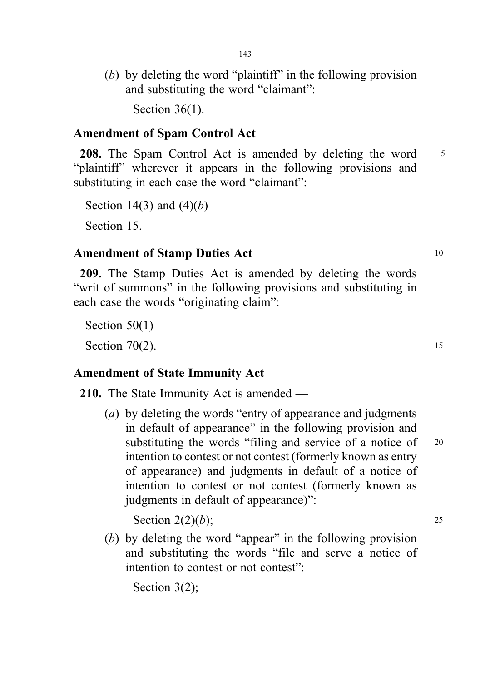(b) by deleting the word "plaintiff" in the following provision and substituting the word "claimant":

Section 36(1).

#### Amendment of Spam Control Act

208. The Spam Control Act is amended by deleting the word 5 "plaintiff" wherever it appears in the following provisions and substituting in each case the word "claimant":

Section 14(3) and  $(4)(b)$ 

Section 15.

#### Amendment of Stamp Duties Act 10

209. The Stamp Duties Act is amended by deleting the words "writ of summons" in the following provisions and substituting in each case the words "originating claim":

Section 50(1)

Section  $70(2)$ . 15

## Amendment of State Immunity Act

210. The State Immunity Act is amended —

(a) by deleting the words "entry of appearance and judgments in default of appearance" in the following provision and substituting the words "filing and service of a notice of 20 intention to contest or not contest (formerly known as entry of appearance) and judgments in default of a notice of intention to contest or not contest (formerly known as judgments in default of appearance)":

Section  $2(2)(b)$ ; 25

(b) by deleting the word "appear" in the following provision and substituting the words "file and serve a notice of intention to contest or not contest":

Section 3(2);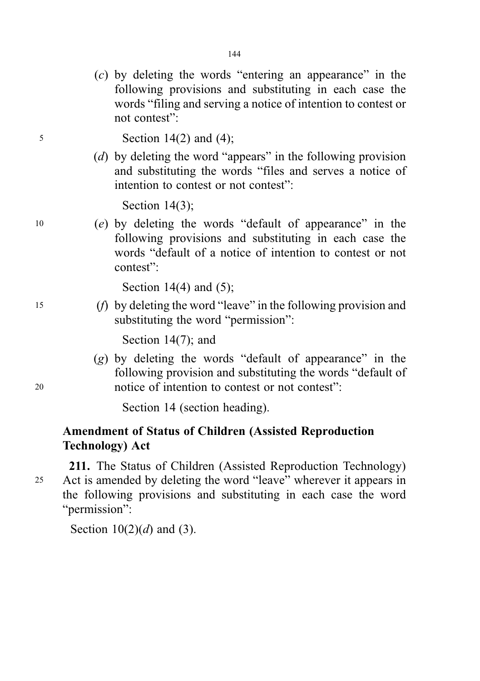(c) by deleting the words "entering an appearance" in the following provisions and substituting in each case the words "filing and serving a notice of intention to contest or not contest":

<sup>5</sup> Section 14(2) and (4);

(d) by deleting the word "appears" in the following provision and substituting the words "files and serves a notice of intention to contest or not contest":

Section 14(3);

<sup>10</sup> (e) by deleting the words "default of appearance" in the following provisions and substituting in each case the words "default of a notice of intention to contest or not contest":

Section 14(4) and (5);

<sup>15</sup> (f) by deleting the word "leave" in the following provision and substituting the word "permission":

Section 14(7); and

(g) by deleting the words "default of appearance" in the following provision and substituting the words "default of <sup>20</sup> notice of intention to contest or not contest":

Section 14 (section heading).

# Amendment of Status of Children (Assisted Reproduction Technology) Act

211. The Status of Children (Assisted Reproduction Technology) <sup>25</sup> Act is amended by deleting the word "leave" wherever it appears in the following provisions and substituting in each case the word "permission":

Section  $10(2)(d)$  and (3).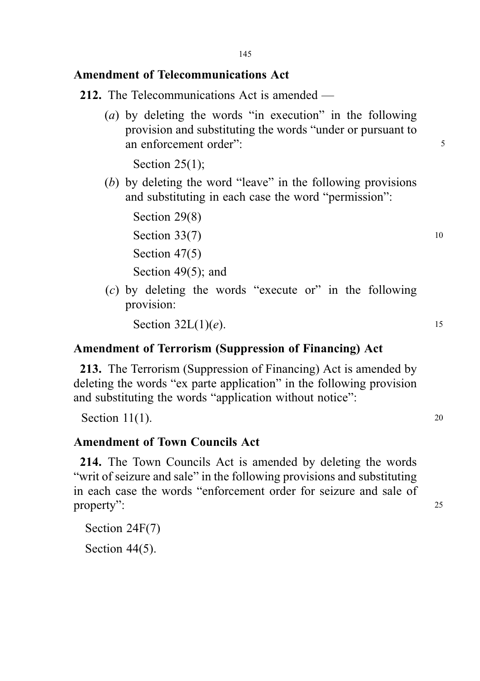# Amendment of Telecommunications Act

- 212. The Telecommunications Act is amended
	- (a) by deleting the words "in execution" in the following provision and substituting the words "under or pursuant to an enforcement order":  $\frac{5}{5}$

Section  $25(1)$ ;

Section 29(8)

(b) by deleting the word "leave" in the following provisions and substituting in each case the word "permission":

Section  $33(7)$  10

Section 47(5) Section 49(5); and

(c) by deleting the words "execute or" in the following provision:

Section  $32L(1)(e)$ . 15

# Amendment of Terrorism (Suppression of Financing) Act

213. The Terrorism (Suppression of Financing) Act is amended by deleting the words "ex parte application" in the following provision and substituting the words "application without notice":

Section  $11(1)$ . 20

# Amendment of Town Councils Act

214. The Town Councils Act is amended by deleting the words "writ of seizure and sale" in the following provisions and substituting in each case the words "enforcement order for seizure and sale of property": 25

Section 24F(7)

Section 44(5).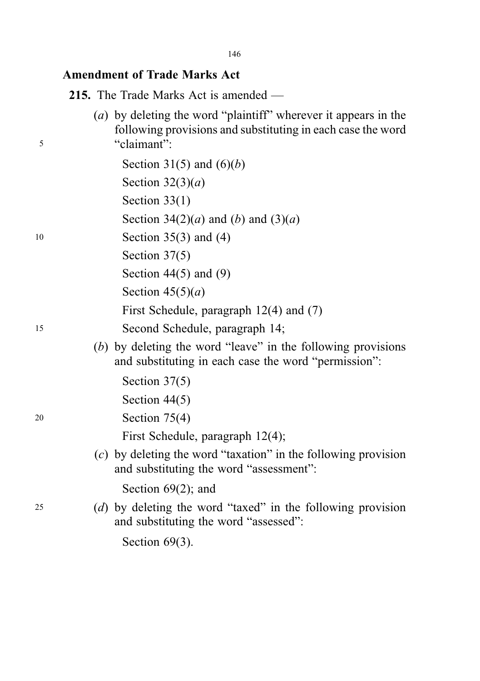146

# Amendment of Trade Marks Act

215. The Trade Marks Act is amended —

| 5  | (a) by deleting the word "plaintiff" wherever it appears in the<br>following provisions and substituting in each case the word<br>"claimant": |
|----|-----------------------------------------------------------------------------------------------------------------------------------------------|
|    | Section 31(5) and $(6)(b)$                                                                                                                    |
|    | Section $32(3)(a)$                                                                                                                            |
|    | Section $33(1)$                                                                                                                               |
|    | Section 34(2)( <i>a</i> ) and ( <i>b</i> ) and (3)( <i>a</i> )                                                                                |
| 10 | Section $35(3)$ and (4)                                                                                                                       |
|    | Section $37(5)$                                                                                                                               |
|    | Section $44(5)$ and $(9)$                                                                                                                     |
|    | Section $45(5)(a)$                                                                                                                            |
|    | First Schedule, paragraph $12(4)$ and $(7)$                                                                                                   |
| 15 | Second Schedule, paragraph 14;                                                                                                                |
|    | (b) by deleting the word "leave" in the following provisions<br>and substituting in each case the word "permission":                          |
|    | Section $37(5)$                                                                                                                               |
|    | Section $44(5)$                                                                                                                               |
| 20 | Section $75(4)$                                                                                                                               |
|    | First Schedule, paragraph 12(4);                                                                                                              |
|    | $(c)$ by deleting the word "taxation" in the following provision<br>and substituting the word "assessment":                                   |
|    | Section $69(2)$ ; and                                                                                                                         |
| 25 | (d) by deleting the word "taxed" in the following provision<br>and substituting the word "assessed":                                          |
|    | Section $69(3)$ .                                                                                                                             |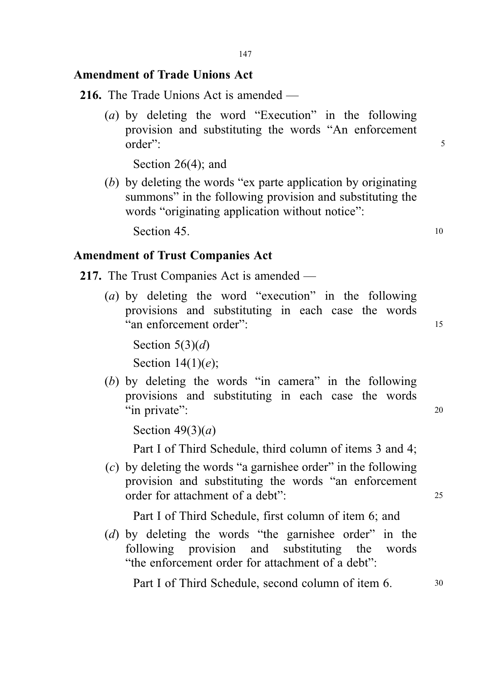# Amendment of Trade Unions Act

216. The Trade Unions Act is amended —

(a) by deleting the word "Execution" in the following provision and substituting the words "An enforcement order": 5

Section 26(4); and

(b) by deleting the words "ex parte application by originating summons" in the following provision and substituting the words "originating application without notice":

Section 45. 10

# Amendment of Trust Companies Act

- 217. The Trust Companies Act is amended
	- (a) by deleting the word "execution" in the following provisions and substituting in each case the words "an enforcement order": 15

Section  $5(3)(d)$ Section  $14(1)(e)$ ;

(b) by deleting the words "in camera" in the following provisions and substituting in each case the words "in private": 20

Section  $49(3)(a)$ 

Part I of Third Schedule, third column of items 3 and 4;

(c) by deleting the words "a garnishee order" in the following provision and substituting the words "an enforcement order for attachment of a debt": 25

Part I of Third Schedule, first column of item 6; and

(d) by deleting the words "the garnishee order" in the following provision and substituting the words "the enforcement order for attachment of a debt":

Part I of Third Schedule, second column of item 6.  $\frac{30}{2}$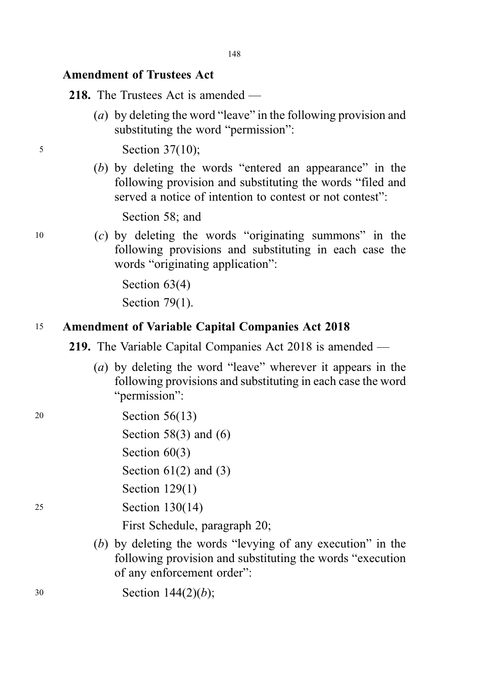# Amendment of Trustees Act

218. The Trustees Act is amended —

(a) by deleting the word "leave" in the following provision and substituting the word "permission":

<sup>5</sup> Section 37(10);

(b) by deleting the words "entered an appearance" in the following provision and substituting the words "filed and served a notice of intention to contest or not contest":

Section 58; and

 $10$  (c) by deleting the words "originating summons" in the following provisions and substituting in each case the words "originating application":

> Section 63(4) Section 79(1).

## <sup>15</sup> Amendment of Variable Capital Companies Act 2018

219. The Variable Capital Companies Act 2018 is amended —

- (a) by deleting the word "leave" wherever it appears in the following provisions and substituting in each case the word "permission":
- <sup>20</sup> Section 56(13) Section 58 $(3)$  and  $(6)$ Section 60(3) Section  $61(2)$  and  $(3)$ Section 129(1) <sup>25</sup> Section 130(14) First Schedule, paragraph 20; (b) by deleting the words "levying of any execution" in the following provision and substituting the words "execution of any enforcement order": <sup>30</sup> Section 144(2)(b);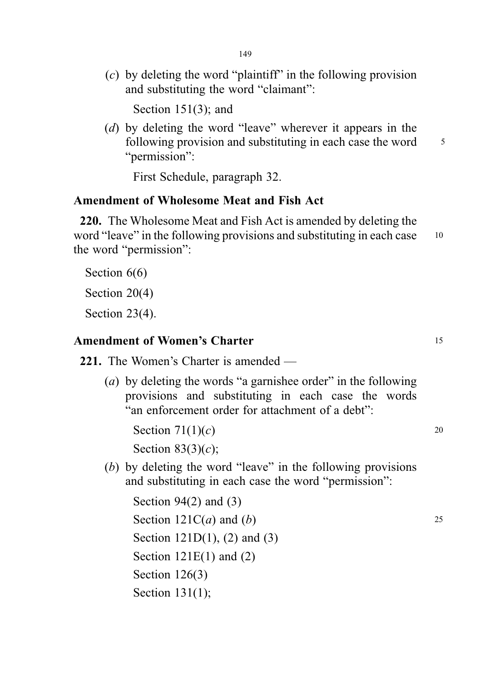$(c)$  by deleting the word "plaintiff" in the following provision and substituting the word "claimant":

Section 151(3); and

(d) by deleting the word "leave" wherever it appears in the following provision and substituting in each case the word <sup>5</sup> "permission":

First Schedule, paragraph 32.

# Amendment of Wholesome Meat and Fish Act

220. The Wholesome Meat and Fish Act is amended by deleting the word "leave" in the following provisions and substituting in each case 10 the word "permission":

Section  $6(6)$ 

Section 20(4)

Section 23(4).

# Amendment of Women's Charter 15 and 15

221. The Women's Charter is amended —

(a) by deleting the words "a garnishee order" in the following provisions and substituting in each case the words "an enforcement order for attachment of a debt":

Section  $71(1)(c)$  20 Section  $83(3)(c)$ ;

(b) by deleting the word "leave" in the following provisions and substituting in each case the word "permission":

Section 94(2) and (3) Section  $121C(a)$  and  $(b)$  25 Section 121D(1), (2) and (3) Section  $121E(1)$  and  $(2)$ Section 126(3) Section 131(1);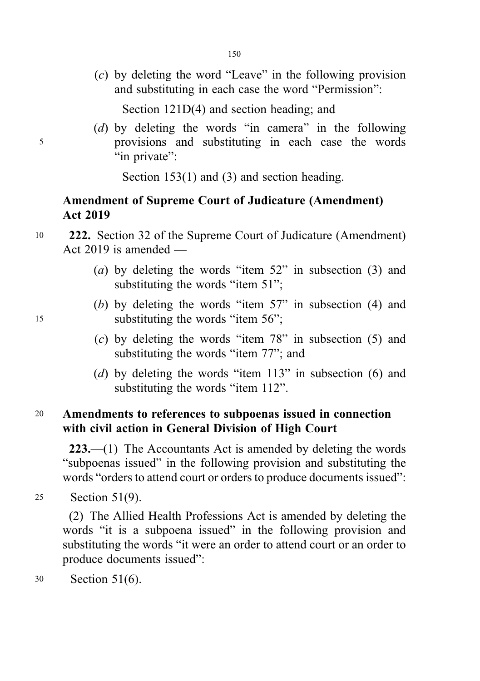(c) by deleting the word "Leave" in the following provision and substituting in each case the word "Permission":

Section 121D(4) and section heading; and

(d) by deleting the words "in camera" in the following <sup>5</sup> provisions and substituting in each case the words "in private":

Section 153(1) and (3) and section heading.

# Amendment of Supreme Court of Judicature (Amendment) Act 2019

- <sup>10</sup> 222. Section 32 of the Supreme Court of Judicature (Amendment) Act 2019 is amended —
	- (a) by deleting the words "item 52" in subsection (3) and substituting the words "item 51";
- (b) by deleting the words "item 57" in subsection (4) and 15 substituting the words "item 56";
	- (c) by deleting the words "item 78" in subsection (5) and substituting the words "item 77"; and
	- (d) by deleting the words "item 113" in subsection (6) and substituting the words "item 112".

# <sup>20</sup> Amendments to references to subpoenas issued in connection with civil action in General Division of High Court

223.—(1) The Accountants Act is amended by deleting the words "subpoenas issued" in the following provision and substituting the words "orders to attend court or orders to produce documents issued":

<sup>25</sup> Section 51(9).

(2) The Allied Health Professions Act is amended by deleting the words "it is a subpoena issued" in the following provision and substituting the words "it were an order to attend court or an order to produce documents issued":

<sup>30</sup> Section 51(6).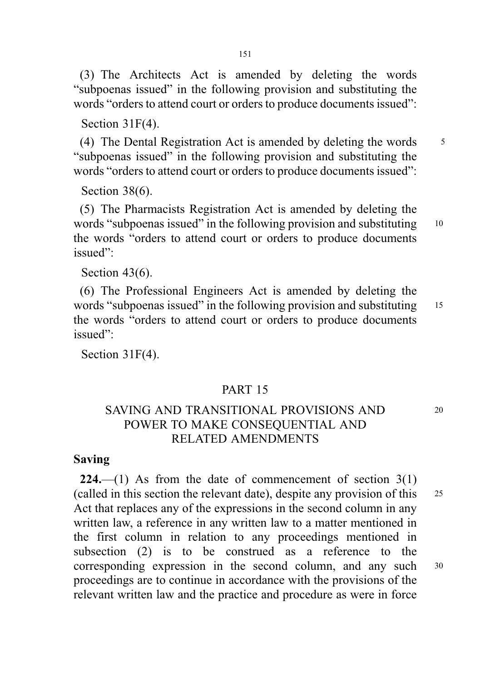(3) The Architects Act is amended by deleting the words "subpoenas issued" in the following provision and substituting the words "orders to attend court or orders to produce documents issued":

Section 31F(4).

(4) The Dental Registration Act is amended by deleting the words  $\frac{5}{5}$ "subpoenas issued" in the following provision and substituting the words "orders to attend court or orders to produce documents issued":

Section 38(6).

(5) The Pharmacists Registration Act is amended by deleting the words "subpoenas issued" in the following provision and substituting 10 the words "orders to attend court or orders to produce documents issued":

Section 43(6).

(6) The Professional Engineers Act is amended by deleting the words "subpoenas issued" in the following provision and substituting <sup>15</sup> the words "orders to attend court or orders to produce documents issued":

Section 31F(4).

## PART 15

# SAVING AND TRANSITIONAL PROVISIONS AND 20 POWER TO MAKE CONSEQUENTIAL AND RELATED AMENDMENTS

## Saving

224.—(1) As from the date of commencement of section  $3(1)$ (called in this section the relevant date), despite any provision of this <sup>25</sup> Act that replaces any of the expressions in the second column in any written law, a reference in any written law to a matter mentioned in the first column in relation to any proceedings mentioned in subsection (2) is to be construed as a reference to the corresponding expression in the second column, and any such <sup>30</sup> proceedings are to continue in accordance with the provisions of the relevant written law and the practice and procedure as were in force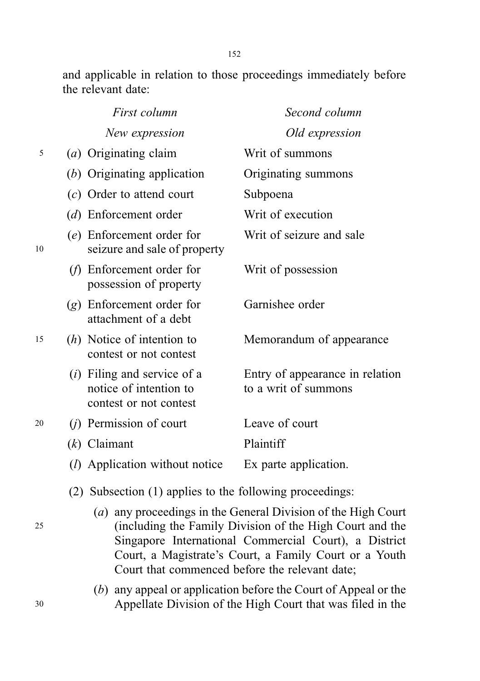and applicable in relation to those proceedings immediately before the relevant date:

|    |     | First column                                                                      | Second column                                           |
|----|-----|-----------------------------------------------------------------------------------|---------------------------------------------------------|
|    |     | New expression                                                                    | Old expression                                          |
| 5  |     | (a) Originating claim                                                             | Writ of summons                                         |
|    |     | $(b)$ Originating application                                                     | Originating summons                                     |
|    |     | $(c)$ Order to attend court                                                       | Subpoena                                                |
|    |     | (d) Enforcement order                                                             | Writ of execution                                       |
| 10 |     | (e) Enforcement order for<br>seizure and sale of property                         | Writ of seizure and sale                                |
|    | (f) | Enforcement order for<br>possession of property                                   | Writ of possession                                      |
|    |     | $(g)$ Enforcement order for<br>attachment of a debt                               | Garnishee order                                         |
| 15 |     | $(h)$ Notice of intention to<br>contest or not contest                            | Memorandum of appearance                                |
|    |     | $(i)$ Filing and service of a<br>notice of intention to<br>contest or not contest | Entry of appearance in relation<br>to a writ of summons |
| 20 |     | $(j)$ Permission of court                                                         | Leave of court                                          |
|    |     | $(k)$ Claimant                                                                    | Plaintiff                                               |
|    |     | ( <i>l</i> ) Application without notice                                           | Ex parte application.                                   |

- (2) Subsection (1) applies to the following proceedings:
- (a) any proceedings in the General Division of the High Court <sup>25</sup> (including the Family Division of the High Court and the Singapore International Commercial Court), a District Court, a Magistrate's Court, a Family Court or a Youth Court that commenced before the relevant date;
- (b) any appeal or application before the Court of Appeal or the <sup>30</sup> Appellate Division of the High Court that was filed in the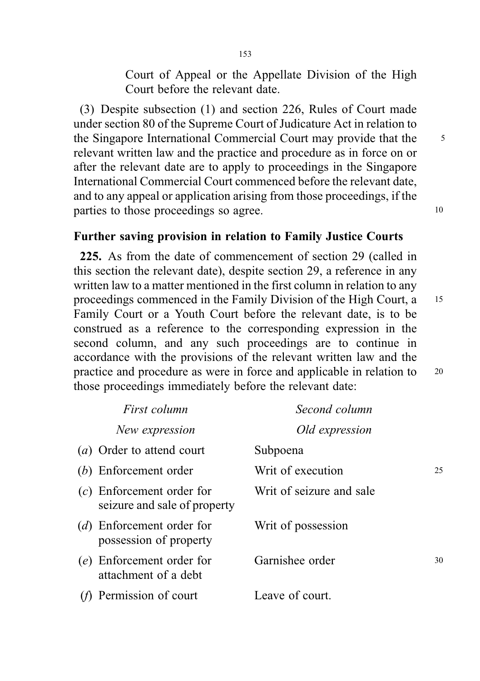Court of Appeal or the Appellate Division of the High Court before the relevant date.

(3) Despite subsection (1) and section 226, Rules of Court made under section 80 of the Supreme Court of Judicature Act in relation to the Singapore International Commercial Court may provide that the 5 relevant written law and the practice and procedure as in force on or after the relevant date are to apply to proceedings in the Singapore International Commercial Court commenced before the relevant date, and to any appeal or application arising from those proceedings, if the parties to those proceedings so agree.

# Further saving provision in relation to Family Justice Courts

225. As from the date of commencement of section 29 (called in this section the relevant date), despite section 29, a reference in any written law to a matter mentioned in the first column in relation to any proceedings commenced in the Family Division of the High Court, a <sup>15</sup> Family Court or a Youth Court before the relevant date, is to be construed as a reference to the corresponding expression in the second column, and any such proceedings are to continue in accordance with the provisions of the relevant written law and the practice and procedure as were in force and applicable in relation to <sup>20</sup> those proceedings immediately before the relevant date:

| First column                                                | Second column            |    |
|-------------------------------------------------------------|--------------------------|----|
| New expression                                              | Old expression           |    |
| ( <i>a</i> ) Order to attend court                          | Subpoena                 |    |
| (b) Enforcement order                                       | Writ of execution        | 25 |
| $(c)$ Enforcement order for<br>seizure and sale of property | Writ of seizure and sale |    |
| (d) Enforcement order for<br>possession of property         | Writ of possession       |    |
| (e) Enforcement order for<br>attachment of a debt           | Garnishee order          | 30 |
| Permission of court                                         | Leave of court.          |    |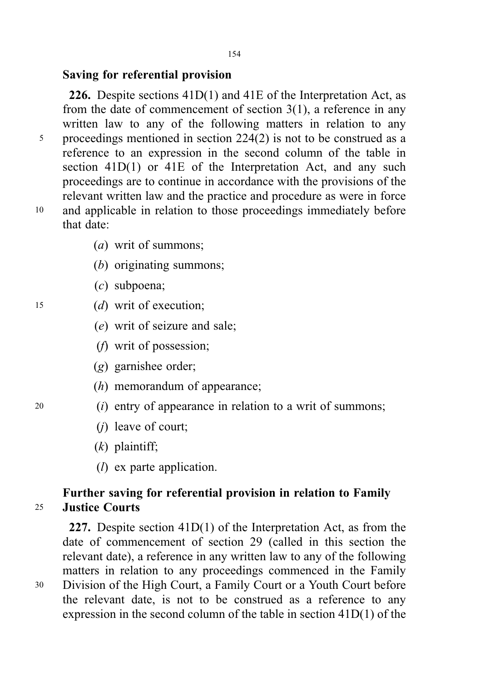# Saving for referential provision

226. Despite sections  $41D(1)$  and  $41E$  of the Interpretation Act, as from the date of commencement of section 3(1), a reference in any written law to any of the following matters in relation to any <sup>5</sup> proceedings mentioned in section 224(2) is not to be construed as a reference to an expression in the second column of the table in section 41D(1) or 41E of the Interpretation Act, and any such proceedings are to continue in accordance with the provisions of the relevant written law and the practice and procedure as were in force <sup>10</sup> and applicable in relation to those proceedings immediately before that date:

- (a) writ of summons;
- (b) originating summons;
- (c) subpoena;
- <sup>15</sup> (d) writ of execution;
	- (e) writ of seizure and sale;
	- (f) writ of possession;
	- (g) garnishee order;
	- (h) memorandum of appearance;
- <sup>20</sup> (i) entry of appearance in relation to a writ of summons;
	- (j) leave of court;
	- $(k)$  plaintiff;
	- $(l)$  ex parte application.

# Further saving for referential provision in relation to Family <sup>25</sup> Justice Courts

227. Despite section 41D(1) of the Interpretation Act, as from the date of commencement of section 29 (called in this section the relevant date), a reference in any written law to any of the following matters in relation to any proceedings commenced in the Family <sup>30</sup> Division of the High Court, a Family Court or a Youth Court before the relevant date, is not to be construed as a reference to any expression in the second column of the table in section 41D(1) of the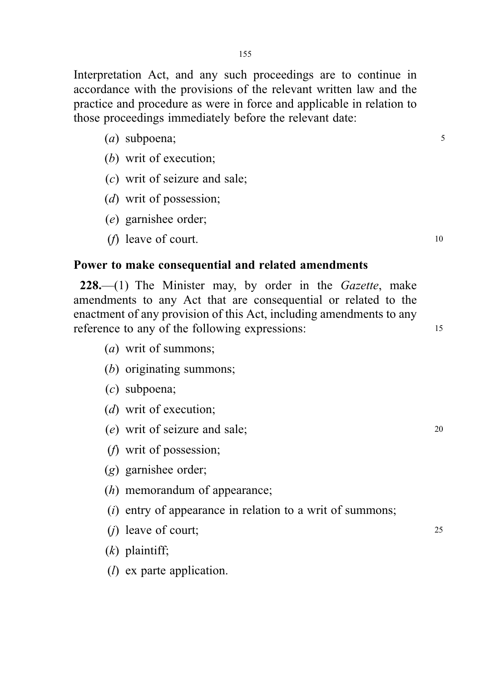Interpretation Act, and any such proceedings are to continue in accordance with the provisions of the relevant written law and the practice and procedure as were in force and applicable in relation to those proceedings immediately before the relevant date:

- $(a)$  subpoena;  $5$
- (b) writ of execution;
- (c) writ of seizure and sale;
- (d) writ of possession;
- (e) garnishee order;
- ( $f$ ) leave of court.  $\frac{10}{2}$

# Power to make consequential and related amendments

 $228$ , (1) The Minister may, by order in the *Gazette*, make amendments to any Act that are consequential or related to the enactment of any provision of this Act, including amendments to any reference to any of the following expressions: 15

- (a) writ of summons;
- (b) originating summons;
- (c) subpoena;
- (d) writ of execution:
- (e) writ of seizure and sale; <sup>20</sup>
- (f) writ of possession;
- (g) garnishee order;
- (h) memorandum of appearance;
- $(i)$  entry of appearance in relation to a writ of summons;
- (*i*) leave of court;  $25$
- $(k)$  plaintiff;
- $(l)$  ex parte application.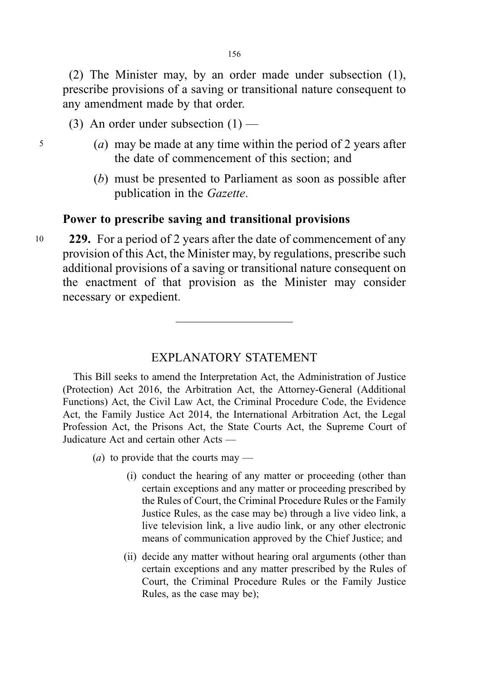(2) The Minister may, by an order made under subsection (1), prescribe provisions of a saving or transitional nature consequent to any amendment made by that order.

- (3) An order under subsection  $(1)$  —
- <sup>5</sup> (a) may be made at any time within the period of 2 years after the date of commencement of this section; and
	- (b) must be presented to Parliament as soon as possible after publication in the Gazette.

## Power to prescribe saving and transitional provisions

10 229. For a period of 2 years after the date of commencement of any provision of this Act, the Minister may, by regulations, prescribe such additional provisions of a saving or transitional nature consequent on the enactment of that provision as the Minister may consider necessary or expedient.

# EXPLANATORY STATEMENT

This Bill seeks to amend the Interpretation Act, the Administration of Justice (Protection) Act 2016, the Arbitration Act, the Attorney-General (Additional Functions) Act, the Civil Law Act, the Criminal Procedure Code, the Evidence Act, the Family Justice Act 2014, the International Arbitration Act, the Legal Profession Act, the Prisons Act, the State Courts Act, the Supreme Court of Judicature Act and certain other Acts —

(*a*) to provide that the courts may —

- (i) conduct the hearing of any matter or proceeding (other than certain exceptions and any matter or proceeding prescribed by the Rules of Court, the Criminal Procedure Rules or the Family Justice Rules, as the case may be) through a live video link, a live television link, a live audio link, or any other electronic means of communication approved by the Chief Justice; and
- (ii) decide any matter without hearing oral arguments (other than certain exceptions and any matter prescribed by the Rules of Court, the Criminal Procedure Rules or the Family Justice Rules, as the case may be);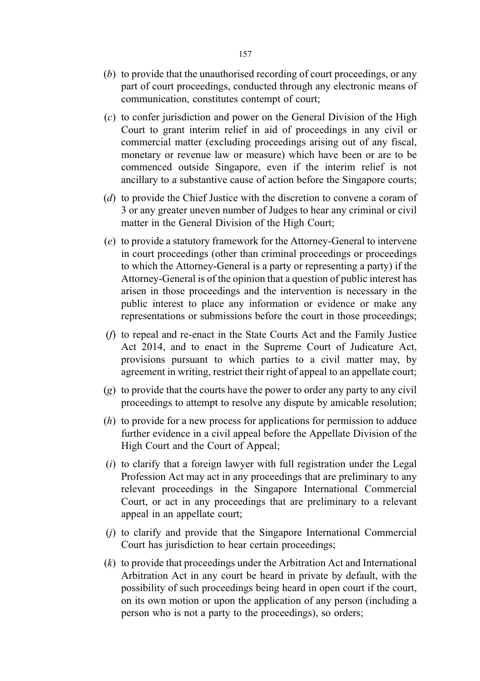- (b) to provide that the unauthorised recording of court proceedings, or any part of court proceedings, conducted through any electronic means of communication, constitutes contempt of court;
- (c) to confer jurisdiction and power on the General Division of the High Court to grant interim relief in aid of proceedings in any civil or commercial matter (excluding proceedings arising out of any fiscal, monetary or revenue law or measure) which have been or are to be commenced outside Singapore, even if the interim relief is not ancillary to a substantive cause of action before the Singapore courts;
- (d) to provide the Chief Justice with the discretion to convene a coram of 3 or any greater uneven number of Judges to hear any criminal or civil matter in the General Division of the High Court;
- (e) to provide a statutory framework for the Attorney-General to intervene in court proceedings (other than criminal proceedings or proceedings to which the Attorney-General is a party or representing a party) if the Attorney-General is of the opinion that a question of public interest has arisen in those proceedings and the intervention is necessary in the public interest to place any information or evidence or make any representations or submissions before the court in those proceedings;
- (f) to repeal and re-enact in the State Courts Act and the Family Justice Act 2014, and to enact in the Supreme Court of Judicature Act, provisions pursuant to which parties to a civil matter may, by agreement in writing, restrict their right of appeal to an appellate court;
- (g) to provide that the courts have the power to order any party to any civil proceedings to attempt to resolve any dispute by amicable resolution;
- (h) to provide for a new process for applications for permission to adduce further evidence in a civil appeal before the Appellate Division of the High Court and the Court of Appeal;
- $(i)$  to clarify that a foreign lawyer with full registration under the Legal Profession Act may act in any proceedings that are preliminary to any relevant proceedings in the Singapore International Commercial Court, or act in any proceedings that are preliminary to a relevant appeal in an appellate court;
- $(i)$  to clarify and provide that the Singapore International Commercial Court has jurisdiction to hear certain proceedings;
- (k) to provide that proceedings under the Arbitration Act and International Arbitration Act in any court be heard in private by default, with the possibility of such proceedings being heard in open court if the court, on its own motion or upon the application of any person (including a person who is not a party to the proceedings), so orders;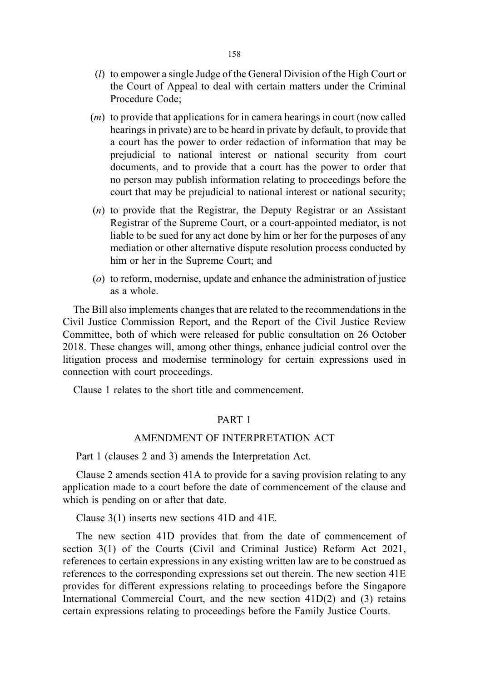- (l) to empower a single Judge of the General Division of the High Court or the Court of Appeal to deal with certain matters under the Criminal Procedure Code;
- (m) to provide that applications for in camera hearings in court (now called hearings in private) are to be heard in private by default, to provide that a court has the power to order redaction of information that may be prejudicial to national interest or national security from court documents, and to provide that a court has the power to order that no person may publish information relating to proceedings before the court that may be prejudicial to national interest or national security;
- (n) to provide that the Registrar, the Deputy Registrar or an Assistant Registrar of the Supreme Court, or a court-appointed mediator, is not liable to be sued for any act done by him or her for the purposes of any mediation or other alternative dispute resolution process conducted by him or her in the Supreme Court; and
- (o) to reform, modernise, update and enhance the administration of justice as a whole.

The Bill also implements changes that are related to the recommendations in the Civil Justice Commission Report, and the Report of the Civil Justice Review Committee, both of which were released for public consultation on 26 October 2018. These changes will, among other things, enhance judicial control over the litigation process and modernise terminology for certain expressions used in connection with court proceedings.

Clause 1 relates to the short title and commencement.

### PART 1

## AMENDMENT OF INTERPRETATION ACT

Part 1 (clauses 2 and 3) amends the Interpretation Act.

Clause 2 amends section 41A to provide for a saving provision relating to any application made to a court before the date of commencement of the clause and which is pending on or after that date.

Clause 3(1) inserts new sections 41D and 41E.

The new section 41D provides that from the date of commencement of section 3(1) of the Courts (Civil and Criminal Justice) Reform Act 2021, references to certain expressions in any existing written law are to be construed as references to the corresponding expressions set out therein. The new section 41E provides for different expressions relating to proceedings before the Singapore International Commercial Court, and the new section 41D(2) and (3) retains certain expressions relating to proceedings before the Family Justice Courts.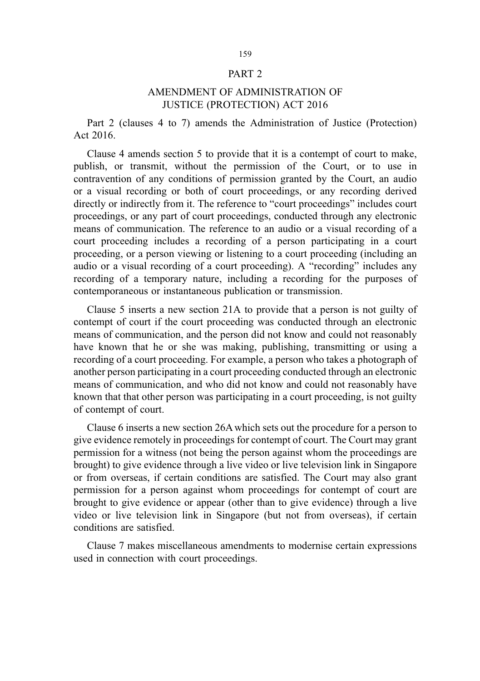#### PART 2

### AMENDMENT OF ADMINISTRATION OF JUSTICE (PROTECTION) ACT 2016

Part 2 (clauses 4 to 7) amends the Administration of Justice (Protection) Act 2016.

Clause 4 amends section 5 to provide that it is a contempt of court to make, publish, or transmit, without the permission of the Court, or to use in contravention of any conditions of permission granted by the Court, an audio or a visual recording or both of court proceedings, or any recording derived directly or indirectly from it. The reference to "court proceedings" includes court proceedings, or any part of court proceedings, conducted through any electronic means of communication. The reference to an audio or a visual recording of a court proceeding includes a recording of a person participating in a court proceeding, or a person viewing or listening to a court proceeding (including an audio or a visual recording of a court proceeding). A "recording" includes any recording of a temporary nature, including a recording for the purposes of contemporaneous or instantaneous publication or transmission.

Clause 5 inserts a new section 21A to provide that a person is not guilty of contempt of court if the court proceeding was conducted through an electronic means of communication, and the person did not know and could not reasonably have known that he or she was making, publishing, transmitting or using a recording of a court proceeding. For example, a person who takes a photograph of another person participating in a court proceeding conducted through an electronic means of communication, and who did not know and could not reasonably have known that that other person was participating in a court proceeding, is not guilty of contempt of court.

Clause 6 inserts a new section 26A which sets out the procedure for a person to give evidence remotely in proceedings for contempt of court. The Court may grant permission for a witness (not being the person against whom the proceedings are brought) to give evidence through a live video or live television link in Singapore or from overseas, if certain conditions are satisfied. The Court may also grant permission for a person against whom proceedings for contempt of court are brought to give evidence or appear (other than to give evidence) through a live video or live television link in Singapore (but not from overseas), if certain conditions are satisfied.

Clause 7 makes miscellaneous amendments to modernise certain expressions used in connection with court proceedings.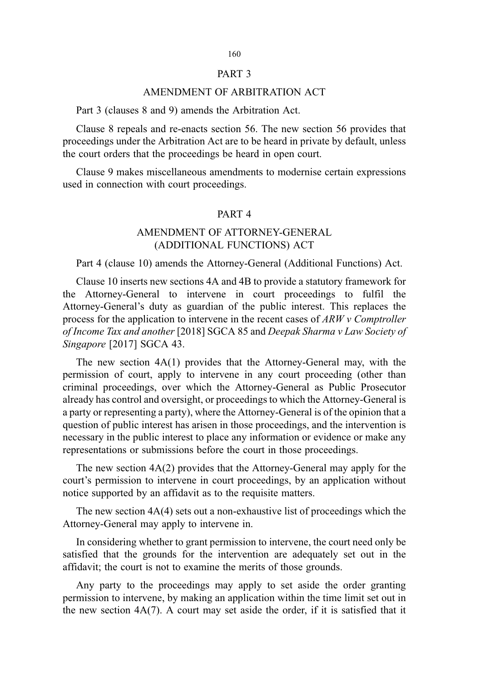#### PART 3

#### AMENDMENT OF ARBITRATION ACT

Part 3 (clauses 8 and 9) amends the Arbitration Act.

Clause 8 repeals and re-enacts section 56. The new section 56 provides that proceedings under the Arbitration Act are to be heard in private by default, unless the court orders that the proceedings be heard in open court.

Clause 9 makes miscellaneous amendments to modernise certain expressions used in connection with court proceedings.

#### PART 4

## AMENDMENT OF ATTORNEY-GENERAL (ADDITIONAL FUNCTIONS) ACT

Part 4 (clause 10) amends the Attorney-General (Additional Functions) Act.

Clause 10 inserts new sections 4A and 4B to provide a statutory framework for the Attorney-General to intervene in court proceedings to fulfil the Attorney-General's duty as guardian of the public interest. This replaces the process for the application to intervene in the recent cases of  $ARWv$  Comptroller of Income Tax and another [2018] SGCA 85 and Deepak Sharma v Law Society of Singapore [2017] SGCA 43.

The new section 4A(1) provides that the Attorney-General may, with the permission of court, apply to intervene in any court proceeding (other than criminal proceedings, over which the Attorney-General as Public Prosecutor already has control and oversight, or proceedings to which the Attorney-General is a party or representing a party), where the Attorney-General is of the opinion that a question of public interest has arisen in those proceedings, and the intervention is necessary in the public interest to place any information or evidence or make any representations or submissions before the court in those proceedings.

The new section 4A(2) provides that the Attorney-General may apply for the court's permission to intervene in court proceedings, by an application without notice supported by an affidavit as to the requisite matters.

The new section  $4A(4)$  sets out a non-exhaustive list of proceedings which the Attorney-General may apply to intervene in.

In considering whether to grant permission to intervene, the court need only be satisfied that the grounds for the intervention are adequately set out in the affidavit; the court is not to examine the merits of those grounds.

Any party to the proceedings may apply to set aside the order granting permission to intervene, by making an application within the time limit set out in the new section  $4A(7)$ . A court may set aside the order, if it is satisfied that it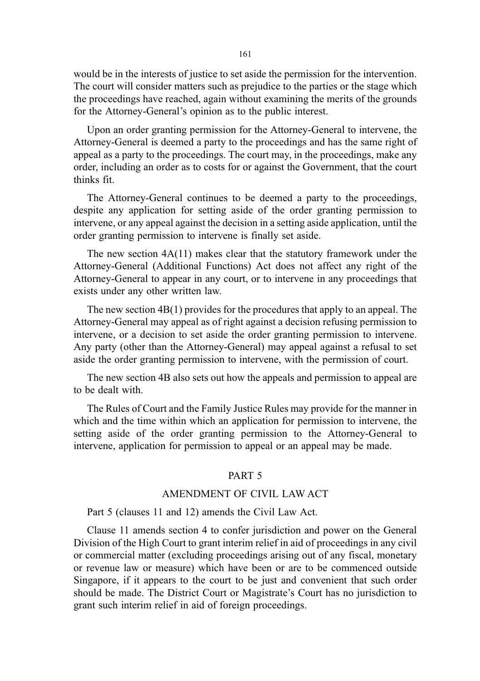would be in the interests of justice to set aside the permission for the intervention. The court will consider matters such as prejudice to the parties or the stage which the proceedings have reached, again without examining the merits of the grounds for the Attorney-General's opinion as to the public interest.

Upon an order granting permission for the Attorney-General to intervene, the Attorney-General is deemed a party to the proceedings and has the same right of appeal as a party to the proceedings. The court may, in the proceedings, make any order, including an order as to costs for or against the Government, that the court thinks fit.

The Attorney-General continues to be deemed a party to the proceedings, despite any application for setting aside of the order granting permission to intervene, or any appeal against the decision in a setting aside application, until the order granting permission to intervene is finally set aside.

The new section 4A(11) makes clear that the statutory framework under the Attorney-General (Additional Functions) Act does not affect any right of the Attorney-General to appear in any court, or to intervene in any proceedings that exists under any other written law.

The new section 4B(1) provides for the procedures that apply to an appeal. The Attorney-General may appeal as of right against a decision refusing permission to intervene, or a decision to set aside the order granting permission to intervene. Any party (other than the Attorney-General) may appeal against a refusal to set aside the order granting permission to intervene, with the permission of court.

The new section 4B also sets out how the appeals and permission to appeal are to be dealt with.

The Rules of Court and the Family Justice Rules may provide for the manner in which and the time within which an application for permission to intervene, the setting aside of the order granting permission to the Attorney-General to intervene, application for permission to appeal or an appeal may be made.

#### PART 5

### AMENDMENT OF CIVIL LAW ACT

#### Part 5 (clauses 11 and 12) amends the Civil Law Act.

Clause 11 amends section 4 to confer jurisdiction and power on the General Division of the High Court to grant interim relief in aid of proceedings in any civil or commercial matter (excluding proceedings arising out of any fiscal, monetary or revenue law or measure) which have been or are to be commenced outside Singapore, if it appears to the court to be just and convenient that such order should be made. The District Court or Magistrate's Court has no jurisdiction to grant such interim relief in aid of foreign proceedings.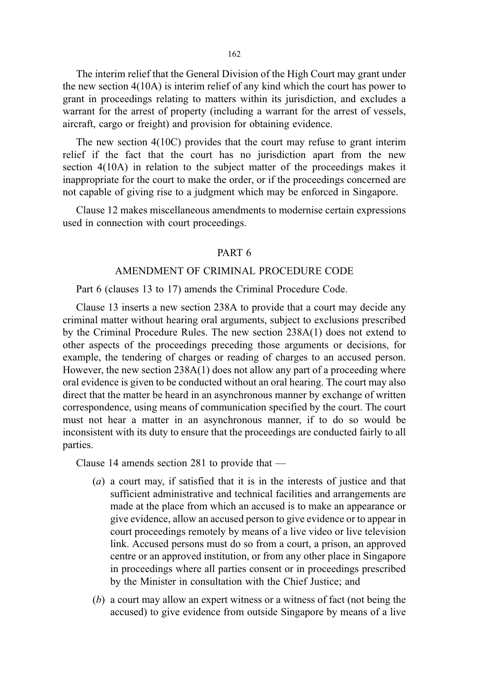162

The interim relief that the General Division of the High Court may grant under the new section 4(10A) is interim relief of any kind which the court has power to grant in proceedings relating to matters within its jurisdiction, and excludes a warrant for the arrest of property (including a warrant for the arrest of vessels, aircraft, cargo or freight) and provision for obtaining evidence.

The new section 4(10C) provides that the court may refuse to grant interim relief if the fact that the court has no jurisdiction apart from the new section 4(10A) in relation to the subject matter of the proceedings makes it inappropriate for the court to make the order, or if the proceedings concerned are not capable of giving rise to a judgment which may be enforced in Singapore.

Clause 12 makes miscellaneous amendments to modernise certain expressions used in connection with court proceedings.

#### PART 6

#### AMENDMENT OF CRIMINAL PROCEDURE CODE

Part 6 (clauses 13 to 17) amends the Criminal Procedure Code.

Clause 13 inserts a new section 238A to provide that a court may decide any criminal matter without hearing oral arguments, subject to exclusions prescribed by the Criminal Procedure Rules. The new section 238A(1) does not extend to other aspects of the proceedings preceding those arguments or decisions, for example, the tendering of charges or reading of charges to an accused person. However, the new section 238A(1) does not allow any part of a proceeding where oral evidence is given to be conducted without an oral hearing. The court may also direct that the matter be heard in an asynchronous manner by exchange of written correspondence, using means of communication specified by the court. The court must not hear a matter in an asynchronous manner, if to do so would be inconsistent with its duty to ensure that the proceedings are conducted fairly to all parties.

Clause 14 amends section 281 to provide that —

- (a) a court may, if satisfied that it is in the interests of justice and that sufficient administrative and technical facilities and arrangements are made at the place from which an accused is to make an appearance or give evidence, allow an accused person to give evidence or to appear in court proceedings remotely by means of a live video or live television link. Accused persons must do so from a court, a prison, an approved centre or an approved institution, or from any other place in Singapore in proceedings where all parties consent or in proceedings prescribed by the Minister in consultation with the Chief Justice; and
- (b) a court may allow an expert witness or a witness of fact (not being the accused) to give evidence from outside Singapore by means of a live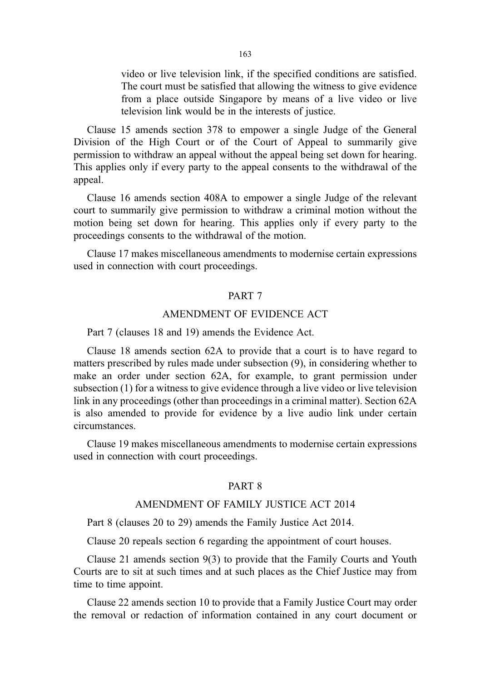video or live television link, if the specified conditions are satisfied. The court must be satisfied that allowing the witness to give evidence from a place outside Singapore by means of a live video or live television link would be in the interests of justice.

Clause 15 amends section 378 to empower a single Judge of the General Division of the High Court or of the Court of Appeal to summarily give permission to withdraw an appeal without the appeal being set down for hearing. This applies only if every party to the appeal consents to the withdrawal of the appeal.

Clause 16 amends section 408A to empower a single Judge of the relevant court to summarily give permission to withdraw a criminal motion without the motion being set down for hearing. This applies only if every party to the proceedings consents to the withdrawal of the motion.

Clause 17 makes miscellaneous amendments to modernise certain expressions used in connection with court proceedings.

#### PART 7

## AMENDMENT OF EVIDENCE ACT

Part 7 (clauses 18 and 19) amends the Evidence Act.

Clause 18 amends section 62A to provide that a court is to have regard to matters prescribed by rules made under subsection (9), in considering whether to make an order under section 62A, for example, to grant permission under subsection (1) for a witness to give evidence through a live video or live television link in any proceedings (other than proceedings in a criminal matter). Section 62A is also amended to provide for evidence by a live audio link under certain circumstances.

Clause 19 makes miscellaneous amendments to modernise certain expressions used in connection with court proceedings.

## PART 8

## AMENDMENT OF FAMILY JUSTICE ACT 2014

Part 8 (clauses 20 to 29) amends the Family Justice Act 2014.

Clause 20 repeals section 6 regarding the appointment of court houses.

Clause 21 amends section 9(3) to provide that the Family Courts and Youth Courts are to sit at such times and at such places as the Chief Justice may from time to time appoint.

Clause 22 amends section 10 to provide that a Family Justice Court may order the removal or redaction of information contained in any court document or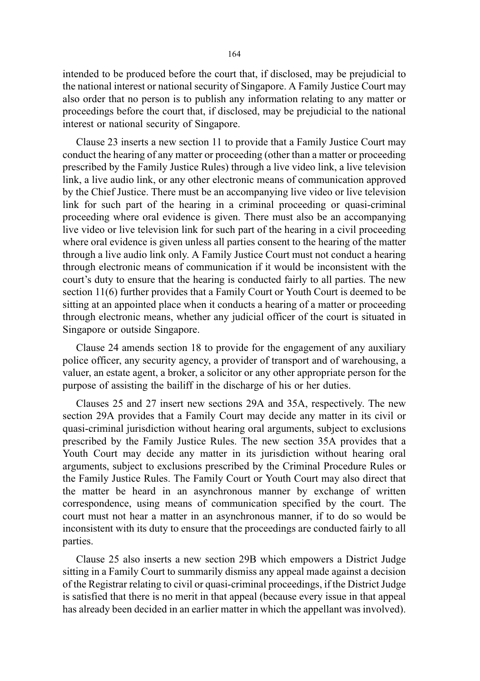intended to be produced before the court that, if disclosed, may be prejudicial to the national interest or national security of Singapore. A Family Justice Court may also order that no person is to publish any information relating to any matter or proceedings before the court that, if disclosed, may be prejudicial to the national interest or national security of Singapore.

Clause 23 inserts a new section 11 to provide that a Family Justice Court may conduct the hearing of any matter or proceeding (other than a matter or proceeding prescribed by the Family Justice Rules) through a live video link, a live television link, a live audio link, or any other electronic means of communication approved by the Chief Justice. There must be an accompanying live video or live television link for such part of the hearing in a criminal proceeding or quasi-criminal proceeding where oral evidence is given. There must also be an accompanying live video or live television link for such part of the hearing in a civil proceeding where oral evidence is given unless all parties consent to the hearing of the matter through a live audio link only. A Family Justice Court must not conduct a hearing through electronic means of communication if it would be inconsistent with the court's duty to ensure that the hearing is conducted fairly to all parties. The new section 11(6) further provides that a Family Court or Youth Court is deemed to be sitting at an appointed place when it conducts a hearing of a matter or proceeding through electronic means, whether any judicial officer of the court is situated in Singapore or outside Singapore.

Clause 24 amends section 18 to provide for the engagement of any auxiliary police officer, any security agency, a provider of transport and of warehousing, a valuer, an estate agent, a broker, a solicitor or any other appropriate person for the purpose of assisting the bailiff in the discharge of his or her duties.

Clauses 25 and 27 insert new sections 29A and 35A, respectively. The new section 29A provides that a Family Court may decide any matter in its civil or quasi-criminal jurisdiction without hearing oral arguments, subject to exclusions prescribed by the Family Justice Rules. The new section 35A provides that a Youth Court may decide any matter in its jurisdiction without hearing oral arguments, subject to exclusions prescribed by the Criminal Procedure Rules or the Family Justice Rules. The Family Court or Youth Court may also direct that the matter be heard in an asynchronous manner by exchange of written correspondence, using means of communication specified by the court. The court must not hear a matter in an asynchronous manner, if to do so would be inconsistent with its duty to ensure that the proceedings are conducted fairly to all parties.

Clause 25 also inserts a new section 29B which empowers a District Judge sitting in a Family Court to summarily dismiss any appeal made against a decision of the Registrar relating to civil or quasi-criminal proceedings, if the District Judge is satisfied that there is no merit in that appeal (because every issue in that appeal has already been decided in an earlier matter in which the appellant was involved).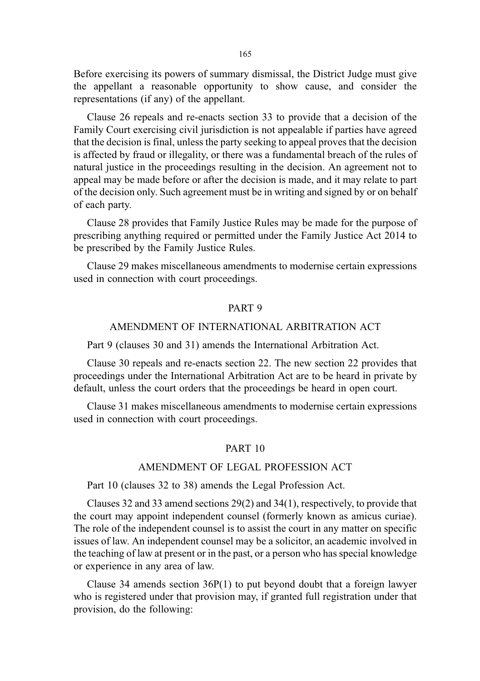Before exercising its powers of summary dismissal, the District Judge must give the appellant a reasonable opportunity to show cause, and consider the representations (if any) of the appellant.

Clause 26 repeals and re-enacts section 33 to provide that a decision of the Family Court exercising civil jurisdiction is not appealable if parties have agreed that the decision is final, unless the party seeking to appeal proves that the decision is affected by fraud or illegality, or there was a fundamental breach of the rules of natural justice in the proceedings resulting in the decision. An agreement not to appeal may be made before or after the decision is made, and it may relate to part of the decision only. Such agreement must be in writing and signed by or on behalf of each party.

Clause 28 provides that Family Justice Rules may be made for the purpose of prescribing anything required or permitted under the Family Justice Act 2014 to be prescribed by the Family Justice Rules.

Clause 29 makes miscellaneous amendments to modernise certain expressions used in connection with court proceedings.

#### PART 9

## AMENDMENT OF INTERNATIONAL ARBITRATION ACT

Part 9 (clauses 30 and 31) amends the International Arbitration Act.

Clause 30 repeals and re-enacts section 22. The new section 22 provides that proceedings under the International Arbitration Act are to be heard in private by default, unless the court orders that the proceedings be heard in open court.

Clause 31 makes miscellaneous amendments to modernise certain expressions used in connection with court proceedings.

#### PART 10

### AMENDMENT OF LEGAL PROFESSION ACT

Part 10 (clauses 32 to 38) amends the Legal Profession Act.

Clauses 32 and 33 amend sections 29(2) and 34(1), respectively, to provide that the court may appoint independent counsel (formerly known as amicus curiae). The role of the independent counsel is to assist the court in any matter on specific issues of law. An independent counsel may be a solicitor, an academic involved in the teaching of law at present or in the past, or a person who has special knowledge or experience in any area of law.

Clause 34 amends section 36P(1) to put beyond doubt that a foreign lawyer who is registered under that provision may, if granted full registration under that provision, do the following: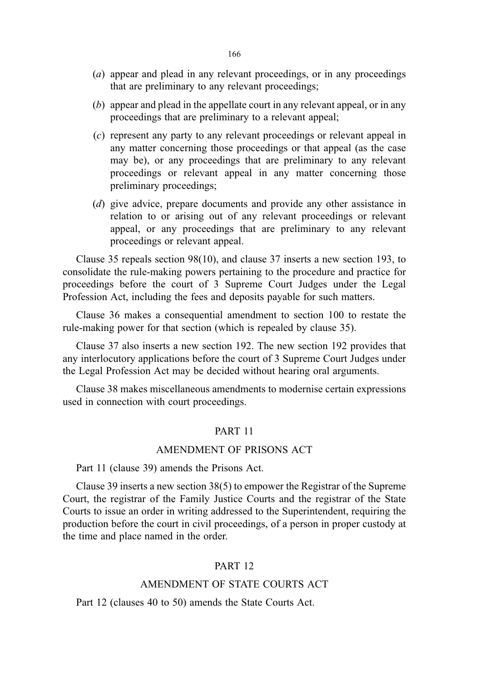- (a) appear and plead in any relevant proceedings, or in any proceedings that are preliminary to any relevant proceedings;
- (b) appear and plead in the appellate court in any relevant appeal, or in any proceedings that are preliminary to a relevant appeal;
- (c) represent any party to any relevant proceedings or relevant appeal in any matter concerning those proceedings or that appeal (as the case may be), or any proceedings that are preliminary to any relevant proceedings or relevant appeal in any matter concerning those preliminary proceedings;
- (d) give advice, prepare documents and provide any other assistance in relation to or arising out of any relevant proceedings or relevant appeal, or any proceedings that are preliminary to any relevant proceedings or relevant appeal.

Clause 35 repeals section 98(10), and clause 37 inserts a new section 193, to consolidate the rule-making powers pertaining to the procedure and practice for proceedings before the court of 3 Supreme Court Judges under the Legal Profession Act, including the fees and deposits payable for such matters.

Clause 36 makes a consequential amendment to section 100 to restate the rule-making power for that section (which is repealed by clause 35).

Clause 37 also inserts a new section 192. The new section 192 provides that any interlocutory applications before the court of 3 Supreme Court Judges under the Legal Profession Act may be decided without hearing oral arguments.

Clause 38 makes miscellaneous amendments to modernise certain expressions used in connection with court proceedings.

### PART 11

#### AMENDMENT OF PRISONS ACT

Part 11 (clause 39) amends the Prisons Act.

Clause 39 inserts a new section 38(5) to empower the Registrar of the Supreme Court, the registrar of the Family Justice Courts and the registrar of the State Courts to issue an order in writing addressed to the Superintendent, requiring the production before the court in civil proceedings, of a person in proper custody at the time and place named in the order.

### PART 12

#### AMENDMENT OF STATE COURTS ACT

Part 12 (clauses 40 to 50) amends the State Courts Act.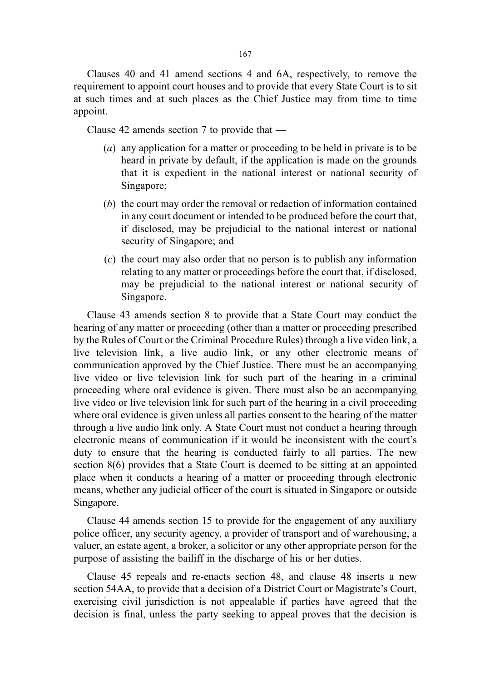Clauses 40 and 41 amend sections 4 and 6A, respectively, to remove the requirement to appoint court houses and to provide that every State Court is to sit at such times and at such places as the Chief Justice may from time to time appoint.

Clause 42 amends section 7 to provide that —

- (a) any application for a matter or proceeding to be held in private is to be heard in private by default, if the application is made on the grounds that it is expedient in the national interest or national security of Singapore;
- (b) the court may order the removal or redaction of information contained in any court document or intended to be produced before the court that, if disclosed, may be prejudicial to the national interest or national security of Singapore; and
- (c) the court may also order that no person is to publish any information relating to any matter or proceedings before the court that, if disclosed, may be prejudicial to the national interest or national security of Singapore.

Clause 43 amends section 8 to provide that a State Court may conduct the hearing of any matter or proceeding (other than a matter or proceeding prescribed by the Rules of Court or the Criminal Procedure Rules) through a live video link, a live television link, a live audio link, or any other electronic means of communication approved by the Chief Justice. There must be an accompanying live video or live television link for such part of the hearing in a criminal proceeding where oral evidence is given. There must also be an accompanying live video or live television link for such part of the hearing in a civil proceeding where oral evidence is given unless all parties consent to the hearing of the matter through a live audio link only. A State Court must not conduct a hearing through electronic means of communication if it would be inconsistent with the court's duty to ensure that the hearing is conducted fairly to all parties. The new section 8(6) provides that a State Court is deemed to be sitting at an appointed place when it conducts a hearing of a matter or proceeding through electronic means, whether any judicial officer of the court is situated in Singapore or outside Singapore.

Clause 44 amends section 15 to provide for the engagement of any auxiliary police officer, any security agency, a provider of transport and of warehousing, a valuer, an estate agent, a broker, a solicitor or any other appropriate person for the purpose of assisting the bailiff in the discharge of his or her duties.

Clause 45 repeals and re-enacts section 48, and clause 48 inserts a new section 54AA, to provide that a decision of a District Court or Magistrate's Court, exercising civil jurisdiction is not appealable if parties have agreed that the decision is final, unless the party seeking to appeal proves that the decision is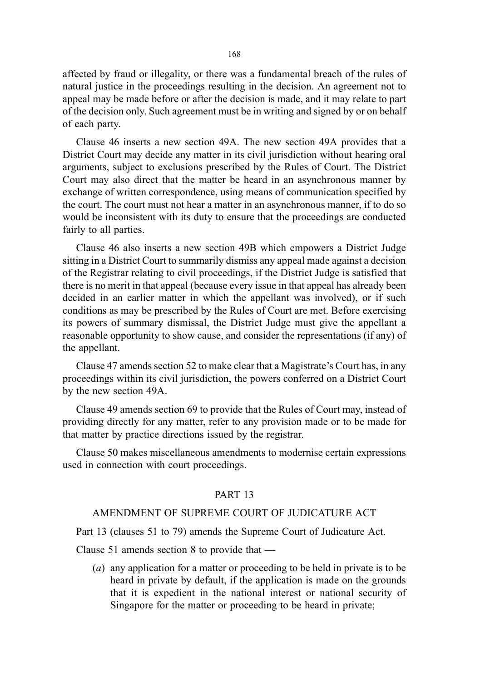affected by fraud or illegality, or there was a fundamental breach of the rules of natural justice in the proceedings resulting in the decision. An agreement not to appeal may be made before or after the decision is made, and it may relate to part of the decision only. Such agreement must be in writing and signed by or on behalf of each party.

Clause 46 inserts a new section 49A. The new section 49A provides that a District Court may decide any matter in its civil jurisdiction without hearing oral arguments, subject to exclusions prescribed by the Rules of Court. The District Court may also direct that the matter be heard in an asynchronous manner by exchange of written correspondence, using means of communication specified by the court. The court must not hear a matter in an asynchronous manner, if to do so would be inconsistent with its duty to ensure that the proceedings are conducted fairly to all parties.

Clause 46 also inserts a new section 49B which empowers a District Judge sitting in a District Court to summarily dismiss any appeal made against a decision of the Registrar relating to civil proceedings, if the District Judge is satisfied that there is no merit in that appeal (because every issue in that appeal has already been decided in an earlier matter in which the appellant was involved), or if such conditions as may be prescribed by the Rules of Court are met. Before exercising its powers of summary dismissal, the District Judge must give the appellant a reasonable opportunity to show cause, and consider the representations (if any) of the appellant.

Clause 47 amends section 52 to make clear that a Magistrate's Court has, in any proceedings within its civil jurisdiction, the powers conferred on a District Court by the new section 49A.

Clause 49 amends section 69 to provide that the Rules of Court may, instead of providing directly for any matter, refer to any provision made or to be made for that matter by practice directions issued by the registrar.

Clause 50 makes miscellaneous amendments to modernise certain expressions used in connection with court proceedings.

### PART 13

## AMENDMENT OF SUPREME COURT OF JUDICATURE ACT

Part 13 (clauses 51 to 79) amends the Supreme Court of Judicature Act.

Clause 51 amends section 8 to provide that —

(a) any application for a matter or proceeding to be held in private is to be heard in private by default, if the application is made on the grounds that it is expedient in the national interest or national security of Singapore for the matter or proceeding to be heard in private;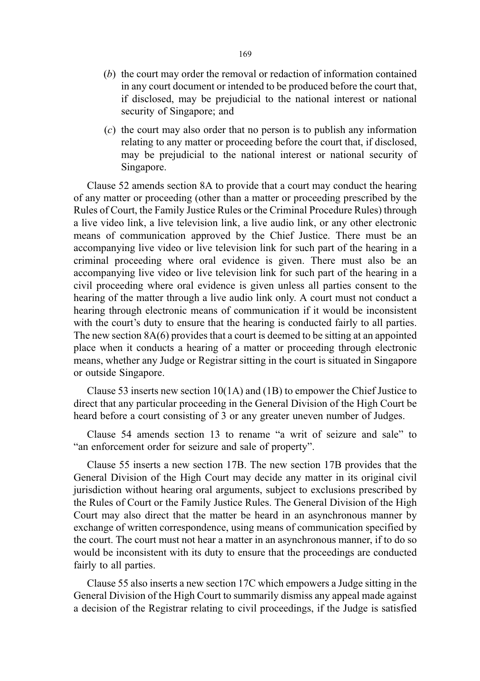- (b) the court may order the removal or redaction of information contained in any court document or intended to be produced before the court that, if disclosed, may be prejudicial to the national interest or national security of Singapore; and
- (c) the court may also order that no person is to publish any information relating to any matter or proceeding before the court that, if disclosed, may be prejudicial to the national interest or national security of Singapore.

Clause 52 amends section 8A to provide that a court may conduct the hearing of any matter or proceeding (other than a matter or proceeding prescribed by the Rules of Court, the Family Justice Rules or the Criminal Procedure Rules) through a live video link, a live television link, a live audio link, or any other electronic means of communication approved by the Chief Justice. There must be an accompanying live video or live television link for such part of the hearing in a criminal proceeding where oral evidence is given. There must also be an accompanying live video or live television link for such part of the hearing in a civil proceeding where oral evidence is given unless all parties consent to the hearing of the matter through a live audio link only. A court must not conduct a hearing through electronic means of communication if it would be inconsistent with the court's duty to ensure that the hearing is conducted fairly to all parties. The new section 8A(6) provides that a court is deemed to be sitting at an appointed place when it conducts a hearing of a matter or proceeding through electronic means, whether any Judge or Registrar sitting in the court is situated in Singapore or outside Singapore.

Clause 53 inserts new section 10(1A) and (1B) to empower the Chief Justice to direct that any particular proceeding in the General Division of the High Court be heard before a court consisting of 3 or any greater uneven number of Judges.

Clause 54 amends section 13 to rename "a writ of seizure and sale" to "an enforcement order for seizure and sale of property".

Clause 55 inserts a new section 17B. The new section 17B provides that the General Division of the High Court may decide any matter in its original civil jurisdiction without hearing oral arguments, subject to exclusions prescribed by the Rules of Court or the Family Justice Rules. The General Division of the High Court may also direct that the matter be heard in an asynchronous manner by exchange of written correspondence, using means of communication specified by the court. The court must not hear a matter in an asynchronous manner, if to do so would be inconsistent with its duty to ensure that the proceedings are conducted fairly to all parties.

Clause 55 also inserts a new section 17C which empowers a Judge sitting in the General Division of the High Court to summarily dismiss any appeal made against a decision of the Registrar relating to civil proceedings, if the Judge is satisfied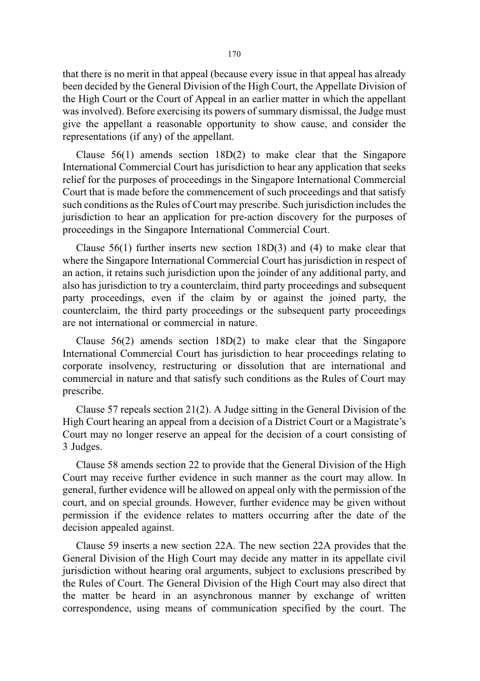that there is no merit in that appeal (because every issue in that appeal has already been decided by the General Division of the High Court, the Appellate Division of the High Court or the Court of Appeal in an earlier matter in which the appellant was involved). Before exercising its powers of summary dismissal, the Judge must give the appellant a reasonable opportunity to show cause, and consider the representations (if any) of the appellant.

Clause 56(1) amends section 18D(2) to make clear that the Singapore International Commercial Court has jurisdiction to hear any application that seeks relief for the purposes of proceedings in the Singapore International Commercial Court that is made before the commencement of such proceedings and that satisfy such conditions as the Rules of Court may prescribe. Such jurisdiction includes the jurisdiction to hear an application for pre-action discovery for the purposes of proceedings in the Singapore International Commercial Court.

Clause  $56(1)$  further inserts new section  $18D(3)$  and (4) to make clear that where the Singapore International Commercial Court has jurisdiction in respect of an action, it retains such jurisdiction upon the joinder of any additional party, and also has jurisdiction to try a counterclaim, third party proceedings and subsequent party proceedings, even if the claim by or against the joined party, the counterclaim, the third party proceedings or the subsequent party proceedings are not international or commercial in nature.

Clause 56(2) amends section 18D(2) to make clear that the Singapore International Commercial Court has jurisdiction to hear proceedings relating to corporate insolvency, restructuring or dissolution that are international and commercial in nature and that satisfy such conditions as the Rules of Court may prescribe.

Clause 57 repeals section 21(2). A Judge sitting in the General Division of the High Court hearing an appeal from a decision of a District Court or a Magistrate's Court may no longer reserve an appeal for the decision of a court consisting of 3 Judges.

Clause 58 amends section 22 to provide that the General Division of the High Court may receive further evidence in such manner as the court may allow. In general, further evidence will be allowed on appeal only with the permission of the court, and on special grounds. However, further evidence may be given without permission if the evidence relates to matters occurring after the date of the decision appealed against.

Clause 59 inserts a new section 22A. The new section 22A provides that the General Division of the High Court may decide any matter in its appellate civil jurisdiction without hearing oral arguments, subject to exclusions prescribed by the Rules of Court. The General Division of the High Court may also direct that the matter be heard in an asynchronous manner by exchange of written correspondence, using means of communication specified by the court. The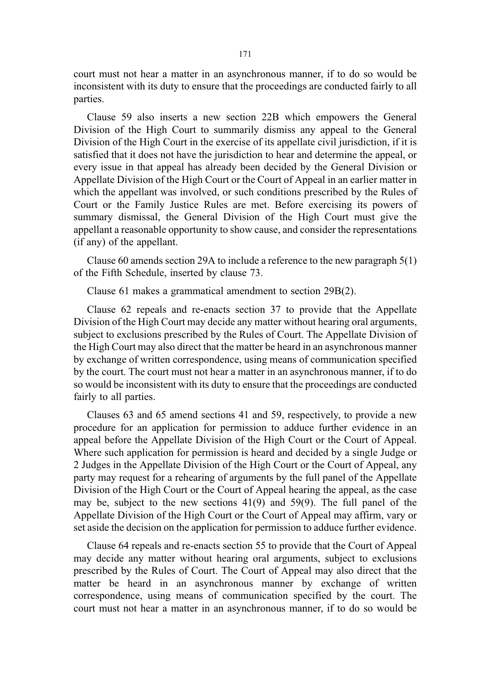court must not hear a matter in an asynchronous manner, if to do so would be inconsistent with its duty to ensure that the proceedings are conducted fairly to all parties.

Clause 59 also inserts a new section 22B which empowers the General Division of the High Court to summarily dismiss any appeal to the General Division of the High Court in the exercise of its appellate civil jurisdiction, if it is satisfied that it does not have the jurisdiction to hear and determine the appeal, or every issue in that appeal has already been decided by the General Division or Appellate Division of the High Court or the Court of Appeal in an earlier matter in which the appellant was involved, or such conditions prescribed by the Rules of Court or the Family Justice Rules are met. Before exercising its powers of summary dismissal, the General Division of the High Court must give the appellant a reasonable opportunity to show cause, and consider the representations (if any) of the appellant.

Clause 60 amends section 29A to include a reference to the new paragraph 5(1) of the Fifth Schedule, inserted by clause 73.

Clause 61 makes a grammatical amendment to section 29B(2).

Clause 62 repeals and re-enacts section 37 to provide that the Appellate Division of the High Court may decide any matter without hearing oral arguments, subject to exclusions prescribed by the Rules of Court. The Appellate Division of the High Court may also direct that the matter be heard in an asynchronous manner by exchange of written correspondence, using means of communication specified by the court. The court must not hear a matter in an asynchronous manner, if to do so would be inconsistent with its duty to ensure that the proceedings are conducted fairly to all parties.

Clauses 63 and 65 amend sections 41 and 59, respectively, to provide a new procedure for an application for permission to adduce further evidence in an appeal before the Appellate Division of the High Court or the Court of Appeal. Where such application for permission is heard and decided by a single Judge or 2 Judges in the Appellate Division of the High Court or the Court of Appeal, any party may request for a rehearing of arguments by the full panel of the Appellate Division of the High Court or the Court of Appeal hearing the appeal, as the case may be, subject to the new sections 41(9) and 59(9). The full panel of the Appellate Division of the High Court or the Court of Appeal may affirm, vary or set aside the decision on the application for permission to adduce further evidence.

Clause 64 repeals and re-enacts section 55 to provide that the Court of Appeal may decide any matter without hearing oral arguments, subject to exclusions prescribed by the Rules of Court. The Court of Appeal may also direct that the matter be heard in an asynchronous manner by exchange of written correspondence, using means of communication specified by the court. The court must not hear a matter in an asynchronous manner, if to do so would be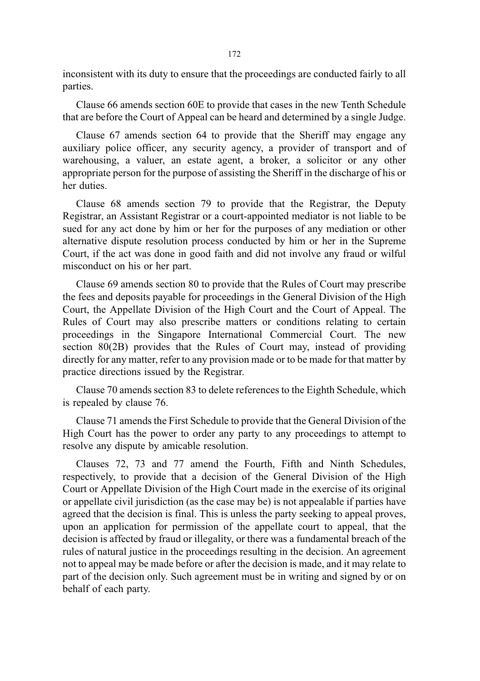inconsistent with its duty to ensure that the proceedings are conducted fairly to all parties.

Clause 66 amends section 60E to provide that cases in the new Tenth Schedule that are before the Court of Appeal can be heard and determined by a single Judge.

Clause 67 amends section 64 to provide that the Sheriff may engage any auxiliary police officer, any security agency, a provider of transport and of warehousing, a valuer, an estate agent, a broker, a solicitor or any other appropriate person for the purpose of assisting the Sheriff in the discharge of his or her duties.

Clause 68 amends section 79 to provide that the Registrar, the Deputy Registrar, an Assistant Registrar or a court-appointed mediator is not liable to be sued for any act done by him or her for the purposes of any mediation or other alternative dispute resolution process conducted by him or her in the Supreme Court, if the act was done in good faith and did not involve any fraud or wilful misconduct on his or her part.

Clause 69 amends section 80 to provide that the Rules of Court may prescribe the fees and deposits payable for proceedings in the General Division of the High Court, the Appellate Division of the High Court and the Court of Appeal. The Rules of Court may also prescribe matters or conditions relating to certain proceedings in the Singapore International Commercial Court. The new section 80(2B) provides that the Rules of Court may, instead of providing directly for any matter, refer to any provision made or to be made for that matter by practice directions issued by the Registrar.

Clause 70 amends section 83 to delete references to the Eighth Schedule, which is repealed by clause 76.

Clause 71 amends the First Schedule to provide that the General Division of the High Court has the power to order any party to any proceedings to attempt to resolve any dispute by amicable resolution.

Clauses 72, 73 and 77 amend the Fourth, Fifth and Ninth Schedules, respectively, to provide that a decision of the General Division of the High Court or Appellate Division of the High Court made in the exercise of its original or appellate civil jurisdiction (as the case may be) is not appealable if parties have agreed that the decision is final. This is unless the party seeking to appeal proves, upon an application for permission of the appellate court to appeal, that the decision is affected by fraud or illegality, or there was a fundamental breach of the rules of natural justice in the proceedings resulting in the decision. An agreement not to appeal may be made before or after the decision is made, and it may relate to part of the decision only. Such agreement must be in writing and signed by or on behalf of each party.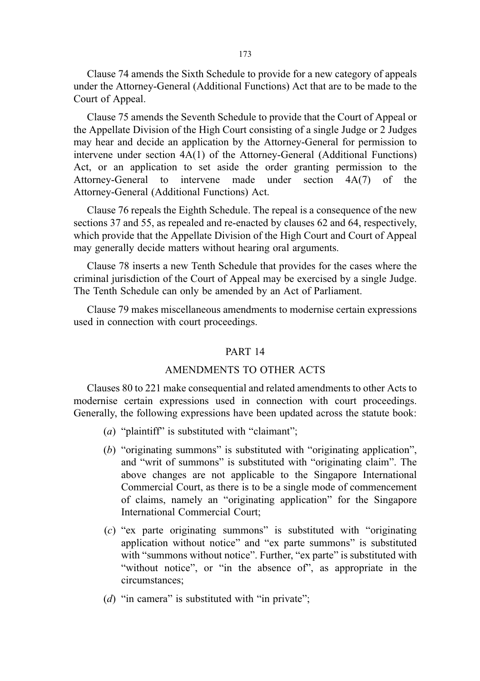Clause 74 amends the Sixth Schedule to provide for a new category of appeals under the Attorney-General (Additional Functions) Act that are to be made to the Court of Appeal.

Clause 75 amends the Seventh Schedule to provide that the Court of Appeal or the Appellate Division of the High Court consisting of a single Judge or 2 Judges may hear and decide an application by the Attorney-General for permission to intervene under section 4A(1) of the Attorney-General (Additional Functions) Act, or an application to set aside the order granting permission to the Attorney-General to intervene made under section 4A(7) of the Attorney-General (Additional Functions) Act.

Clause 76 repeals the Eighth Schedule. The repeal is a consequence of the new sections 37 and 55, as repealed and re-enacted by clauses 62 and 64, respectively, which provide that the Appellate Division of the High Court and Court of Appeal may generally decide matters without hearing oral arguments.

Clause 78 inserts a new Tenth Schedule that provides for the cases where the criminal jurisdiction of the Court of Appeal may be exercised by a single Judge. The Tenth Schedule can only be amended by an Act of Parliament.

Clause 79 makes miscellaneous amendments to modernise certain expressions used in connection with court proceedings.

#### PART 14

#### AMENDMENTS TO OTHER ACTS

Clauses 80 to 221 make consequential and related amendments to other Acts to modernise certain expressions used in connection with court proceedings. Generally, the following expressions have been updated across the statute book:

- (a) "plaintiff" is substituted with "claimant";
- (b) "originating summons" is substituted with "originating application", and "writ of summons" is substituted with "originating claim". The above changes are not applicable to the Singapore International Commercial Court, as there is to be a single mode of commencement of claims, namely an "originating application" for the Singapore International Commercial Court;
- (c) "ex parte originating summons" is substituted with "originating application without notice" and "ex parte summons" is substituted with "summons without notice". Further, "ex parte" is substituted with "without notice", or "in the absence of", as appropriate in the circumstances;
- ( $d$ ) "in camera" is substituted with "in private";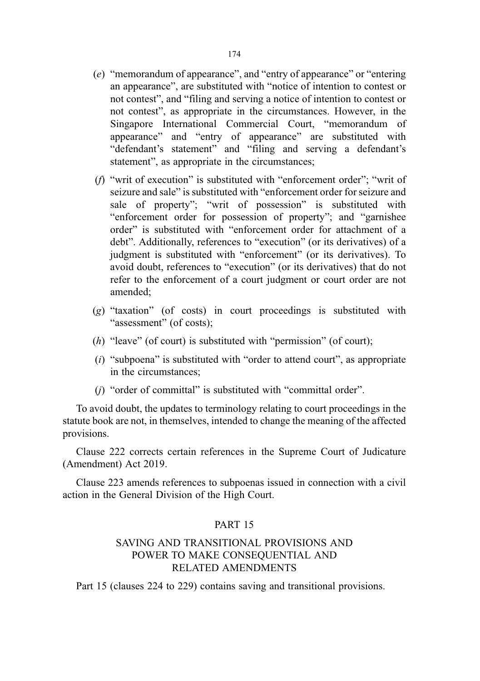- (e) "memorandum of appearance", and "entry of appearance" or "entering an appearance", are substituted with "notice of intention to contest or not contest", and "filing and serving a notice of intention to contest or not contest", as appropriate in the circumstances. However, in the Singapore International Commercial Court, "memorandum of appearance" and "entry of appearance" are substituted with "defendant's statement" and "filing and serving a defendant's statement", as appropriate in the circumstances;
- (f) "writ of execution" is substituted with "enforcement order"; "writ of seizure and sale" is substituted with "enforcement order for seizure and sale of property"; "writ of possession" is substituted with "enforcement order for possession of property"; and "garnishee order" is substituted with "enforcement order for attachment of a debt". Additionally, references to "execution" (or its derivatives) of a judgment is substituted with "enforcement" (or its derivatives). To avoid doubt, references to "execution" (or its derivatives) that do not refer to the enforcement of a court judgment or court order are not amended;
- (g) "taxation" (of costs) in court proceedings is substituted with "assessment" (of costs);
- (h) "leave" (of court) is substituted with "permission" (of court);
- $(i)$  "subpoena" is substituted with "order to attend court", as appropriate in the circumstances;
- (j) "order of committal" is substituted with "committal order".

To avoid doubt, the updates to terminology relating to court proceedings in the statute book are not, in themselves, intended to change the meaning of the affected provisions.

Clause 222 corrects certain references in the Supreme Court of Judicature (Amendment) Act 2019.

Clause 223 amends references to subpoenas issued in connection with a civil action in the General Division of the High Court.

## PART 15

## SAVING AND TRANSITIONAL PROVISIONS AND POWER TO MAKE CONSEQUENTIAL AND RELATED AMENDMENTS

Part 15 (clauses 224 to 229) contains saving and transitional provisions.